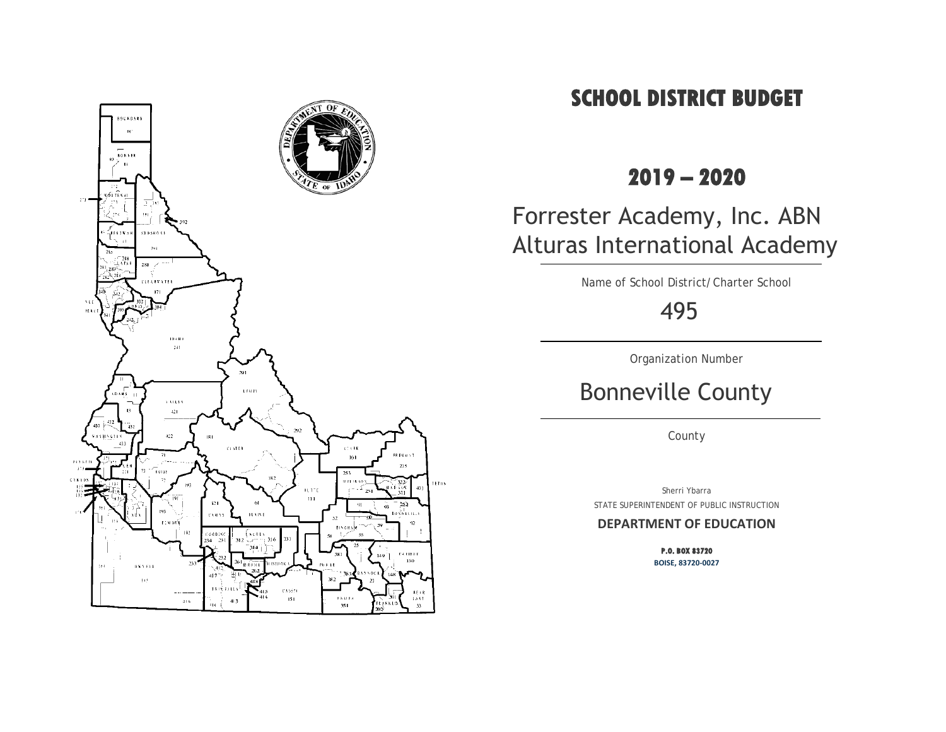

# **SCHOOL DISTRICT BUDGET**

# **2019 – 2020**

# Forrester Academy, Inc. ABN Alturas International Academy

Name of School District/Charter School

495

Organization Number

# Bonneville County

County

Sherri Ybarra STATE SUPERINTENDENT OF PUBLIC INSTRUCTION

## **DEPARTMENT OF EDUCATION**

**P.O. BOX 83720 BOISE, 83720-0027**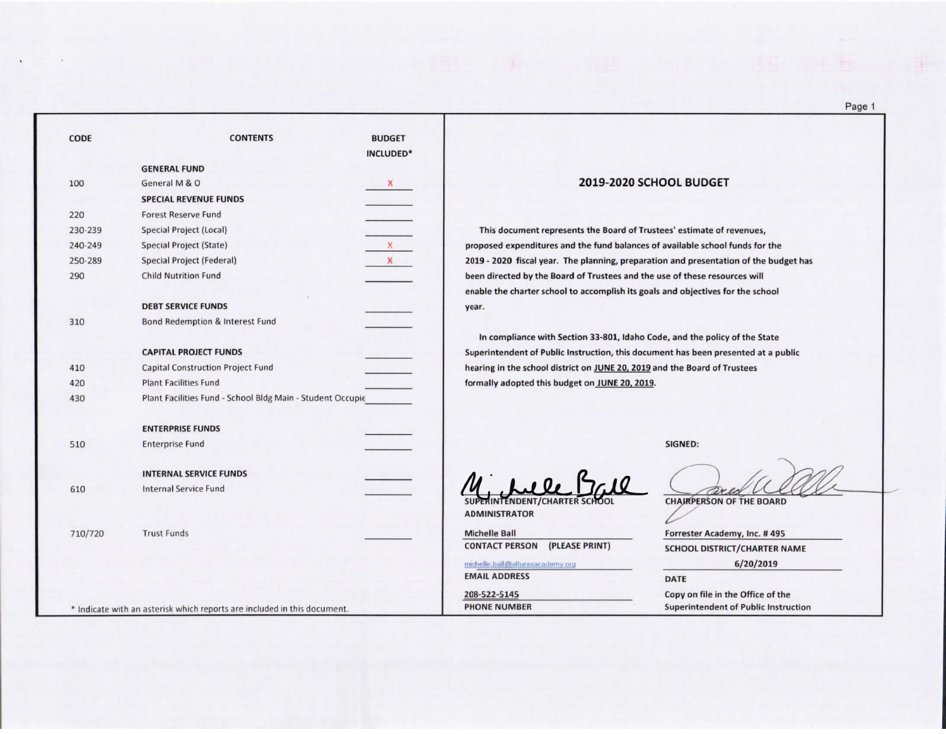| <b>CODE</b> | <b>CONTENTS</b>                                                         | <b>BUDGET</b><br>INCLUDED* |                                              |
|-------------|-------------------------------------------------------------------------|----------------------------|----------------------------------------------|
|             | <b>GENERAL FUND</b>                                                     |                            |                                              |
| 100         | General M & O                                                           | x                          | 2019-2                                       |
|             | <b>SPECIAL REVENUE FUNDS</b>                                            |                            |                                              |
| 220         | <b>Forest Reserve Fund</b>                                              |                            |                                              |
| 230-239     | <b>Special Project (Local)</b>                                          |                            | This document represents the Bo              |
| 240-249     | Special Project (State)                                                 | x                          | proposed expenditures and the fund           |
| 250-289     | Special Project (Federal)                                               | x                          | 2019 - 2020 fiscal year. The planning        |
| 290         | <b>Child Nutrition Fund</b>                                             |                            | been directed by the Board of Truste         |
|             |                                                                         |                            | enable the charter school to accomp          |
|             | <b>DEBT SERVICE FUNDS</b>                                               |                            | year.                                        |
| 310         | <b>Bond Redemption &amp; Interest Fund</b>                              |                            |                                              |
|             |                                                                         |                            | In compliance with Section 33-80             |
|             | <b>CAPITAL PROJECT FUNDS</b>                                            |                            | <b>Superintendent of Public Instruction,</b> |
| 410         | <b>Capital Construction Project Fund</b>                                |                            | hearing in the school district on JUNI       |
| 420         | <b>Plant Facilities Fund</b>                                            |                            | formally adopted this budget on JUN          |
| 430         | Plant Facilities Fund - School Bldg Main - Student Occupie              |                            |                                              |
|             |                                                                         |                            |                                              |
|             | <b>ENTERPRISE FUNDS</b>                                                 |                            |                                              |
| 510         | <b>Enterprise Fund</b>                                                  |                            |                                              |
|             | <b>INTERNAL SERVICE FUNDS</b>                                           |                            |                                              |
| 610         | <b>Internal Service Fund</b>                                            |                            |                                              |
|             |                                                                         |                            | PERINTENDENT/CHARTER SCHOOL                  |
|             |                                                                         |                            | <b>ADMINISTRATOR</b>                         |
| 710/720     | <b>Trust Funds</b>                                                      |                            | <b>Michelle Ball</b>                         |
|             |                                                                         |                            | <b>CONTACT PERSON</b><br>(PLEASE PRINT)      |
|             |                                                                         |                            | michelle.ball@alturasacademy.org             |
|             |                                                                         |                            | <b>EMAIL ADDRESS</b>                         |
|             |                                                                         |                            | 208-522-5145                                 |
|             | * Indicate with an asterisk which reports are included in this document |                            | <b>PHONE NUMBER</b>                          |

#### 019-2020 SCHOOL BUDGET

the Board of Trustees' estimate of revenues, e fund balances of available school funds for the anning, preparation and presentation of the budget has Trustees and the use of these resources will complish its goals and objectives for the school

33-801, Idaho Code, and the policy of the State uction, this document has been presented at a public n JUNE 20, 2019 and the Board of Trustees on JUNE 20, 2019.

SIGNED:

DATE

**CHAIRPERSON OF THE BOARD** 

Forrester Academy, Inc. #495

SCHOOL DISTRICT/CHARTER NAME

6/20/2019

Copy on file in the Office of the **Superintendent of Public Instruction**  Page 1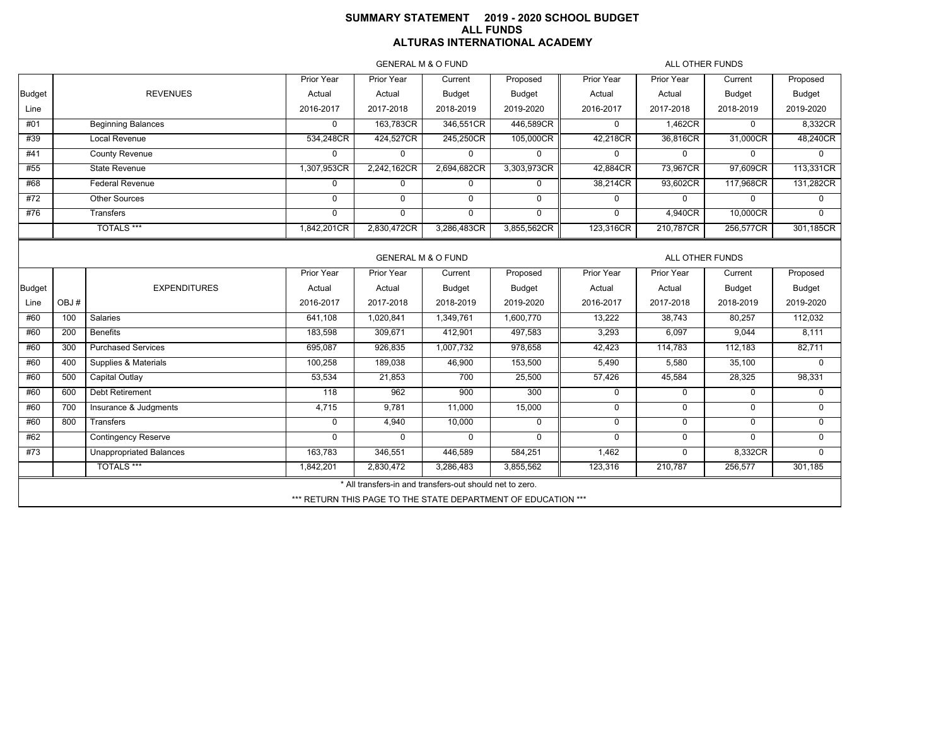# **SUMMARY STATEMENT 2019 - 2020 SCHOOL BUDGET ALL FUNDS ALTURAS INTERNATIONAL ACADEMY**

GENERAL M & O FUND

ALL OTHER FUNDS

| ULINLIVAL IVI OLU UNU<br>ALL VIIILIN I UNDO |      |                                |             |                                                               |               |               |            |                 |               |               |
|---------------------------------------------|------|--------------------------------|-------------|---------------------------------------------------------------|---------------|---------------|------------|-----------------|---------------|---------------|
|                                             |      |                                | Prior Year  | Prior Year                                                    | Current       | Proposed      | Prior Year | Prior Year      | Current       | Proposed      |
| <b>Budget</b>                               |      | <b>REVENUES</b>                | Actual      | Actual                                                        | Budget        | <b>Budget</b> | Actual     | Actual          | <b>Budget</b> | Budget        |
| Line                                        |      |                                | 2016-2017   | 2017-2018                                                     | 2018-2019     | 2019-2020     | 2016-2017  | 2017-2018       | 2018-2019     | 2019-2020     |
| #01                                         |      | <b>Beginning Balances</b>      | $\mathbf 0$ | 163,783CR                                                     | 346,551CR     | 446,589CR     | 0          | 1,462CR         | $\mathbf 0$   | 8,332CR       |
| #39                                         |      | Local Revenue                  | 534,248CR   | 424,527CR                                                     | 245,250CR     | 105,000CR     | 42,218CR   | 36,816CR        | 31,000CR      | 48,240CR      |
| #41                                         |      | <b>County Revenue</b>          | $\Omega$    | $\Omega$                                                      | $\mathbf 0$   | $\mathbf 0$   | 0          | 0               | $\Omega$      | $\Omega$      |
| #55                                         |      | <b>State Revenue</b>           | 1,307,953CR | 2,242,162CR                                                   | 2,694,682CR   | 3,303,973CR   | 42,884CR   | 73,967CR        | 97,609CR      | 113,331CR     |
| #68                                         |      | <b>Federal Revenue</b>         | $\mathbf 0$ | $\mathbf 0$                                                   | $\mathbf 0$   | $\mathbf 0$   | 38,214CR   | 93,602CR        | 117,968CR     | 131,282CR     |
| #72                                         |      | Other Sources                  | $\Omega$    | $\Omega$                                                      | $\Omega$      | $\Omega$      | 0          | 0               | $\Omega$      | $\Omega$      |
| #76                                         |      | Transfers                      | $\Omega$    | $\mathbf 0$                                                   | $\Omega$      | $\Omega$      | 0          | 4,940CR         | 10,000CR      | $\Omega$      |
|                                             |      | <b>TOTALS***</b>               | 1,842,201CR | 2,830,472CR                                                   | 3,286,483CR   | 3,855,562CR   | 123,316CR  | 210,787CR       | 256,577CR     | 301,185CR     |
|                                             |      |                                |             | <b>GENERAL M &amp; O FUND</b>                                 |               |               |            | ALL OTHER FUNDS |               |               |
|                                             |      |                                | Prior Year  | Prior Year                                                    | Current       | Proposed      | Prior Year | Prior Year      | Current       | Proposed      |
| <b>Budget</b>                               |      | <b>EXPENDITURES</b>            | Actual      | Actual                                                        | <b>Budget</b> | <b>Budget</b> | Actual     | Actual          | <b>Budget</b> | <b>Budget</b> |
| Line                                        | OBJ# |                                | 2016-2017   | 2017-2018                                                     | 2018-2019     | 2019-2020     | 2016-2017  | 2017-2018       | 2018-2019     | 2019-2020     |
| #60                                         | 100  | Salaries                       | 641,108     | 1,020,841                                                     | 1,349,761     | 1,600,770     | 13,222     | 38,743          | 80,257        | 112,032       |
| #60                                         | 200  | <b>Benefits</b>                | 183,598     | 309,671                                                       | 412,901       | 497,583       | 3,293      | 6,097           | 9,044         | 8,111         |
| #60                                         | 300  | <b>Purchased Services</b>      | 695,087     | 926,835                                                       | 1,007,732     | 978,658       | 42,423     | 114,783         | 112,183       | 82,711        |
| #60                                         | 400  | Supplies & Materials           | 100,258     | 189,038                                                       | 46,900        | 153,500       | 5,490      | 5,580           | 35,100        | $\Omega$      |
| #60                                         | 500  | Capital Outlay                 | 53,534      | 21,853                                                        | 700           | 25,500        | 57,426     | 45,584          | 28,325        | 98,331        |
| #60                                         | 600  | <b>Debt Retirement</b>         | 118         | 962                                                           | 900           | 300           | 0          | $\mathbf 0$     | $\mathbf 0$   | $\Omega$      |
| #60                                         | 700  | Insurance & Judgments          | 4,715       | 9,781                                                         | 11,000        | 15,000        | 0          | 0               | $\mathbf 0$   | $\mathbf 0$   |
| #60                                         | 800  | Transfers                      | $\mathbf 0$ | 4,940                                                         | 10,000        | $\mathbf 0$   | 0          | $\mathbf 0$     | $\mathbf 0$   | $\mathbf 0$   |
| #62                                         |      | <b>Contingency Reserve</b>     | $\Omega$    | $\mathbf 0$                                                   | $\mathbf 0$   | $\Omega$      | 0          | 0               | $\mathbf 0$   | $\mathbf 0$   |
| #73                                         |      | <b>Unappropriated Balances</b> | 163,783     | 346,551                                                       | 446,589       | 584,251       | 1,462      | $\mathbf 0$     | 8,332CR       | $\Omega$      |
|                                             |      | <b>TOTALS***</b>               | 1,842,201   | 2,830,472                                                     | 3,286,483     | 3,855,562     | 123,316    | 210,787         | 256,577       | 301,185       |
|                                             |      |                                |             | * All transfers-in and transfers-out should net to zero.      |               |               |            |                 |               |               |
|                                             |      |                                |             | *** RETURN THIS PAGE TO THE STATE DEPARTMENT OF EDUCATION *** |               |               |            |                 |               |               |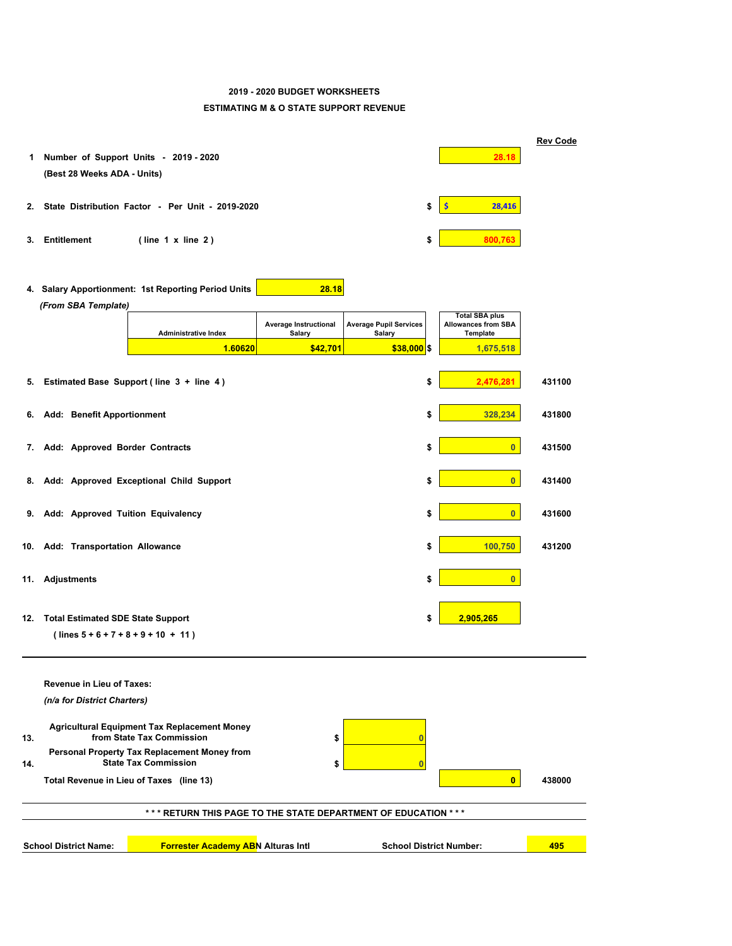## **2019 - 2020 BUDGET WORKSHEETS**

#### **ESTIMATING M & O STATE SUPPORT REVENUE**

| 1.  | Number of Support Units - 2019 - 2020<br>(Best 28 Weeks ADA - Units)              |                                        |                                         | 28.18                                                           | <b>Rev Code</b> |
|-----|-----------------------------------------------------------------------------------|----------------------------------------|-----------------------------------------|-----------------------------------------------------------------|-----------------|
| 2.  | State Distribution Factor - Per Unit - 2019-2020                                  |                                        | \$                                      | $\mathsf{\hat{S}}$<br>28,416                                    |                 |
| З.  | <b>Entitlement</b><br>$($ line $1 \times$ line $2)$                               |                                        | \$                                      | 800,763                                                         |                 |
|     | 4. Salary Apportionment: 1st Reporting Period Units<br>(From SBA Template)        | 28.18                                  |                                         |                                                                 |                 |
|     | <b>Administrative Index</b>                                                       | Average Instructional<br><b>Salary</b> | <b>Average Pupil Services</b><br>Salary | <b>Total SBA plus</b><br><b>Allowances from SBA</b><br>Template |                 |
|     | 1.60620                                                                           | \$42,701                               | $$38,000$ \$                            | 1,675,518                                                       |                 |
|     | 5. Estimated Base Support (line 3 + line 4)                                       |                                        | \$                                      | 2,476,281                                                       | 431100          |
| 6.  | <b>Add: Benefit Apportionment</b>                                                 |                                        | \$                                      | 328,234                                                         | 431800          |
| 7.  | Add: Approved Border Contracts                                                    |                                        | \$                                      | $\overline{0}$                                                  | 431500          |
| 8.  | Add: Approved Exceptional Child Support                                           |                                        | \$                                      | $\overline{0}$                                                  | 431400          |
|     | 9. Add: Approved Tuition Equivalency                                              |                                        | \$                                      | $\overline{0}$                                                  | 431600          |
| 10. | Add: Transportation Allowance                                                     |                                        | \$                                      | 100,750                                                         | 431200          |
| 11. | <b>Adjustments</b>                                                                |                                        | \$                                      | $\overline{0}$                                                  |                 |
| 12. | <b>Total Estimated SDE State Support</b><br>$(lines 5 + 6 + 7 + 8 + 9 + 10 + 11)$ |                                        | \$                                      | 2,905,265                                                       |                 |
|     | <b>Revenue in Lieu of Taxes:</b>                                                  |                                        |                                         |                                                                 |                 |
|     | (n/a for District Charters)                                                       |                                        |                                         |                                                                 |                 |
| 13. | <b>Agricultural Equipment Tax Replacement Money</b><br>from State Tax Commission  | \$                                     | $\overline{0}$                          |                                                                 |                 |
| 14. | Personal Property Tax Replacement Money from<br><b>State Tax Commission</b>       | \$                                     | $\overline{\mathbf{0}}$                 |                                                                 |                 |
|     | Total Revenue in Lieu of Taxes (line 13)                                          |                                        |                                         | $\mathbf{0}$                                                    | 438000          |
|     | *** RETURN THIS PAGE TO THE STATE DEPARTMENT OF EDUCATION ***                     |                                        |                                         |                                                                 |                 |
|     |                                                                                   |                                        |                                         |                                                                 |                 |
|     | <b>School District Name:</b><br><b>Forrester Academy ABN Alturas Intl</b>         |                                        | <b>School District Number:</b>          |                                                                 | 495             |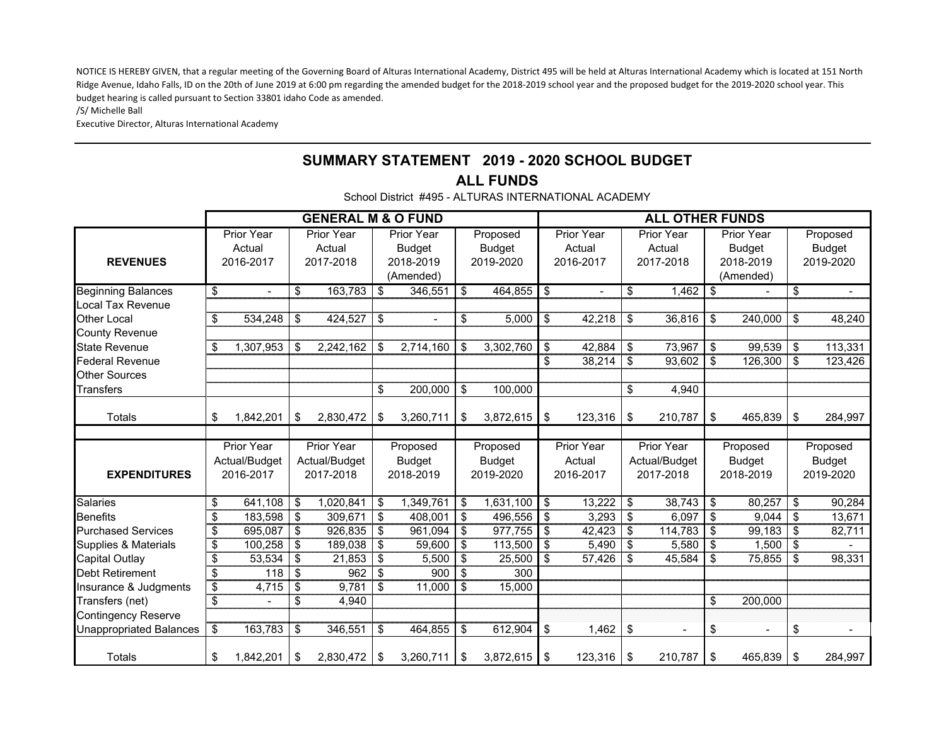NOTICE IS HEREBY GIVEN, that a regular meeting of the Governing Board of Alturas International Academy, District 495 will be held at Alturas International Academy which is located at 151 North Ridge Avenue, Idaho Falls, ID on the 20th of June 2019 at 6:00 pm regarding the amended budget for the 2018‐2019 school year and the proposed budget for the 2019‐2020 school year. This budget hearing is called pursuant to Section 33801 idaho Code as amended.

/S/ Michelle Ball

Executive Director, Alturas International Academy

# **SUMMARY STATEMENT 2019 - 2020 SCHOOL BUDGET**

## **ALL FUNDS**

School District #495 - ALTURAS INTERNATIONAL ACADEMY

|                                |                 |                   | <b>GENERAL M &amp; O FUND</b> |     |               |                         |                |                | <b>ALL OTHER FUNDS</b> |            |               |               |
|--------------------------------|-----------------|-------------------|-------------------------------|-----|---------------|-------------------------|----------------|----------------|------------------------|------------|---------------|---------------|
|                                |                 | Prior Year        | Prior Year                    |     | Prior Year    |                         | Proposed       | Prior Year     | Prior Year             |            | Prior Year    | Proposed      |
|                                |                 | Actual            | Actual                        |     | <b>Budget</b> |                         | <b>Budget</b>  | Actual         | Actual                 |            | <b>Budget</b> | <b>Budget</b> |
| <b>REVENUES</b>                |                 | 2016-2017         | 2017-2018                     |     | 2018-2019     |                         | 2019-2020      | 2016-2017      | 2017-2018              |            | 2018-2019     | 2019-2020     |
|                                |                 |                   |                               |     | (Amended)     |                         |                |                |                        |            | (Amended)     |               |
| <b>Beginning Balances</b>      | \$              |                   | \$<br>163,783                 | -\$ | 346,551       | \$                      | 464,855        | \$             | \$<br>1,462            | \$         |               | \$            |
| Local Tax Revenue              |                 |                   |                               |     |               |                         |                |                |                        |            |               |               |
| <b>Other Local</b>             | \$              | 534,248           | \$<br>424,527                 | \$  |               | \$                      | 5,000          | \$<br>42,218   | \$<br>36,816           | \$         | 240,000       | \$<br>48,240  |
| <b>County Revenue</b>          |                 |                   |                               |     |               |                         |                |                |                        |            |               |               |
| <b>State Revenue</b>           | \$              | 1,307,953         | \$<br>2,242,162               | \$  | 2,714,160     | \$                      | 3,302,760      | \$<br>42,884   | \$<br>73,967           | \$         | 99,539        | \$<br>113,331 |
| <b>Federal Revenue</b>         |                 |                   |                               |     |               |                         |                | \$<br>38,214   | \$<br>93,602           | \$         | 126,300       | \$<br>123,426 |
| <b>Other Sources</b>           |                 |                   |                               |     |               |                         |                |                |                        |            |               |               |
| Transfers                      |                 |                   |                               | \$  | 200,000       | \$                      | 100,000        |                | \$<br>4,940            |            |               |               |
| Totals                         | \$              | 1,842,201         | \$<br>2,830,472               | \$  | 3,260,711     | \$                      | 3,872,615      | \$<br>123,316  | \$<br>210,787          | \$         | $465,839$ \$  | 284,997       |
|                                |                 |                   |                               |     |               |                         |                |                |                        |            |               |               |
|                                |                 | <b>Prior Year</b> | <b>Prior Year</b>             |     | Proposed      |                         | Proposed       | Prior Year     | Prior Year             |            | Proposed      | Proposed      |
|                                |                 | Actual/Budget     | Actual/Budget                 |     | <b>Budget</b> |                         | <b>Budget</b>  | Actual         | Actual/Budget          |            | <b>Budget</b> | <b>Budget</b> |
| <b>EXPENDITURES</b>            |                 | 2016-2017         | 2017-2018                     |     | 2018-2019     |                         | 2019-2020      | 2016-2017      | 2017-2018              |            | 2018-2019     | 2019-2020     |
|                                |                 |                   |                               |     |               |                         |                |                |                        |            |               |               |
| <b>Salaries</b>                | \$              | 641,108           | \$<br>1,020,841               | \$  | 1,349,761     | -\$                     | 1,631,100      | \$<br>13,222   | \$<br>38,743           | \$         | 80,257        | \$<br>90,284  |
| <b>Benefits</b>                | \$              | 183,598           | \$<br>309,671                 | \$  | 408,001       | \$                      | 496,556        | \$<br>3,293    | \$<br>6,097            | \$         | 9,044         | \$<br>13,671  |
| <b>Purchased Services</b>      | \$              | 695,087           | \$<br>926,835                 | \$  | 961,094       | \$                      | 977,755        | \$<br>42,423   | \$<br>114,783          | \$         | 99,183        | \$<br>82,711  |
| Supplies & Materials           | $\overline{\$}$ | 100,258           | \$<br>189,038                 | \$  | 59,600        | -\$                     | 113,500        | \$<br>5,490    | \$<br>5,580            | \$         | 1,500         | \$            |
| <b>Capital Outlay</b>          | \$              | 53,534            | \$<br>21,853                  | \$  | 5,500         | \$                      | 25,500         | \$<br>57,426   | \$<br>45,584           | \$         | 75,855        | \$<br>98,331  |
| <b>Debt Retirement</b>         | $\overline{\$}$ | 118               | \$<br>962                     | \$  | 900           | \$                      | 300            |                |                        |            |               |               |
| Insurance & Judgments          | $\overline{\$}$ | 4,715             | \$<br>9,781                   | \$  | 11,000        | \$                      | 15,000         |                |                        |            |               |               |
| Transfers (net)                | \$              |                   | \$<br>4,940                   |     |               |                         |                |                |                        | \$         | 200,000       |               |
| <b>Contingency Reserve</b>     |                 |                   | 346,551                       |     |               | $\sqrt[6]{\frac{1}{2}}$ |                |                |                        |            |               |               |
| <b>Unappropriated Balances</b> | \$              | 163,783           | \$                            | \$  | 464,855       |                         | 612,904        | \$<br>1,462    | \$                     | \$         |               | \$            |
| Totals                         | \$              | 1,842,201         | \$<br>2,830,472               | \$  | 3,260,711     | \$                      | $3,872,615$ \$ | $123,316$ \ \$ | 210,787                | $\sqrt{3}$ | $465,839$ \$  | 284,997       |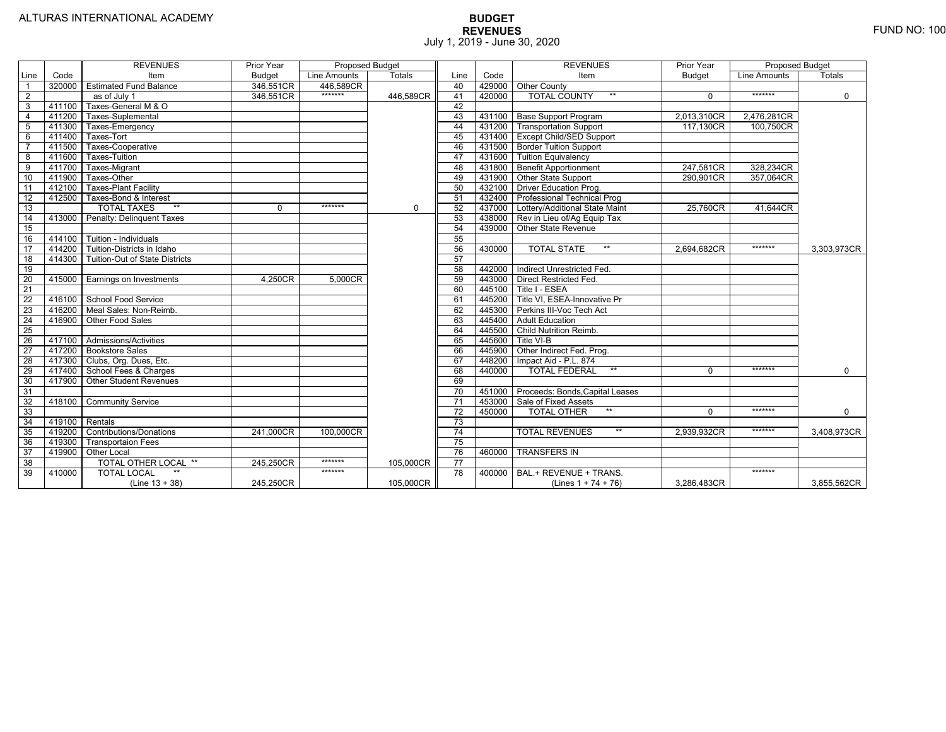|                 |                | <b>REVENUES</b>                  | Prior Year    | <b>Proposed Budget</b> |             |                 |        | <b>REVENUES</b>                          | Prior Year    | <b>Proposed Budget</b> |             |
|-----------------|----------------|----------------------------------|---------------|------------------------|-------------|-----------------|--------|------------------------------------------|---------------|------------------------|-------------|
| Line            | Code           | Item                             | <b>Budget</b> | Line Amounts           | Totals      | Line            | Code   | Item                                     | <b>Budget</b> | Line Amounts           | Totals      |
|                 |                | 320000 Estimated Fund Balance    | 346,551CR     | 446,589CR              |             | 40              |        | 429000 Other County                      |               |                        |             |
| $\overline{2}$  |                | as of July 1                     | 346,551CR     | *******                | 446.589CR   | 41              | 420000 | <b>TOTAL COUNTY</b><br>$***$             | $\Omega$      | *******                | $\Omega$    |
| 3               | 411100         | Taxes-General M & O              |               |                        |             | 42              |        |                                          |               |                        |             |
| $\overline{4}$  | 411200         | Taxes-Suplemental                |               |                        |             | 43              |        | 431100 Base Support Program              | 2,013,310CR   | 2,476,281CR            |             |
| 5               | 411300         | Taxes-Emergency                  |               |                        |             | 44              |        | 431200 Transportation Support            | 117,130CR     | 100,750CR              |             |
| 6               | 411400         | Taxes-Tort                       |               |                        |             | 45              |        | 431400 Except Child/SED Support          |               |                        |             |
|                 | 411500         | Taxes-Cooperative                |               |                        |             | 46              |        | 431500 Border Tuition Support            |               |                        |             |
| 8               | 411600         | Taxes-Tuition                    |               |                        |             | 47              |        | 431600 Tuition Equivalency               |               |                        |             |
| 9               | 411700         | Taxes-Migrant                    |               |                        |             | 48              |        | 431800 Benefit Apportionment             | 247,581CR     | 328,234CR              |             |
| 10              | 411900         | Taxes-Other                      |               |                        |             | 49              |        | 431900 Other State Support               | 290,901CR     | 357.064CR              |             |
| 11              | 412100         | <b>Taxes-Plant Facility</b>      |               |                        |             | 50              |        | 432100 Driver Education Prog.            |               |                        |             |
| 12              | 412500         | Taxes-Bond & Interest            |               |                        |             | 51              |        | 432400 Professional Technical Prog       |               |                        |             |
| 13              |                | $**$<br><b>TOTAL TAXES</b>       | $\mathbf 0$   | $******$               | $\mathbf 0$ | 52              |        | 437000 Lottery/Additional State Maint    | 25,760CR      | 41,644CR               |             |
| 14              |                | 413000 Penalty: Delinquent Taxes |               |                        |             | 53              |        | 438000 Rev in Lieu of/Ag Equip Tax       |               |                        |             |
| 15              |                |                                  |               |                        |             | 54              | 439000 | Other State Revenue                      |               |                        |             |
| 16              | 414100         | Tuition - Individuals            |               |                        |             | 55              |        |                                          |               |                        |             |
| 17              | 414200         | Tuition-Districts in Idaho       |               |                        |             | 56              | 430000 | <b>TOTAL STATE</b><br>$***$              | 2,694,682CR   | *******                | 3,303,973CR |
| 18              | 414300         | Tuition-Out of State Districts   |               |                        |             | 57              |        |                                          |               |                        |             |
| 19              |                |                                  |               |                        |             | 58              | 442000 | Indirect Unrestricted Fed.               |               |                        |             |
| $\overline{20}$ |                | 415000 Earnings on Investments   | 4.250CR       | 5.000CR                |             | 59              | 443000 | <b>Direct Restricted Fed.</b>            |               |                        |             |
| $\overline{21}$ |                |                                  |               |                        |             | 60              | 445100 | Title I - ESEA                           |               |                        |             |
| 22              |                | 416100 School Food Service       |               |                        |             | 61              |        | 445200   Title VI, ESEA-Innovative Pr    |               |                        |             |
| 23              |                | 416200   Meal Sales: Non-Reimb.  |               |                        |             | 62              | 445300 | Perkins III-Voc Tech Act                 |               |                        |             |
| 24              | 416900         | Other Food Sales                 |               |                        |             | 63              | 445400 | <b>Adult Education</b>                   |               |                        |             |
| 25              |                |                                  |               |                        |             | 64              | 445500 | Child Nutrition Reimb.                   |               |                        |             |
| 26              |                | 417100 Admissions/Activities     |               |                        |             | 65              | 445600 | Title VI-B                               |               |                        |             |
| 27              |                | 417200 Bookstore Sales           |               |                        |             | 66              |        | 445900 Other Indirect Fed. Prog.         |               |                        |             |
| $\overline{28}$ | 417300         | Clubs, Org. Dues, Etc.           |               |                        |             | 67              | 448200 | Impact Aid - P.L. 874                    |               |                        |             |
| 29              |                | 417400 School Fees & Charges     |               |                        |             | 68              | 440000 | $**$<br><b>TOTAL FEDERAL</b>             | $\Omega$      | *******                | $\mathbf 0$ |
| 30              | 417900         | <b>Other Student Revenues</b>    |               |                        |             | 69              |        |                                          |               |                        |             |
| 31              |                |                                  |               |                        |             | $\overline{70}$ |        | 451000   Proceeds: Bonds, Capital Leases |               |                        |             |
| $\overline{32}$ | 418100         | <b>Community Service</b>         |               |                        |             | $\overline{71}$ | 453000 | Sale of Fixed Assets                     |               |                        |             |
| 33              |                |                                  |               |                        |             | 72              | 450000 | $***$<br><b>TOTAL OTHER</b>              | $\Omega$      | *******                | $\mathbf 0$ |
| 34              | 419100 Rentals |                                  |               |                        |             | $\overline{73}$ |        |                                          |               |                        |             |
| 35              | 419200         | <b>Contributions/Donations</b>   | 241,000CR     | 100,000CR              |             | 74              |        | $\star\star$<br><b>TOTAL REVENUES</b>    | 2,939,932CR   | *******                | 3,408,973CR |
| 36              | 419300         | <b>Transportaion Fees</b>        |               |                        |             | 75              |        |                                          |               |                        |             |
| 37              | 419900         | Other Local                      |               |                        |             | 76              | 460000 | <b>TRANSFERS IN</b>                      |               |                        |             |
| 38              |                | <b>TOTAL OTHER LOCAL **</b>      | 245,250CR     | *******                | 105,000CR   | $\overline{77}$ |        |                                          |               |                        |             |
| 39              | 410000         | <b>TOTAL LOCAL</b>               |               | *******                |             | 78              | 400000 | BAL.+ REVENUE + TRANS.                   |               | *******                |             |
|                 |                | (Line $13 + 38$ )                | 245,250CR     |                        | 105,000CR   |                 |        | (Lines $1 + 74 + 76$ )                   | 3,286,483CR   |                        | 3,855,562CR |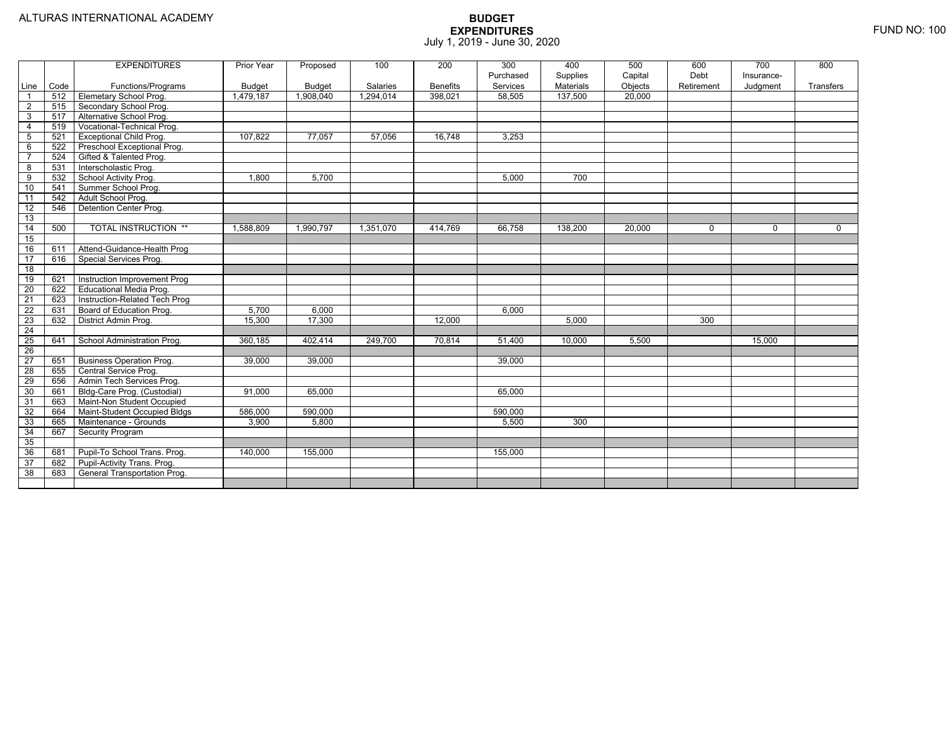|                 |      | <b>EXPENDITURES</b>             | Prior Year    | Proposed      | 100       | 200             | 300       | 400       | 500     | 600         | 700         | 800         |
|-----------------|------|---------------------------------|---------------|---------------|-----------|-----------------|-----------|-----------|---------|-------------|-------------|-------------|
|                 |      |                                 |               |               |           |                 | Purchased | Supplies  | Capital | Debt        | Insurance-  |             |
| Line            | Code | Functions/Programs              | <b>Budget</b> | <b>Budget</b> | Salaries  | <b>Benefits</b> | Services  | Materials | Objects | Retirement  | Judgment    | Transfers   |
| $\overline{1}$  | 512  | Elemetary School Prog.          | 1,479,187     | 1,908,040     | 1,294,014 | 398,021         | 58,505    | 137,500   | 20,000  |             |             |             |
| 2               | 515  | Secondary School Prog.          |               |               |           |                 |           |           |         |             |             |             |
| $\overline{3}$  | 517  | Alternative School Prog.        |               |               |           |                 |           |           |         |             |             |             |
| $\overline{4}$  | 519  | Vocational-Technical Prog.      |               |               |           |                 |           |           |         |             |             |             |
| 5               | 521  | <b>Exceptional Child Prog.</b>  | 107.822       | 77,057        | 57,056    | 16,748          | 3,253     |           |         |             |             |             |
| 6               | 522  | Preschool Exceptional Prog.     |               |               |           |                 |           |           |         |             |             |             |
| $\overline{7}$  | 524  | Gifted & Talented Prog.         |               |               |           |                 |           |           |         |             |             |             |
| 8               | 531  | Interscholastic Prog.           |               |               |           |                 |           |           |         |             |             |             |
| 9               | 532  | School Activity Prog.           | 1,800         | 5,700         |           |                 | 5,000     | 700       |         |             |             |             |
| 10              | 541  | Summer School Prog.             |               |               |           |                 |           |           |         |             |             |             |
| 11              | 542  | Adult School Prog.              |               |               |           |                 |           |           |         |             |             |             |
| $\overline{12}$ | 546  | Detention Center Prog.          |               |               |           |                 |           |           |         |             |             |             |
| 13              |      |                                 |               |               |           |                 |           |           |         |             |             |             |
| 14              | 500  | <b>TOTAL INSTRUCTION **</b>     | 1.588.809     | 1,990,797     | 1,351,070 | 414,769         | 66.758    | 138,200   | 20,000  | $\mathbf 0$ | $\mathbf 0$ | $\mathbf 0$ |
| 15              |      |                                 |               |               |           |                 |           |           |         |             |             |             |
| 16              | 611  | Attend-Guidance-Health Prog     |               |               |           |                 |           |           |         |             |             |             |
| $\overline{17}$ | 616  | Special Services Prog.          |               |               |           |                 |           |           |         |             |             |             |
| 18              |      |                                 |               |               |           |                 |           |           |         |             |             |             |
| 19              | 621  | Instruction Improvement Prog    |               |               |           |                 |           |           |         |             |             |             |
| 20              | 622  | <b>Educational Media Prog.</b>  |               |               |           |                 |           |           |         |             |             |             |
| 21              | 623  | Instruction-Related Tech Prog   |               |               |           |                 |           |           |         |             |             |             |
| 22              | 631  | Board of Education Prog.        | 5,700         | 6,000         |           |                 | 6,000     |           |         |             |             |             |
| $\overline{23}$ | 632  | District Admin Prog.            | 15,300        | 17,300        |           | 12.000          |           | 5,000     |         | 300         |             |             |
| 24              |      |                                 |               |               |           |                 |           |           |         |             |             |             |
| 25              | 641  | School Administration Prog.     | 360,185       | 402,414       | 249.700   | 70,814          | 51.400    | 10,000    | 5.500   |             | 15,000      |             |
| 26              |      |                                 |               |               |           |                 |           |           |         |             |             |             |
| 27              | 651  | <b>Business Operation Prog.</b> | 39,000        | 39,000        |           |                 | 39,000    |           |         |             |             |             |
| 28              | 655  | Central Service Prog.           |               |               |           |                 |           |           |         |             |             |             |
| 29              | 656  | Admin Tech Services Prog.       |               |               |           |                 |           |           |         |             |             |             |
| 30              | 661  | Bldg-Care Prog. (Custodial)     | 91.000        | 65,000        |           |                 | 65,000    |           |         |             |             |             |
| 31              | 663  | Maint-Non Student Occupied      |               |               |           |                 |           |           |         |             |             |             |
| 32              | 664  | Maint-Student Occupied Bldgs    | 586,000       | 590,000       |           |                 | 590,000   |           |         |             |             |             |
| 33              | 665  | Maintenance - Grounds           | 3,900         | 5,800         |           |                 | 5,500     | 300       |         |             |             |             |
| 34              | 667  | Security Program                |               |               |           |                 |           |           |         |             |             |             |
| 35              |      |                                 |               |               |           |                 |           |           |         |             |             |             |
| 36              | 681  | Pupil-To School Trans. Prog.    | 140,000       | 155,000       |           |                 | 155,000   |           |         |             |             |             |
| 37              | 682  | Pupil-Activity Trans. Prog.     |               |               |           |                 |           |           |         |             |             |             |
| 38              | 683  | General Transportation Prog.    |               |               |           |                 |           |           |         |             |             |             |
|                 |      |                                 |               |               |           |                 |           |           |         |             |             |             |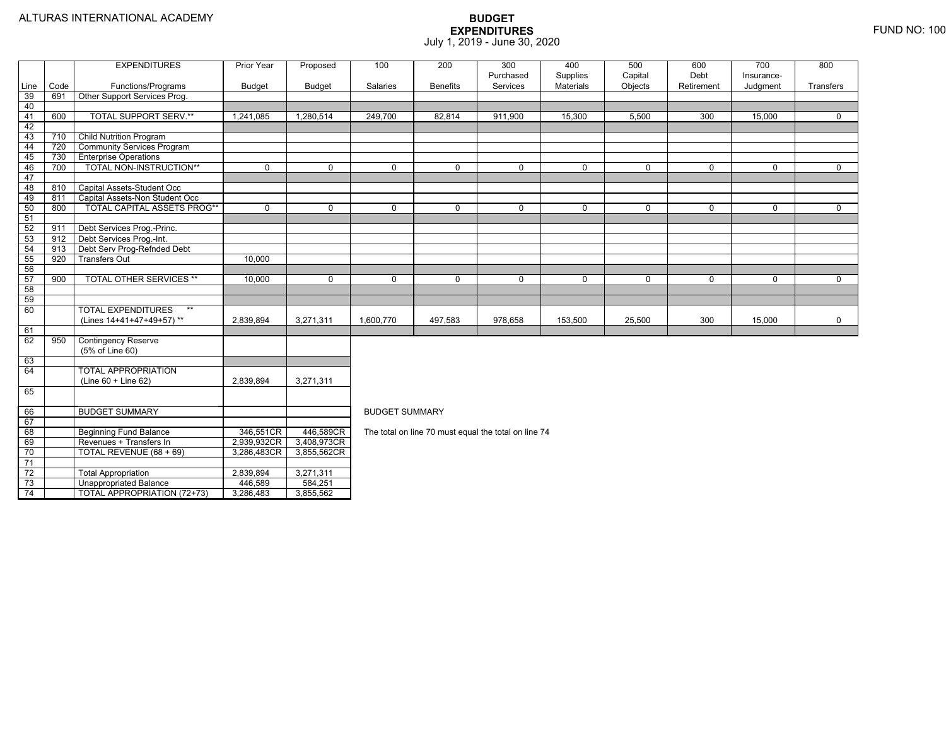74

4 | TOTAL APPROPRIATION (72+73) | 3,286,483 | 3,855,562

|                 |      | <b>EXPENDITURES</b>                | Prior Year    | Proposed      | 100                   | 200             | 300                                                  | 400              | 500         | 600         | 700        | 800         |  |  |  |  |
|-----------------|------|------------------------------------|---------------|---------------|-----------------------|-----------------|------------------------------------------------------|------------------|-------------|-------------|------------|-------------|--|--|--|--|
|                 |      |                                    |               |               |                       |                 | Purchased                                            | Supplies         | Capital     | Debt        | Insurance- |             |  |  |  |  |
| Line            | Code | Functions/Programs                 | <b>Budget</b> | <b>Budget</b> | Salaries              | <b>Benefits</b> | Services                                             | <b>Materials</b> | Objects     | Retirement  | Judgment   | Transfers   |  |  |  |  |
| 39              | 691  | Other Support Services Prog.       |               |               |                       |                 |                                                      |                  |             |             |            |             |  |  |  |  |
| 40              |      |                                    |               |               |                       |                 |                                                      |                  |             |             |            |             |  |  |  |  |
| 41              | 600  | <b>TOTAL SUPPORT SERV.**</b>       | 1,241,085     | 1,280,514     | 249,700               | 82,814          | 911,900                                              | 15,300           | 5,500       | 300         | 15.000     | $\Omega$    |  |  |  |  |
| 42              |      |                                    |               |               |                       |                 |                                                      |                  |             |             |            |             |  |  |  |  |
| 43              | 710  | <b>Child Nutrition Program</b>     |               |               |                       |                 |                                                      |                  |             |             |            |             |  |  |  |  |
| 44              | 720  | <b>Community Services Program</b>  |               |               |                       |                 |                                                      |                  |             |             |            |             |  |  |  |  |
| 45              | 730  | <b>Enterprise Operations</b>       |               |               |                       |                 |                                                      |                  |             |             |            |             |  |  |  |  |
| 46              | 700  | TOTAL NON-INSTRUCTION**            | $\Omega$      | $\Omega$      | $\Omega$              | $\Omega$        | $\mathbf 0$                                          | $\mathbf 0$      | $\Omega$    | $\Omega$    | $\Omega$   | $\Omega$    |  |  |  |  |
| 47              |      |                                    |               |               |                       |                 |                                                      |                  |             |             |            |             |  |  |  |  |
| 48              | 810  | Capital Assets-Student Occ         |               |               |                       |                 |                                                      |                  |             |             |            |             |  |  |  |  |
| 49              | 811  | Capital Assets-Non Student Occ     |               |               |                       |                 |                                                      |                  |             |             |            |             |  |  |  |  |
| 50              | 800  | <b>TOTAL CAPITAL ASSETS PROG**</b> | $\mathbf 0$   | $\mathbf 0$   | $\mathbf 0$           | $\mathbf 0$     | $\mathbf 0$                                          | 0                | $\mathbf 0$ | $\mathbf 0$ | 0          | $\mathbf 0$ |  |  |  |  |
| 51              |      |                                    |               |               |                       |                 |                                                      |                  |             |             |            |             |  |  |  |  |
| 52              | 911  | Debt Services Prog.-Princ.         |               |               |                       |                 |                                                      |                  |             |             |            |             |  |  |  |  |
| 53              | 912  | Debt Services Prog.-Int.           |               |               |                       |                 |                                                      |                  |             |             |            |             |  |  |  |  |
| 54              | 913  | Debt Serv Prog-Refnded Debt        |               |               |                       |                 |                                                      |                  |             |             |            |             |  |  |  |  |
| 55              | 920  | <b>Transfers Out</b>               | 10,000        |               |                       |                 |                                                      |                  |             |             |            |             |  |  |  |  |
| 56              |      |                                    |               |               |                       |                 |                                                      |                  |             |             |            |             |  |  |  |  |
| 57              | 900  | <b>TOTAL OTHER SERVICES **</b>     | 10,000        | $\mathbf 0$   | $\mathbf 0$           | 0               | $\mathbf 0$                                          | 0                | 0           | 0           | 0          | 0           |  |  |  |  |
| 58              |      |                                    |               |               |                       |                 |                                                      |                  |             |             |            |             |  |  |  |  |
| 59              |      |                                    |               |               |                       |                 |                                                      |                  |             |             |            |             |  |  |  |  |
| 60              |      | <b>TOTAL EXPENDITURES</b><br>$***$ |               |               |                       |                 |                                                      |                  |             |             |            |             |  |  |  |  |
|                 |      | (Lines 14+41+47+49+57)**           | 2,839,894     | 3,271,311     | 1,600,770             | 497,583         | 978,658                                              | 153,500          | 25,500      | 300         | 15,000     | 0           |  |  |  |  |
| 61              |      |                                    |               |               |                       |                 |                                                      |                  |             |             |            |             |  |  |  |  |
| 62              | 950  | <b>Contingency Reserve</b>         |               |               |                       |                 |                                                      |                  |             |             |            |             |  |  |  |  |
|                 |      | (5% of Line 60)                    |               |               |                       |                 |                                                      |                  |             |             |            |             |  |  |  |  |
| 63              |      |                                    |               |               |                       |                 |                                                      |                  |             |             |            |             |  |  |  |  |
| 64              |      | <b>TOTAL APPROPRIATION</b>         |               |               |                       |                 |                                                      |                  |             |             |            |             |  |  |  |  |
|                 |      | $(Line 60 + Line 62)$              | 2,839,894     | 3,271,311     |                       |                 |                                                      |                  |             |             |            |             |  |  |  |  |
| 65              |      |                                    |               |               |                       |                 |                                                      |                  |             |             |            |             |  |  |  |  |
|                 |      |                                    |               |               |                       |                 |                                                      |                  |             |             |            |             |  |  |  |  |
| 66              |      | <b>BUDGET SUMMARY</b>              |               |               | <b>BUDGET SUMMARY</b> |                 |                                                      |                  |             |             |            |             |  |  |  |  |
| 67              |      |                                    |               |               |                       |                 |                                                      |                  |             |             |            |             |  |  |  |  |
| 68              |      | <b>Beginning Fund Balance</b>      | 346,551CR     | 446,589CR     |                       |                 | The total on line 70 must equal the total on line 74 |                  |             |             |            |             |  |  |  |  |
| 69              |      | Revenues + Transfers In            | 2,939,932CR   | 3,408,973CR   |                       |                 |                                                      |                  |             |             |            |             |  |  |  |  |
| 70              |      | TOTAL REVENUE (68 + 69)            | 3,286,483CR   | 3,855,562CR   |                       |                 |                                                      |                  |             |             |            |             |  |  |  |  |
| $\overline{71}$ |      |                                    |               |               |                       |                 |                                                      |                  |             |             |            |             |  |  |  |  |
| $\overline{72}$ |      | <b>Total Appropriation</b>         | 2,839,894     | 3,271,311     |                       |                 |                                                      |                  |             |             |            |             |  |  |  |  |
| $\overline{73}$ |      | <b>Unappropriated Balance</b>      | 446,589       | 584,251       |                       |                 |                                                      |                  |             |             |            |             |  |  |  |  |
| 71              |      | $TOTA1$ ADDODDIATION (70.79)       | 2.396.492     | 2.05550       |                       |                 |                                                      |                  |             |             |            |             |  |  |  |  |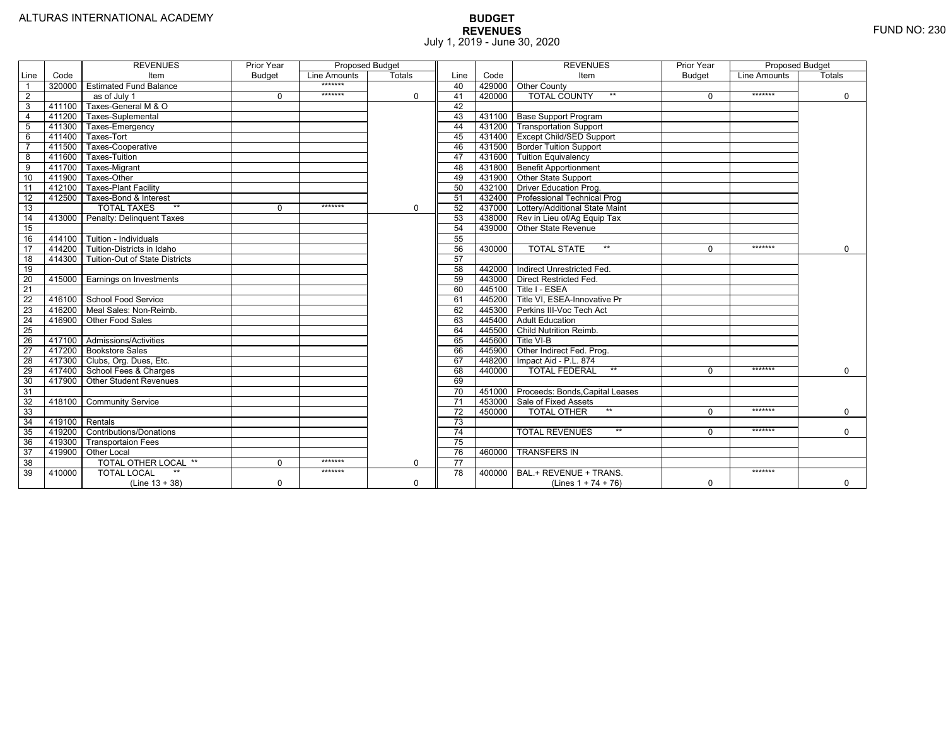|                 |                | <b>REVENUES</b>                   | Prior Year    | Proposed Budget |               |                 |        | <b>REVENUES</b>                        | Prior Year    | Proposed Budget |               |
|-----------------|----------------|-----------------------------------|---------------|-----------------|---------------|-----------------|--------|----------------------------------------|---------------|-----------------|---------------|
| Line            | Code           | Item                              | <b>Budget</b> | Line Amounts    | <b>Totals</b> | Line            | Code   | Item                                   | <b>Budget</b> | Line Amounts    | <b>Totals</b> |
|                 | 320000         | <b>Estimated Fund Balance</b>     |               | *******         |               | 40              |        | 429000 Other County                    |               |                 |               |
| $\overline{2}$  |                | $\overline{as}$ of July 1         | $\Omega$      | *******         | 0             | 41              | 420000 | <b>TOTAL COUNTY</b>                    |               | *******         | $\mathbf 0$   |
| 3               | 411100         | Taxes-General M & O               |               |                 |               | 42              |        |                                        |               |                 |               |
| $\overline{4}$  | 411200         | Taxes-Suplemental                 |               |                 |               | 43              |        | 431100   Base Support Program          |               |                 |               |
| 5               | 411300         | Taxes-Emergency                   |               |                 |               | 44              |        | 431200   Transportation Support        |               |                 |               |
| 6               | 411400         | Taxes-Tort                        |               |                 |               | 45              |        | 431400 Except Child/SED Support        |               |                 |               |
|                 | 411500         | Taxes-Cooperative                 |               |                 |               | 46              |        | 431500 Border Tuition Support          |               |                 |               |
| 8               | 411600         | Taxes-Tuition                     |               |                 |               | 47              |        | 431600 Tuition Equivalency             |               |                 |               |
| 9               | 411700         | Taxes-Migrant                     |               |                 |               | 48              |        | 431800 Benefit Apportionment           |               |                 |               |
| 10              | 411900         | Taxes-Other                       |               |                 |               | 49              |        | 431900 Other State Support             |               |                 |               |
| 11              | 412100         | <b>Taxes-Plant Facility</b>       |               |                 |               | 50              | 432100 | Driver Education Prog.                 |               |                 |               |
| 12              | 412500         | Taxes-Bond & Interest             |               |                 |               | 51              | 432400 | <b>Professional Technical Prog</b>     |               |                 |               |
| 13              |                | $**$<br><b>TOTAL TAXES</b>        | $\Omega$      | *******         | 0             | 52              |        | 437000 Lottery/Additional State Maint  |               |                 |               |
| 14              | 413000         | Penalty: Delinguent Taxes         |               |                 |               | 53              |        | 438000 Rev in Lieu of/Ag Equip Tax     |               |                 |               |
| 15              |                |                                   |               |                 |               | 54              |        | 439000 Other State Revenue             |               |                 |               |
| 16              |                | 414100 Tuition - Individuals      |               |                 |               | 55              |        |                                        |               |                 |               |
| $\overline{17}$ |                | 414200 Tuition-Districts in Idaho |               |                 |               | 56              | 430000 | $**$<br><b>TOTAL STATE</b>             |               | *******         | $\Omega$      |
| $\overline{18}$ | 414300         | Tuition-Out of State Districts    |               |                 |               | 57              |        |                                        |               |                 |               |
| 19              |                |                                   |               |                 |               | 58              |        | 442000   Indirect Unrestricted Fed.    |               |                 |               |
| 20              |                | 415000 Earnings on Investments    |               |                 |               | 59              |        | 443000 Direct Restricted Fed.          |               |                 |               |
| $\overline{21}$ |                |                                   |               |                 |               | 60              |        | 445100 Title I - ESEA                  |               |                 |               |
| 22              | 416100         | School Food Service               |               |                 |               | 61              |        | 445200 Title VI. ESEA-Innovative Pr    |               |                 |               |
| 23              |                | 416200   Meal Sales: Non-Reimb.   |               |                 |               | 62              |        | 445300 Perkins III-Voc Tech Act        |               |                 |               |
| 24              | 416900         | Other Food Sales                  |               |                 |               | 63              |        | 445400 Adult Education                 |               |                 |               |
| $\overline{25}$ |                |                                   |               |                 |               | 64              | 445500 | Child Nutrition Reimb.                 |               |                 |               |
| 26              |                | 417100 Admissions/Activities      |               |                 |               | 65              | 445600 | Title VI-B                             |               |                 |               |
| $\overline{27}$ | 417200         | <b>Bookstore Sales</b>            |               |                 |               | 66              | 445900 | Other Indirect Fed. Prog.              |               |                 |               |
| $\overline{28}$ |                | 417300   Clubs, Org. Dues, Etc.   |               |                 |               | 67              | 448200 | Impact Aid - P.L. 874                  |               |                 |               |
| 29              | 417400         | School Fees & Charges             |               |                 |               | 68              | 440000 | $**$<br><b>TOTAL FEDERAL</b>           | $\Omega$      | *******         | $\Omega$      |
| 30              | 417900         | <b>Other Student Revenues</b>     |               |                 |               | 69              |        |                                        |               |                 |               |
| 31              |                |                                   |               |                 |               | $\overline{70}$ |        | 451000 Proceeds: Bonds, Capital Leases |               |                 |               |
| $\overline{32}$ | 418100         | <b>Community Service</b>          |               |                 |               | $\overline{71}$ |        | 453000 Sale of Fixed Assets            |               |                 |               |
| 33              |                |                                   |               |                 |               | 72              | 450000 | $**$<br><b>TOTAL OTHER</b>             | $\Omega$      | *******         | $\mathbf 0$   |
| 34              | 419100 Rentals |                                   |               |                 |               | 73              |        |                                        |               |                 |               |
| 35              | 419200         | <b>Contributions/Donations</b>    |               |                 |               | 74              |        | $**$<br><b>TOTAL REVENUES</b>          |               | *******         | $\Omega$      |
| 36              | 419300         | Transportaion Fees                |               |                 |               | 75              |        |                                        |               |                 |               |
| 37              | 419900         | <b>Other Local</b>                |               |                 |               | 76              | 460000 | <b>TRANSFERS IN</b>                    |               |                 |               |
| 38              |                | TOTAL OTHER LOCAL **              | $\Omega$      | *******         | 0             | 77              |        |                                        |               |                 |               |
| 39              | 410000         | <b>TOTAL LOCAL</b>                |               | *******         |               | $\overline{78}$ | 400000 | BAL.+ REVENUE + TRANS.                 |               | *******         |               |
|                 |                | $(Line 13 + 38)$                  | $\Omega$      |                 | $\Omega$      |                 |        | (Lines $1 + 74 + 76$ )                 | $\Omega$      |                 | $\mathbf 0$   |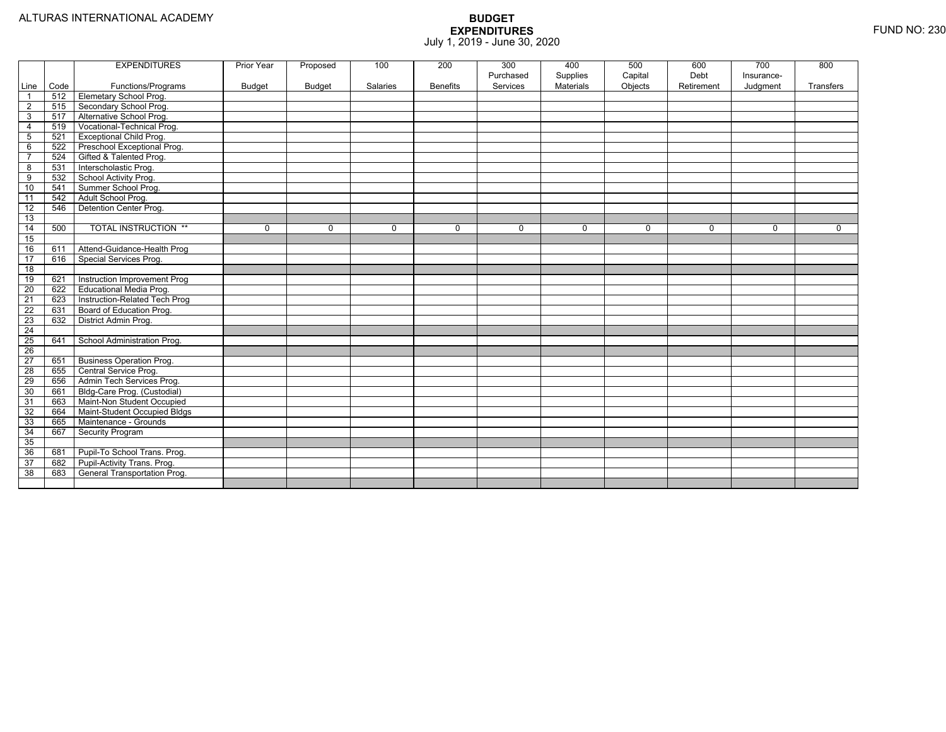|                 |      | <b>EXPENDITURES</b>             | Prior Year | Proposed      | 100      | 200             | 300<br>Purchased | 400<br>Supplies | 500<br>Capital | 600<br>Debt | 700<br>Insurance- | 800         |
|-----------------|------|---------------------------------|------------|---------------|----------|-----------------|------------------|-----------------|----------------|-------------|-------------------|-------------|
| Line            | Code | Functions/Programs              | Budget     | <b>Budget</b> | Salaries | <b>Benefits</b> | Services         | Materials       | Objects        | Retirement  | Judgment          | Transfers   |
| $\overline{1}$  | 512  | <b>Elemetary School Prog.</b>   |            |               |          |                 |                  |                 |                |             |                   |             |
| $\overline{2}$  | 515  | Secondary School Prog.          |            |               |          |                 |                  |                 |                |             |                   |             |
| 3               | 517  | Alternative School Prog.        |            |               |          |                 |                  |                 |                |             |                   |             |
| $\overline{4}$  | 519  | Vocational-Technical Prog.      |            |               |          |                 |                  |                 |                |             |                   |             |
| $5\phantom{.0}$ | 521  | <b>Exceptional Child Prog.</b>  |            |               |          |                 |                  |                 |                |             |                   |             |
| 6               | 522  | Preschool Exceptional Prog.     |            |               |          |                 |                  |                 |                |             |                   |             |
| $\overline{7}$  | 524  | Gifted & Talented Prog.         |            |               |          |                 |                  |                 |                |             |                   |             |
| 8               | 531  | Interscholastic Prog.           |            |               |          |                 |                  |                 |                |             |                   |             |
| 9               | 532  | School Activity Prog.           |            |               |          |                 |                  |                 |                |             |                   |             |
| 10              | 541  | Summer School Prog.             |            |               |          |                 |                  |                 |                |             |                   |             |
| 11              | 542  | Adult School Prog.              |            |               |          |                 |                  |                 |                |             |                   |             |
| 12              | 546  | Detention Center Prog.          |            |               |          |                 |                  |                 |                |             |                   |             |
| 13              |      |                                 |            |               |          |                 |                  |                 |                |             |                   |             |
| 14              | 500  | <b>TOTAL INSTRUCTION **</b>     | 0          | $\Omega$      | $\Omega$ | 0               | $\mathbf 0$      | 0               | $\mathbf 0$    | $\Omega$    | 0                 | $\mathbf 0$ |
| 15              |      |                                 |            |               |          |                 |                  |                 |                |             |                   |             |
| 16              | 611  | Attend-Guidance-Health Prog     |            |               |          |                 |                  |                 |                |             |                   |             |
| 17              | 616  | Special Services Prog.          |            |               |          |                 |                  |                 |                |             |                   |             |
| $\overline{18}$ |      |                                 |            |               |          |                 |                  |                 |                |             |                   |             |
| 19              | 621  | Instruction Improvement Prog    |            |               |          |                 |                  |                 |                |             |                   |             |
| $\overline{20}$ | 622  | <b>Educational Media Prog.</b>  |            |               |          |                 |                  |                 |                |             |                   |             |
| 21              | 623  | Instruction-Related Tech Prog   |            |               |          |                 |                  |                 |                |             |                   |             |
| 22              | 631  | Board of Education Prog.        |            |               |          |                 |                  |                 |                |             |                   |             |
| 23              | 632  | District Admin Prog.            |            |               |          |                 |                  |                 |                |             |                   |             |
| 24              |      |                                 |            |               |          |                 |                  |                 |                |             |                   |             |
| $\overline{25}$ | 641  | School Administration Prog.     |            |               |          |                 |                  |                 |                |             |                   |             |
| $\overline{26}$ |      |                                 |            |               |          |                 |                  |                 |                |             |                   |             |
| 27              | 651  | <b>Business Operation Prog.</b> |            |               |          |                 |                  |                 |                |             |                   |             |
| $\overline{28}$ | 655  | Central Service Prog.           |            |               |          |                 |                  |                 |                |             |                   |             |
| 29              | 656  | Admin Tech Services Prog.       |            |               |          |                 |                  |                 |                |             |                   |             |
| 30              | 661  | Bldg-Care Prog. (Custodial)     |            |               |          |                 |                  |                 |                |             |                   |             |
| 31              | 663  | Maint-Non Student Occupied      |            |               |          |                 |                  |                 |                |             |                   |             |
| 32              | 664  | Maint-Student Occupied Bldgs    |            |               |          |                 |                  |                 |                |             |                   |             |
| 33              | 665  | Maintenance - Grounds           |            |               |          |                 |                  |                 |                |             |                   |             |
| 34              | 667  | Security Program                |            |               |          |                 |                  |                 |                |             |                   |             |
| 35              |      |                                 |            |               |          |                 |                  |                 |                |             |                   |             |
| 36              | 681  | Pupil-To School Trans. Prog.    |            |               |          |                 |                  |                 |                |             |                   |             |
| 37              | 682  | Pupil-Activity Trans. Prog.     |            |               |          |                 |                  |                 |                |             |                   |             |
| 38              | 683  | General Transportation Prog.    |            |               |          |                 |                  |                 |                |             |                   |             |
|                 |      |                                 |            |               |          |                 |                  |                 |                |             |                   |             |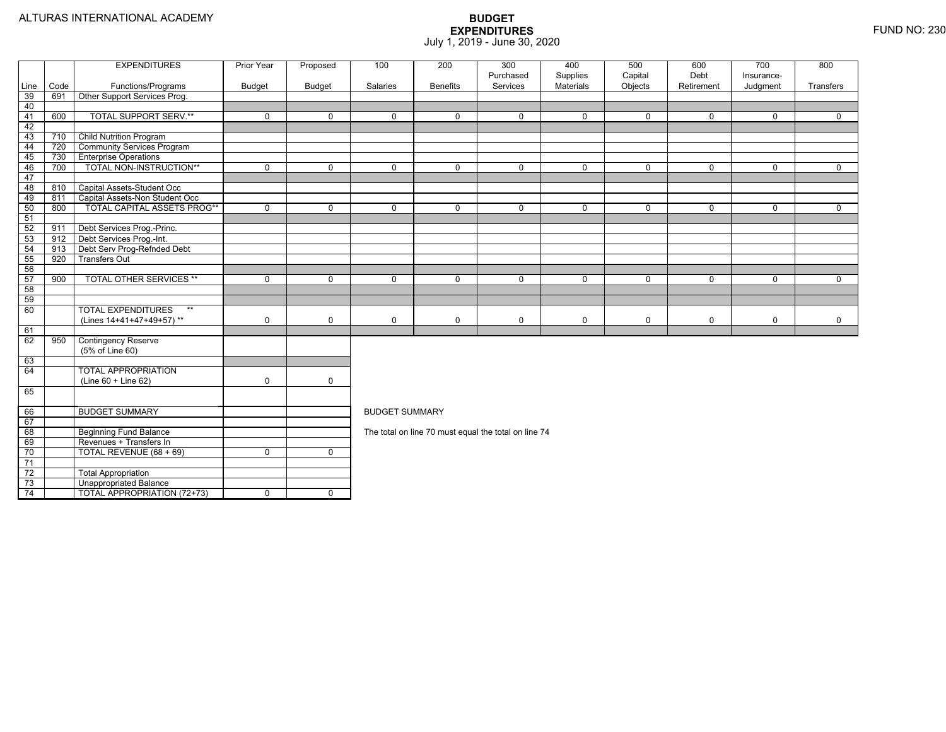|          |      | <b>EXPENDITURES</b>                | Prior Year    | Proposed      | 100                   | 200             | 300<br>Purchased                                     | 400<br>Supplies | 500<br>Capital | 600<br>Debt | 700<br>Insurance- | 800         |  |  |  |
|----------|------|------------------------------------|---------------|---------------|-----------------------|-----------------|------------------------------------------------------|-----------------|----------------|-------------|-------------------|-------------|--|--|--|
| Line     | Code | Functions/Programs                 | <b>Budget</b> | <b>Budget</b> | Salaries              | <b>Benefits</b> | Services                                             | Materials       | Objects        | Retirement  | Judgment          | Transfers   |  |  |  |
| 39       | 691  | Other Support Services Prog.       |               |               |                       |                 |                                                      |                 |                |             |                   |             |  |  |  |
| 40       |      |                                    |               |               |                       |                 |                                                      |                 |                |             |                   |             |  |  |  |
| 41       | 600  | <b>TOTAL SUPPORT SERV.**</b>       | $\mathbf 0$   | $\mathbf 0$   | $\Omega$              | $\Omega$        | $\mathbf 0$                                          | $\mathbf 0$     | $\mathbf 0$    | $\Omega$    | $\Omega$          | $\Omega$    |  |  |  |
| 42       |      |                                    |               |               |                       |                 |                                                      |                 |                |             |                   |             |  |  |  |
| 43       | 710  | <b>Child Nutrition Program</b>     |               |               |                       |                 |                                                      |                 |                |             |                   |             |  |  |  |
| 44       | 720  | <b>Community Services Program</b>  |               |               |                       |                 |                                                      |                 |                |             |                   |             |  |  |  |
| 45       | 730  | <b>Enterprise Operations</b>       |               |               |                       |                 |                                                      |                 |                |             |                   |             |  |  |  |
| 46       | 700  | TOTAL NON-INSTRUCTION**            | $\Omega$      | $\Omega$      | $\Omega$              | $\Omega$        | $\mathbf 0$                                          | $\Omega$        | $\Omega$       | $\Omega$    | $\Omega$          | $\Omega$    |  |  |  |
| 47       |      |                                    |               |               |                       |                 |                                                      |                 |                |             |                   |             |  |  |  |
| 48       | 810  | Capital Assets-Student Occ         |               |               |                       |                 |                                                      |                 |                |             |                   |             |  |  |  |
| 49       | 811  | Capital Assets-Non Student Occ     |               |               |                       |                 |                                                      |                 |                |             |                   |             |  |  |  |
| 50       | 800  | <b>TOTAL CAPITAL ASSETS PROG**</b> | $\mathbf 0$   | $\mathbf 0$   | 0                     | 0               | $\mathbf 0$                                          | $\mathbf 0$     | $\mathbf 0$    | 0           | $\mathbf 0$       | $\mathbf 0$ |  |  |  |
| 51       |      |                                    |               |               |                       |                 |                                                      |                 |                |             |                   |             |  |  |  |
| 52       | 911  | Debt Services Prog.-Princ.         |               |               |                       |                 |                                                      |                 |                |             |                   |             |  |  |  |
| 53       | 912  | Debt Services Prog.-Int.           |               |               |                       |                 |                                                      |                 |                |             |                   |             |  |  |  |
| 54       | 913  | Debt Serv Prog-Refnded Debt        |               |               |                       |                 |                                                      |                 |                |             |                   |             |  |  |  |
| 55       | 920  | <b>Transfers Out</b>               |               |               |                       |                 |                                                      |                 |                |             |                   |             |  |  |  |
| 56       |      |                                    |               |               |                       |                 |                                                      |                 |                |             |                   |             |  |  |  |
| 57       | 900  | <b>TOTAL OTHER SERVICES **</b>     | $\mathbf 0$   | $\Omega$      | $\Omega$              | $\Omega$        | $\mathbf 0$                                          | $\mathbf 0$     | $\mathbf 0$    | $\Omega$    | $\mathbf 0$       | $\mathbf 0$ |  |  |  |
| 58       |      |                                    |               |               |                       |                 |                                                      |                 |                |             |                   |             |  |  |  |
| 59       |      |                                    |               |               |                       |                 |                                                      |                 |                |             |                   |             |  |  |  |
| 60       |      | <b>TOTAL EXPENDITURES</b><br>$**$  |               |               |                       |                 |                                                      |                 |                |             |                   |             |  |  |  |
|          |      | (Lines 14+41+47+49+57)**           | $\mathbf 0$   | $\mathbf 0$   | $\Omega$              | $\mathbf 0$     | 0                                                    | 0               | $\mathbf 0$    | 0           | $\mathbf 0$       | $\mathbf 0$ |  |  |  |
| 61       |      |                                    |               |               |                       |                 |                                                      |                 |                |             |                   |             |  |  |  |
| 62       | 950  | <b>Contingency Reserve</b>         |               |               |                       |                 |                                                      |                 |                |             |                   |             |  |  |  |
|          |      | (5% of Line 60)                    |               |               |                       |                 |                                                      |                 |                |             |                   |             |  |  |  |
| 63<br>64 |      | <b>TOTAL APPROPRIATION</b>         |               |               |                       |                 |                                                      |                 |                |             |                   |             |  |  |  |
|          |      | (Line 60 + Line 62)                | $\mathbf 0$   | $\mathsf{O}$  |                       |                 |                                                      |                 |                |             |                   |             |  |  |  |
| 65       |      |                                    |               |               |                       |                 |                                                      |                 |                |             |                   |             |  |  |  |
|          |      |                                    |               |               |                       |                 |                                                      |                 |                |             |                   |             |  |  |  |
| 66       |      | <b>BUDGET SUMMARY</b>              |               |               | <b>BUDGET SUMMARY</b> |                 |                                                      |                 |                |             |                   |             |  |  |  |
| 67       |      |                                    |               |               |                       |                 |                                                      |                 |                |             |                   |             |  |  |  |
| 68       |      | <b>Beginning Fund Balance</b>      |               |               |                       |                 | The total on line 70 must equal the total on line 74 |                 |                |             |                   |             |  |  |  |
| 69       |      | Revenues + Transfers In            |               |               |                       |                 |                                                      |                 |                |             |                   |             |  |  |  |
| 70       |      | TOTAL REVENUE (68 + 69)            | $\mathbf 0$   | $\mathbf 0$   |                       |                 |                                                      |                 |                |             |                   |             |  |  |  |
| 71       |      |                                    |               |               |                       |                 |                                                      |                 |                |             |                   |             |  |  |  |
| 72       |      | <b>Total Appropriation</b>         |               |               |                       |                 |                                                      |                 |                |             |                   |             |  |  |  |
|          |      |                                    |               |               |                       |                 |                                                      |                 |                |             |                   |             |  |  |  |
| 73       |      | <b>Unappropriated Balance</b>      |               |               | $\mathbf 0$           |                 |                                                      |                 |                |             |                   |             |  |  |  |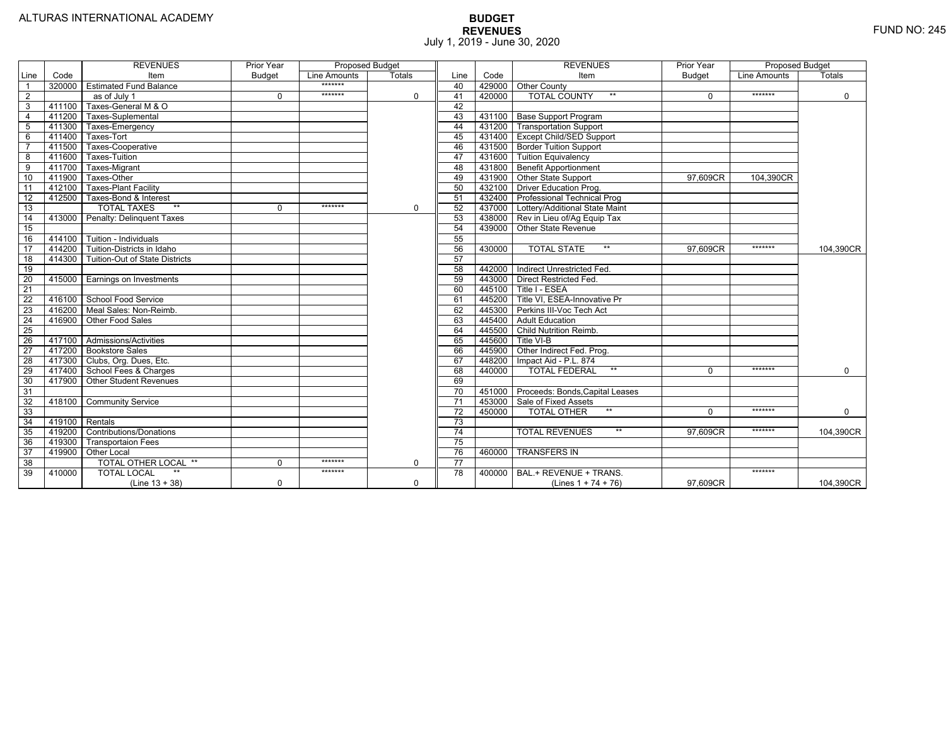|                 |                | <b>REVENUES</b>                         | Prior Year    | <b>Proposed Budget</b> |             |                 |        | <b>REVENUES</b>                        | Prior Year | <b>Proposed Budget</b> |             |
|-----------------|----------------|-----------------------------------------|---------------|------------------------|-------------|-----------------|--------|----------------------------------------|------------|------------------------|-------------|
| Line            | Code           | Item                                    | <b>Budget</b> | Line Amounts           | Totals      | Line            | Code   | Item                                   | Budget     | Line Amounts           | Totals      |
|                 |                | 320000 Estimated Fund Balance           |               | *******                |             | 40              |        | 429000 Other County                    |            |                        |             |
| $\overline{2}$  |                | as of July 1                            | $\Omega$      | *******                | 0           | 41              | 420000 | <b>TOTAL COUNTY</b><br>$***$           | $\Omega$   | *******                | $\mathbf 0$ |
| 3               | 411100         | Taxes-General M & O                     |               |                        |             | 42              |        |                                        |            |                        |             |
| $\overline{4}$  | 411200         | Taxes-Suplemental                       |               |                        |             | 43              |        | 431100 Base Support Program            |            |                        |             |
| 5               |                | 411300 Taxes-Emergency                  |               |                        |             | 44              |        | 431200 Transportation Support          |            |                        |             |
| 6               | 411400         | Taxes-Tort                              |               |                        |             | 45              |        | 431400 Except Child/SED Support        |            |                        |             |
|                 | 411500         | Taxes-Cooperative                       |               |                        |             | 46              |        | 431500 Border Tuition Support          |            |                        |             |
| 8               | 411600         | Taxes-Tuition                           |               |                        |             | 47              |        | 431600 Tuition Equivalency             |            |                        |             |
| 9               | 411700         | Taxes-Migrant                           |               |                        |             | 48              |        | 431800 Benefit Apportionment           |            |                        |             |
| 10              | 411900         | Taxes-Other                             |               |                        |             | 49              |        | 431900 Other State Support             | 97.609CR   | 104.390CR              |             |
| 11              | 412100         | <b>Taxes-Plant Facility</b>             |               |                        |             | 50              |        | 432100 Driver Education Prog.          |            |                        |             |
| 12              | 412500         | Taxes-Bond & Interest                   |               |                        |             | 51              |        | 432400   Professional Technical Prog   |            |                        |             |
| 13              |                | $**$<br><b>TOTAL TAXES</b>              | $\Omega$      | *******                | 0           | 52              |        | 437000 Lottery/Additional State Maint  |            |                        |             |
| 14              |                | 413000 Penalty: Delinguent Taxes        |               |                        |             | 53              |        | 438000 Rev in Lieu of/Ag Equip Tax     |            |                        |             |
| 15              |                |                                         |               |                        |             | 54              |        | 439000 Other State Revenue             |            |                        |             |
| 16              |                | 414100 Tuition - Individuals            |               |                        |             | 55              |        |                                        |            |                        |             |
| 17              |                | 414200 Tuition-Districts in Idaho       |               |                        |             | 56              | 430000 | $**$<br><b>TOTAL STATE</b>             | 97.609CR   | *******                | 104,390CR   |
| $\overline{18}$ |                | 414300   Tuition-Out of State Districts |               |                        |             | 57              |        |                                        |            |                        |             |
| 19              |                |                                         |               |                        |             | 58              |        | 442000   Indirect Unrestricted Fed.    |            |                        |             |
| 20              |                | 415000 Earnings on Investments          |               |                        |             | 59              |        | 443000 Direct Restricted Fed.          |            |                        |             |
| 21              |                |                                         |               |                        |             | 60              |        | 445100 Title I - ESEA                  |            |                        |             |
| 22              |                | 416100 School Food Service              |               |                        |             | 61              | 445200 | Title VI. ESEA-Innovative Pr           |            |                        |             |
| 23              |                | 416200   Meal Sales: Non-Reimb.         |               |                        |             | 62              |        | 445300 Perkins III-Voc Tech Act        |            |                        |             |
| 24              |                | 416900 Other Food Sales                 |               |                        |             | 63              | 445400 | <b>Adult Education</b>                 |            |                        |             |
| $\overline{25}$ |                |                                         |               |                        |             | 64              | 445500 | Child Nutrition Reimb.                 |            |                        |             |
| 26              |                | 417100 Admissions/Activities            |               |                        |             | 65              | 445600 | Title VI-B                             |            |                        |             |
| $\overline{27}$ |                | 417200 Bookstore Sales                  |               |                        |             | 66              | 445900 | Other Indirect Fed. Prog.              |            |                        |             |
| $\overline{28}$ |                | 417300 Clubs, Org. Dues, Etc.           |               |                        |             | 67              | 448200 | Impact Aid - P.L. 874                  |            |                        |             |
| $\overline{29}$ |                | 417400 School Fees & Charges            |               |                        |             | 68              | 440000 | $***$<br><b>TOTAL FEDERAL</b>          | $\Omega$   | *******                | $\mathbf 0$ |
| 30              |                | 417900 Other Student Revenues           |               |                        |             | 69              |        |                                        |            |                        |             |
| 31              |                |                                         |               |                        |             | 70              |        | 451000 Proceeds: Bonds, Capital Leases |            |                        |             |
| $\overline{32}$ | 418100         | <b>Community Service</b>                |               |                        |             | $\overline{71}$ |        | 453000 Sale of Fixed Assets            |            |                        |             |
| 33              |                |                                         |               |                        |             | 72              | 450000 | $**$<br><b>TOTAL OTHER</b>             | $\Omega$   | *******                | $\mathbf 0$ |
| 34              | 419100 Rentals |                                         |               |                        |             | 73              |        |                                        |            |                        |             |
| 35              |                | 419200 Contributions/Donations          |               |                        |             | $\overline{74}$ |        | $**$<br><b>TOTAL REVENUES</b>          | 97.609CR   | *******                | 104,390CR   |
| 36              | 419300         | <b>Transportaion Fees</b>               |               |                        |             | 75              |        |                                        |            |                        |             |
| 37              |                | 419900 Other Local                      |               |                        |             | 76              | 460000 | <b>TRANSFERS IN</b>                    |            |                        |             |
| 38              |                | TOTAL OTHER LOCAL **                    | $\mathbf 0$   | *******                | $\mathbf 0$ | 77              |        |                                        |            |                        |             |
| 39              | 410000         | <b>TOTAL LOCAL</b>                      |               | *******                |             | 78              | 400000 | BAL.+ REVENUE + TRANS.                 |            | *******                |             |
|                 |                | $(Line 13 + 38)$                        | $\Omega$      |                        | $\Omega$    |                 |        | (Lines $1 + 74 + 76$ )                 | 97.609CR   |                        | 104,390CR   |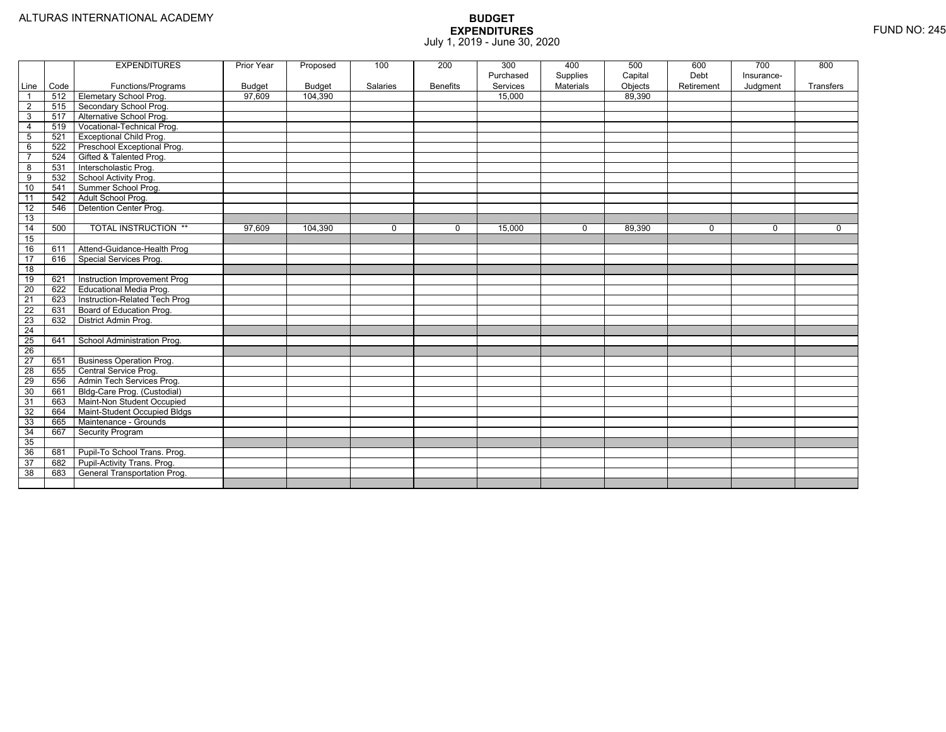|                         |             | <b>EXPENDITURES</b>             | Prior Year              | Proposed                 | 100      | 200             | 300                | 400         | 500               | 600        | 700        | 800       |
|-------------------------|-------------|---------------------------------|-------------------------|--------------------------|----------|-----------------|--------------------|-------------|-------------------|------------|------------|-----------|
|                         |             |                                 |                         |                          |          |                 | Purchased          | Supplies    | Capital           | Debt       | Insurance- |           |
| Line                    | Code<br>512 | Functions/Programs              | <b>Budget</b><br>97.609 | <b>Budget</b><br>104.390 | Salaries | <b>Benefits</b> | Services<br>15.000 | Materials   | Objects<br>89.390 | Retirement | Judgment   | Transfers |
| $\overline{1}$          |             | Elemetary School Prog.          |                         |                          |          |                 |                    |             |                   |            |            |           |
| $\overline{2}$          | 515         | Secondary School Prog.          |                         |                          |          |                 |                    |             |                   |            |            |           |
| 3                       | 517         | Alternative School Prog.        |                         |                          |          |                 |                    |             |                   |            |            |           |
| $\overline{4}$          | 519         | Vocational-Technical Prog.      |                         |                          |          |                 |                    |             |                   |            |            |           |
| $5\phantom{.0}$         | 521         | <b>Exceptional Child Prog.</b>  |                         |                          |          |                 |                    |             |                   |            |            |           |
| 6                       | 522         | Preschool Exceptional Prog.     |                         |                          |          |                 |                    |             |                   |            |            |           |
| $\overline{7}$          | 524         | Gifted & Talented Prog.         |                         |                          |          |                 |                    |             |                   |            |            |           |
| $\overline{\mathbf{8}}$ | 531         | Interscholastic Prog.           |                         |                          |          |                 |                    |             |                   |            |            |           |
| 9                       | 532         | School Activity Prog.           |                         |                          |          |                 |                    |             |                   |            |            |           |
| 10                      | 541         | Summer School Prog.             |                         |                          |          |                 |                    |             |                   |            |            |           |
| 11                      | 542         | Adult School Prog.              |                         |                          |          |                 |                    |             |                   |            |            |           |
| 12                      | 546         | Detention Center Prog.          |                         |                          |          |                 |                    |             |                   |            |            |           |
| 13                      |             |                                 |                         |                          |          |                 |                    |             |                   |            |            |           |
| 14                      | 500         | <b>TOTAL INSTRUCTION **</b>     | 97.609                  | 104,390                  | $\Omega$ | $\Omega$        | 15,000             | $\mathbf 0$ | 89.390            | $\Omega$   | $\Omega$   | $\Omega$  |
| 15                      |             |                                 |                         |                          |          |                 |                    |             |                   |            |            |           |
| 16                      | 611         | Attend-Guidance-Health Prog     |                         |                          |          |                 |                    |             |                   |            |            |           |
| 17                      | 616         | Special Services Prog.          |                         |                          |          |                 |                    |             |                   |            |            |           |
| $\overline{18}$         |             |                                 |                         |                          |          |                 |                    |             |                   |            |            |           |
| 19                      | 621         | Instruction Improvement Prog    |                         |                          |          |                 |                    |             |                   |            |            |           |
| $\overline{20}$         | 622         | <b>Educational Media Prog.</b>  |                         |                          |          |                 |                    |             |                   |            |            |           |
| 21                      | 623         | Instruction-Related Tech Prog   |                         |                          |          |                 |                    |             |                   |            |            |           |
| $\overline{22}$         | 631         | Board of Education Prog.        |                         |                          |          |                 |                    |             |                   |            |            |           |
| 23                      | 632         | District Admin Prog.            |                         |                          |          |                 |                    |             |                   |            |            |           |
| $\overline{24}$         |             |                                 |                         |                          |          |                 |                    |             |                   |            |            |           |
| 25                      | 641         | School Administration Prog.     |                         |                          |          |                 |                    |             |                   |            |            |           |
| 26                      |             |                                 |                         |                          |          |                 |                    |             |                   |            |            |           |
| $\overline{27}$         | 651         | <b>Business Operation Prog.</b> |                         |                          |          |                 |                    |             |                   |            |            |           |
| 28                      | 655         | Central Service Prog.           |                         |                          |          |                 |                    |             |                   |            |            |           |
| 29                      | 656         | Admin Tech Services Prog.       |                         |                          |          |                 |                    |             |                   |            |            |           |
| 30                      | 661         | Bldg-Care Prog. (Custodial)     |                         |                          |          |                 |                    |             |                   |            |            |           |
| 31                      | 663         | Maint-Non Student Occupied      |                         |                          |          |                 |                    |             |                   |            |            |           |
| 32                      | 664         | Maint-Student Occupied Bldgs    |                         |                          |          |                 |                    |             |                   |            |            |           |
| 33                      | 665         | Maintenance - Grounds           |                         |                          |          |                 |                    |             |                   |            |            |           |
| 34                      | 667         | <b>Security Program</b>         |                         |                          |          |                 |                    |             |                   |            |            |           |
| 35                      |             |                                 |                         |                          |          |                 |                    |             |                   |            |            |           |
| 36                      | 681         | Pupil-To School Trans. Prog.    |                         |                          |          |                 |                    |             |                   |            |            |           |
| 37                      | 682         | Pupil-Activity Trans. Prog.     |                         |                          |          |                 |                    |             |                   |            |            |           |
| 38                      | 683         | General Transportation Prog.    |                         |                          |          |                 |                    |             |                   |            |            |           |
|                         |             |                                 |                         |                          |          |                 |                    |             |                   |            |            |           |
|                         |             |                                 |                         |                          |          |                 |                    |             |                   |            |            |           |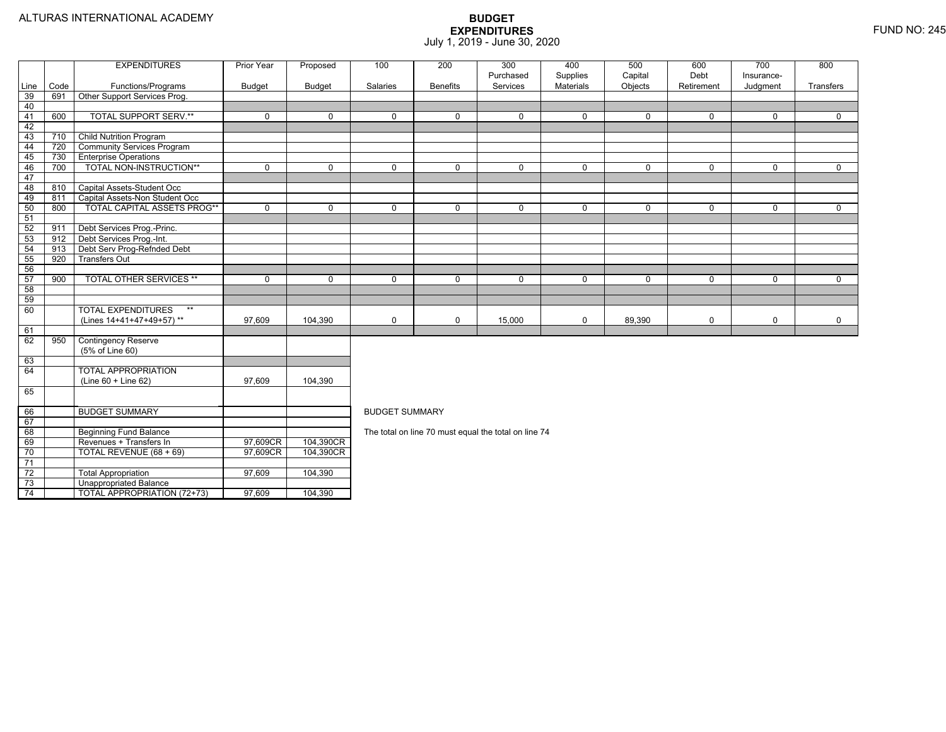74

TOTAL APPROPRIATION (72+73) 97,609 104,390

|      |      | <b>EXPENDITURES</b>                | Prior Year    | Proposed    | 100                   | 200             | 300                                                  | 400                          | 500                | 600                | 700                    | 800         |
|------|------|------------------------------------|---------------|-------------|-----------------------|-----------------|------------------------------------------------------|------------------------------|--------------------|--------------------|------------------------|-------------|
| Line | Code | Functions/Programs                 | <b>Budget</b> | Budget      | Salaries              | <b>Benefits</b> | Purchased<br>Services                                | Supplies<br><b>Materials</b> | Capital<br>Objects | Debt<br>Retirement | Insurance-<br>Judgment | Transfers   |
| 39   | 691  | Other Support Services Prog.       |               |             |                       |                 |                                                      |                              |                    |                    |                        |             |
| 40   |      |                                    |               |             |                       |                 |                                                      |                              |                    |                    |                        |             |
| 41   | 600  | <b>TOTAL SUPPORT SERV.**</b>       | $\mathbf 0$   | $\Omega$    | $\Omega$              | $\Omega$        | $\mathbf{0}$                                         | $\mathbf 0$                  | $\Omega$           | $\Omega$           | 0                      | $\Omega$    |
| 42   |      |                                    |               |             |                       |                 |                                                      |                              |                    |                    |                        |             |
| 43   | 710  | <b>Child Nutrition Program</b>     |               |             |                       |                 |                                                      |                              |                    |                    |                        |             |
| 44   | 720  | <b>Community Services Program</b>  |               |             |                       |                 |                                                      |                              |                    |                    |                        |             |
| 45   | 730  | <b>Enterprise Operations</b>       |               |             |                       |                 |                                                      |                              |                    |                    |                        |             |
| 46   | 700  | TOTAL NON-INSTRUCTION**            | 0             | $\Omega$    | $\Omega$              | $\Omega$        | 0                                                    | $\mathbf 0$                  | $\Omega$           | $\Omega$           | 0                      | 0           |
| 47   |      |                                    |               |             |                       |                 |                                                      |                              |                    |                    |                        |             |
| 48   | 810  | Capital Assets-Student Occ         |               |             |                       |                 |                                                      |                              |                    |                    |                        |             |
| 49   | 811  | Capital Assets-Non Student Occ     |               |             |                       |                 |                                                      |                              |                    |                    |                        |             |
| 50   | 800  | <b>TOTAL CAPITAL ASSETS PROG**</b> | 0             | $\Omega$    | $\Omega$              | $\Omega$        | 0                                                    | $\mathbf 0$                  | 0                  | $\mathbf 0$        | 0                      | $\mathbf 0$ |
| 51   |      |                                    |               |             |                       |                 |                                                      |                              |                    |                    |                        |             |
| 52   | 911  | Debt Services Prog.-Princ.         |               |             |                       |                 |                                                      |                              |                    |                    |                        |             |
| - 53 | 912  | Debt Services Prog.-Int.           |               |             |                       |                 |                                                      |                              |                    |                    |                        |             |
| 54   | 913  | Debt Serv Prog-Refnded Debt        |               |             |                       |                 |                                                      |                              |                    |                    |                        |             |
| 55   | 920  | <b>Transfers Out</b>               |               |             |                       |                 |                                                      |                              |                    |                    |                        |             |
| 56   |      |                                    |               |             |                       |                 |                                                      |                              |                    |                    |                        |             |
| 57   | 900  | <b>TOTAL OTHER SERVICES **</b>     | 0             | $\mathbf 0$ | 0                     | $\Omega$        | $\mathbf 0$                                          | $\mathbf 0$                  | 0                  | $\mathbf 0$        | 0                      | $\mathbf 0$ |
| 58   |      |                                    |               |             |                       |                 |                                                      |                              |                    |                    |                        |             |
| 59   |      |                                    |               |             |                       |                 |                                                      |                              |                    |                    |                        |             |
| 60   |      | <b>TOTAL EXPENDITURES</b><br>$***$ |               |             |                       |                 |                                                      |                              |                    |                    |                        |             |
|      |      | (Lines 14+41+47+49+57)**           | 97,609        | 104,390     | 0                     | $\mathbf 0$     | 15,000                                               | 0                            | 89,390             | $\mathbf 0$        | 0                      | 0           |
| 61   |      |                                    |               |             |                       |                 |                                                      |                              |                    |                    |                        |             |
| 62   | 950  | <b>Contingency Reserve</b>         |               |             |                       |                 |                                                      |                              |                    |                    |                        |             |
|      |      | (5% of Line 60)                    |               |             |                       |                 |                                                      |                              |                    |                    |                        |             |
| 63   |      |                                    |               |             |                       |                 |                                                      |                              |                    |                    |                        |             |
| 64   |      | <b>TOTAL APPROPRIATION</b>         |               |             |                       |                 |                                                      |                              |                    |                    |                        |             |
|      |      | $(Line 60 + Line 62)$              | 97.609        | 104.390     |                       |                 |                                                      |                              |                    |                    |                        |             |
| 65   |      |                                    |               |             |                       |                 |                                                      |                              |                    |                    |                        |             |
| 66   |      | <b>BUDGET SUMMARY</b>              |               |             | <b>BUDGET SUMMARY</b> |                 |                                                      |                              |                    |                    |                        |             |
| 67   |      |                                    |               |             |                       |                 |                                                      |                              |                    |                    |                        |             |
| 68   |      | <b>Beginning Fund Balance</b>      |               |             |                       |                 | The total on line 70 must equal the total on line 74 |                              |                    |                    |                        |             |
| 69   |      | Revenues + Transfers In            | 97,609CR      | 104,390CR   |                       |                 |                                                      |                              |                    |                    |                        |             |
| 70   |      | TOTAL REVENUE (68 + 69)            | 97,609CR      | 104,390CR   |                       |                 |                                                      |                              |                    |                    |                        |             |
| 71   |      |                                    |               |             |                       |                 |                                                      |                              |                    |                    |                        |             |
| 72   |      | <b>Total Appropriation</b>         | 97,609        | 104,390     |                       |                 |                                                      |                              |                    |                    |                        |             |
| 73   |      | Unappropriated Balance             |               |             |                       |                 |                                                      |                              |                    |                    |                        |             |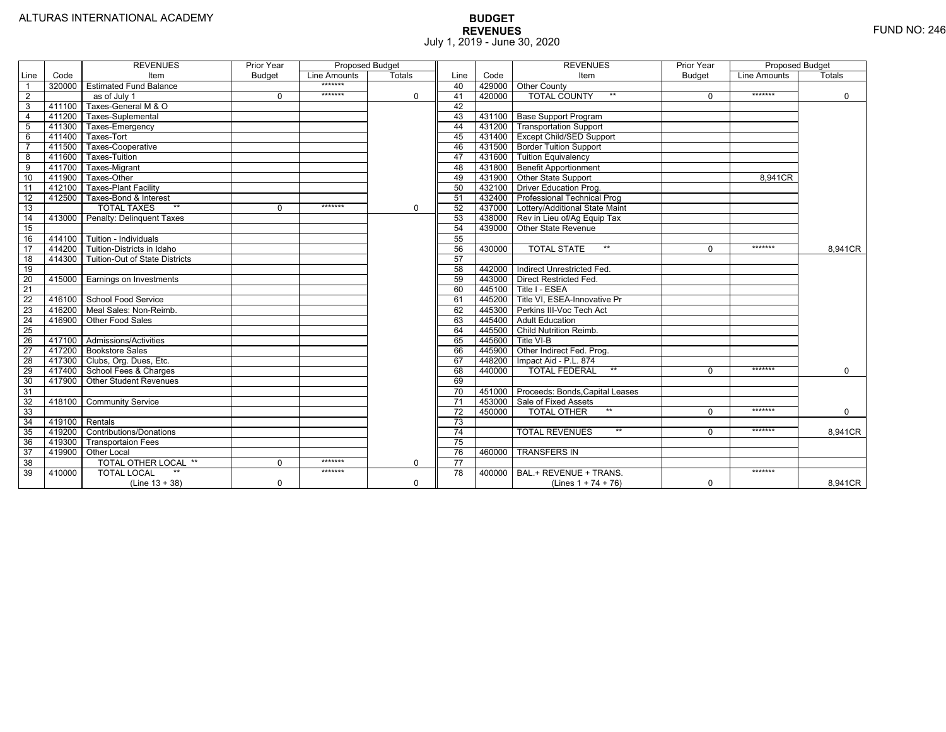|                 |                | <b>REVENUES</b>                 | Prior Year    | <b>Proposed Budget</b> |               |                 |        | <b>REVENUES</b>                        | Prior Year    | Proposed Budget |             |
|-----------------|----------------|---------------------------------|---------------|------------------------|---------------|-----------------|--------|----------------------------------------|---------------|-----------------|-------------|
| Line            | Code           | Item                            | <b>Budget</b> | Line Amounts           | <b>Totals</b> | Line            | Code   | Item                                   | <b>Budget</b> | Line Amounts    | Totals      |
|                 | 320000         | <b>Estimated Fund Balance</b>   |               | $******$               |               | 40              |        | 429000 Other County                    |               |                 |             |
| 2               |                | as of July 1                    | 0             | *******                | $\mathbf 0$   | 41              | 420000 | <b>TOTAL COUNTY</b><br>$***$           | $\Omega$      | *******         | $\mathbf 0$ |
| 3               | 411100         | Taxes-General M & O             |               |                        |               | 42              |        |                                        |               |                 |             |
| $\overline{4}$  | 411200         | Taxes-Suplemental               |               |                        |               | 43              |        | 431100   Base Support Program          |               |                 |             |
| $\overline{5}$  | 411300         | Taxes-Emergency                 |               |                        |               | 44              |        | 431200 Transportation Support          |               |                 |             |
| 6               | 411400         | Taxes-Tort                      |               |                        |               | 45              |        | 431400 Except Child/SED Support        |               |                 |             |
|                 | 411500         | Taxes-Cooperative               |               |                        |               | 46              |        | 431500 Border Tuition Support          |               |                 |             |
| 8               | 411600         | Taxes-Tuition                   |               |                        |               | 47              |        | 431600 Tuition Equivalency             |               |                 |             |
| 9               | 411700         | Taxes-Migrant                   |               |                        |               | 48              |        | 431800 Benefit Apportionment           |               |                 |             |
| 10              | 411900         | Taxes-Other                     |               |                        |               | 49              |        | 431900 Other State Support             |               | 8.941CR         |             |
| 11              | 412100         | <b>Taxes-Plant Facility</b>     |               |                        |               | 50              |        | 432100 Driver Education Prog.          |               |                 |             |
| 12              | 412500         | Taxes-Bond & Interest           |               |                        |               | 51              |        | 432400   Professional Technical Prog   |               |                 |             |
| 13              |                | $**$<br><b>TOTAL TAXES</b>      | 0             | *******                | $\mathbf 0$   | 52              |        | 437000 Lottery/Additional State Maint  |               |                 |             |
| 14              | 413000         | Penalty: Delinguent Taxes       |               |                        |               | 53              |        | 438000 Rev in Lieu of/Ag Equip Tax     |               |                 |             |
| 15              |                |                                 |               |                        |               | 54              |        | 439000 Other State Revenue             |               |                 |             |
| 16              | 414100         | Tuition - Individuals           |               |                        |               | 55              |        |                                        |               |                 |             |
| $\overline{17}$ | 414200         | Tuition-Districts in Idaho      |               |                        |               | 56              | 430000 | $**$<br><b>TOTAL STATE</b>             | $\Omega$      | *******         | 8,941CR     |
| $\overline{18}$ | 414300         | Tuition-Out of State Districts  |               |                        |               | 57              |        |                                        |               |                 |             |
| 19              |                |                                 |               |                        |               | 58              |        | 442000   Indirect Unrestricted Fed.    |               |                 |             |
| 20              |                | 415000 Earnings on Investments  |               |                        |               | 59              |        | 443000 Direct Restricted Fed.          |               |                 |             |
| 21              |                |                                 |               |                        |               | 60              |        | 445100 Title I - ESEA                  |               |                 |             |
| 22              | 416100         | School Food Service             |               |                        |               | 61              | 445200 | Title VI. ESEA-Innovative Pr           |               |                 |             |
| 23              |                | 416200   Meal Sales: Non-Reimb. |               |                        |               | 62              |        | 445300 Perkins III-Voc Tech Act        |               |                 |             |
| 24              | 416900         | Other Food Sales                |               |                        |               | 63              | 445400 | <b>Adult Education</b>                 |               |                 |             |
| 25              |                |                                 |               |                        |               | 64              | 445500 | <b>Child Nutrition Reimb.</b>          |               |                 |             |
| 26              | 417100         | Admissions/Activities           |               |                        |               | 65              | 445600 | Title VI-B                             |               |                 |             |
| $\overline{27}$ | 417200         | <b>Bookstore Sales</b>          |               |                        |               | 66              | 445900 | Other Indirect Fed. Prog.              |               |                 |             |
| $\overline{28}$ |                | 417300 Clubs, Org. Dues, Etc.   |               |                        |               | 67              | 448200 | Impact Aid - P.L. 874                  |               |                 |             |
| 29              | 417400         | School Fees & Charges           |               |                        |               | 68              | 440000 | $***$<br><b>TOTAL FEDERAL</b>          | $\Omega$      | *******         | $\mathbf 0$ |
| 30              | 417900         | <b>Other Student Revenues</b>   |               |                        |               | 69              |        |                                        |               |                 |             |
| 31              |                |                                 |               |                        |               | 70              |        | 451000 Proceeds: Bonds, Capital Leases |               |                 |             |
| $\overline{32}$ | 418100         | <b>Community Service</b>        |               |                        |               | $\overline{71}$ |        | 453000 Sale of Fixed Assets            |               |                 |             |
| 33              |                |                                 |               |                        |               | 72              | 450000 | $**$<br><b>TOTAL OTHER</b>             | $\Omega$      | *******         | $\mathbf 0$ |
| 34              | 419100 Rentals |                                 |               |                        |               | 73              |        |                                        |               |                 |             |
| 35              | 419200         | <b>Contributions/Donations</b>  |               |                        |               | $\overline{74}$ |        | $**$<br><b>TOTAL REVENUES</b>          | $\Omega$      | *******         | 8,941CR     |
| 36              | 419300         | <b>Transportaion Fees</b>       |               |                        |               | 75              |        |                                        |               |                 |             |
| 37              | 419900         | <b>Other Local</b>              |               |                        |               | 76              | 460000 | <b>TRANSFERS IN</b>                    |               |                 |             |
| 38              |                | TOTAL OTHER LOCAL **            | 0             | *******                | $\mathbf 0$   | 77              |        |                                        |               |                 |             |
| 39              | 410000         | <b>TOTAL LOCAL</b>              |               | *******                |               | 78              | 400000 | BAL.+ REVENUE + TRANS.                 |               | *******         |             |
|                 |                | $(Line 13 + 38)$                | 0             |                        | $\Omega$      |                 |        | (Lines $1 + 74 + 76$ )                 | $\mathbf 0$   |                 | 8.941CR     |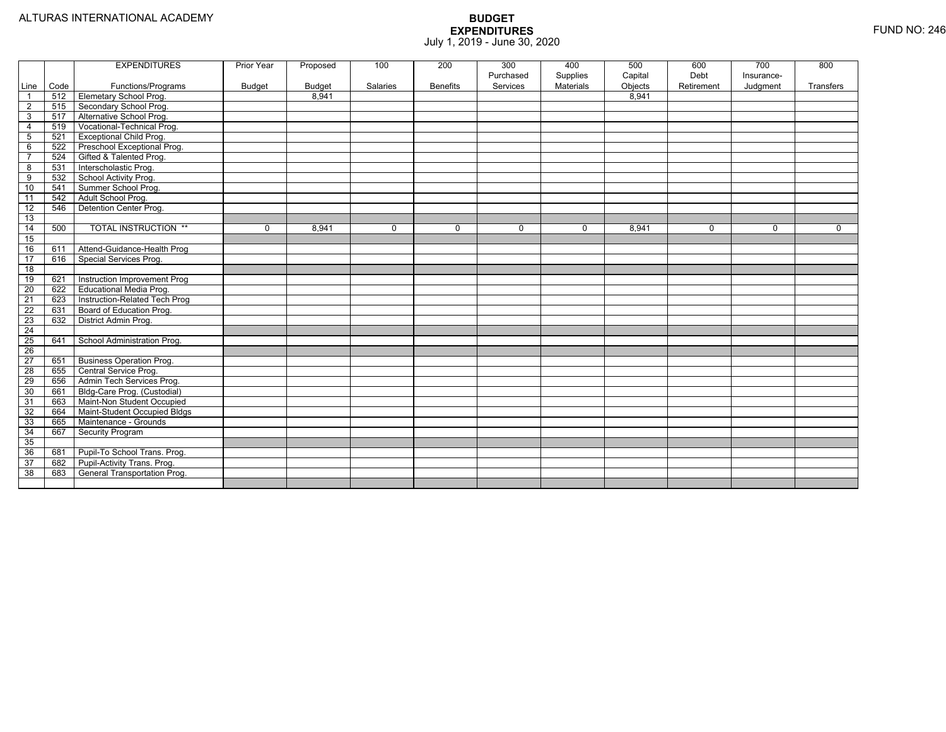|                 |      | <b>EXPENDITURES</b>                 | Prior Year    | Proposed      | 100             | 200             | 300<br>Purchased | 400<br>Supplies | 500<br>Capital | 600<br>Debt | 700<br>Insurance- | 800         |
|-----------------|------|-------------------------------------|---------------|---------------|-----------------|-----------------|------------------|-----------------|----------------|-------------|-------------------|-------------|
| Line            | Code | Functions/Programs                  | <b>Budget</b> | <b>Budget</b> | <b>Salaries</b> | <b>Benefits</b> | Services         | Materials       | Objects        | Retirement  | Judgment          | Transfers   |
| $\overline{1}$  | 512  | <b>Elemetary School Prog.</b>       |               | 8,941         |                 |                 |                  |                 | 8,941          |             |                   |             |
| $\overline{2}$  | 515  | Secondary School Prog.              |               |               |                 |                 |                  |                 |                |             |                   |             |
| 3               | 517  | Alternative School Prog.            |               |               |                 |                 |                  |                 |                |             |                   |             |
| 4               | 519  | Vocational-Technical Prog.          |               |               |                 |                 |                  |                 |                |             |                   |             |
| $\overline{5}$  | 521  | <b>Exceptional Child Prog.</b>      |               |               |                 |                 |                  |                 |                |             |                   |             |
| 6               | 522  | Preschool Exceptional Prog.         |               |               |                 |                 |                  |                 |                |             |                   |             |
| $\overline{7}$  | 524  | Gifted & Talented Prog.             |               |               |                 |                 |                  |                 |                |             |                   |             |
| 8               | 531  | Interscholastic Prog.               |               |               |                 |                 |                  |                 |                |             |                   |             |
| 9               | 532  | School Activity Prog.               |               |               |                 |                 |                  |                 |                |             |                   |             |
| 10              | 541  | Summer School Prog.                 |               |               |                 |                 |                  |                 |                |             |                   |             |
| $\overline{11}$ | 542  | Adult School Prog.                  |               |               |                 |                 |                  |                 |                |             |                   |             |
| $\overline{12}$ | 546  | Detention Center Prog.              |               |               |                 |                 |                  |                 |                |             |                   |             |
| 13              |      |                                     |               |               |                 |                 |                  |                 |                |             |                   |             |
| 14              | 500  | <b>TOTAL INSTRUCTION **</b>         | $\Omega$      | 8,941         | $\Omega$        | 0               | $\Omega$         | 0               | 8,941          | $\Omega$    | 0                 | $\mathbf 0$ |
| 15              |      |                                     |               |               |                 |                 |                  |                 |                |             |                   |             |
| 16              | 611  | Attend-Guidance-Health Prog         |               |               |                 |                 |                  |                 |                |             |                   |             |
| $\overline{17}$ | 616  | Special Services Prog.              |               |               |                 |                 |                  |                 |                |             |                   |             |
| $\overline{18}$ |      |                                     |               |               |                 |                 |                  |                 |                |             |                   |             |
| 19              | 621  | Instruction Improvement Prog        |               |               |                 |                 |                  |                 |                |             |                   |             |
| 20              | 622  | <b>Educational Media Prog.</b>      |               |               |                 |                 |                  |                 |                |             |                   |             |
| $\overline{21}$ | 623  | Instruction-Related Tech Prog       |               |               |                 |                 |                  |                 |                |             |                   |             |
| 22              | 631  | Board of Education Prog.            |               |               |                 |                 |                  |                 |                |             |                   |             |
| 23              | 632  | District Admin Prog.                |               |               |                 |                 |                  |                 |                |             |                   |             |
| 24              |      |                                     |               |               |                 |                 |                  |                 |                |             |                   |             |
| 25              | 641  | School Administration Prog.         |               |               |                 |                 |                  |                 |                |             |                   |             |
| 26              |      |                                     |               |               |                 |                 |                  |                 |                |             |                   |             |
| 27              | 651  | <b>Business Operation Prog.</b>     |               |               |                 |                 |                  |                 |                |             |                   |             |
| 28              | 655  | Central Service Prog.               |               |               |                 |                 |                  |                 |                |             |                   |             |
| 29              | 656  | Admin Tech Services Prog.           |               |               |                 |                 |                  |                 |                |             |                   |             |
| 30              | 661  | Bldg-Care Prog. (Custodial)         |               |               |                 |                 |                  |                 |                |             |                   |             |
| 31              | 663  | Maint-Non Student Occupied          |               |               |                 |                 |                  |                 |                |             |                   |             |
| 32              | 664  | Maint-Student Occupied Bldgs        |               |               |                 |                 |                  |                 |                |             |                   |             |
| 33              | 665  | Maintenance - Grounds               |               |               |                 |                 |                  |                 |                |             |                   |             |
| 34              | 667  | <b>Security Program</b>             |               |               |                 |                 |                  |                 |                |             |                   |             |
| 35              |      |                                     |               |               |                 |                 |                  |                 |                |             |                   |             |
| 36              | 681  | Pupil-To School Trans. Prog.        |               |               |                 |                 |                  |                 |                |             |                   |             |
| 37              | 682  | Pupil-Activity Trans. Prog.         |               |               |                 |                 |                  |                 |                |             |                   |             |
| 38              | 683  | <b>General Transportation Prog.</b> |               |               |                 |                 |                  |                 |                |             |                   |             |
|                 |      |                                     |               |               |                 |                 |                  |                 |                |             |                   |             |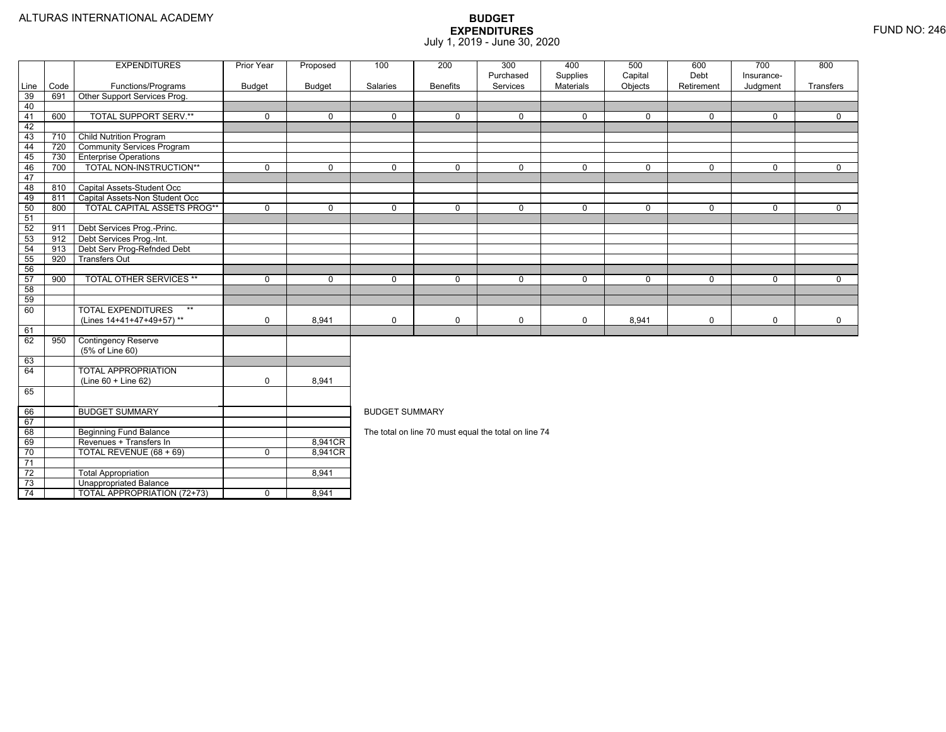73

74

Unappropriated Balance

TOTAL APPROPRIATION (72+73) 0 8,941

|      |      | <b>EXPENDITURES</b>               | <b>Prior Year</b> | Proposed    | 100                   | 200             | 300                                                  | 400         | 500          | 600         | 700          | 800          |  |  |  |
|------|------|-----------------------------------|-------------------|-------------|-----------------------|-----------------|------------------------------------------------------|-------------|--------------|-------------|--------------|--------------|--|--|--|
|      |      |                                   |                   |             |                       |                 | Purchased                                            | Supplies    | Capital      | Debt        | Insurance-   |              |  |  |  |
| Line | Code | Functions/Programs                | <b>Budget</b>     | Budget      | Salaries              | <b>Benefits</b> | Services                                             | Materials   | Objects      | Retirement  | Judgment     | Transfers    |  |  |  |
| 39   | 691  | Other Support Services Prog.      |                   |             |                       |                 |                                                      |             |              |             |              |              |  |  |  |
| 40   |      |                                   |                   |             |                       |                 |                                                      |             |              |             |              |              |  |  |  |
| 41   | 600  | <b>TOTAL SUPPORT SERV.**</b>      | $\mathbf 0$       | $\mathbf 0$ | $\mathbf{0}$          | $\Omega$        | $\mathbf 0$                                          | $\mathbf 0$ | $\mathbf{0}$ | $\mathbf 0$ | 0            | $\Omega$     |  |  |  |
| 42   |      |                                   |                   |             |                       |                 |                                                      |             |              |             |              |              |  |  |  |
| 43   | 710  | <b>Child Nutrition Program</b>    |                   |             |                       |                 |                                                      |             |              |             |              |              |  |  |  |
| 44   | 720  | <b>Community Services Program</b> |                   |             |                       |                 |                                                      |             |              |             |              |              |  |  |  |
| 45   | 730  | <b>Enterprise Operations</b>      |                   |             |                       |                 |                                                      |             |              |             |              |              |  |  |  |
| 46   | 700  | TOTAL NON-INSTRUCTION**           | $\mathbf{0}$      | $\mathbf 0$ | $\mathbf{0}$          | 0               | $\mathbf 0$                                          | 0           | $\mathbf{0}$ | 0           | $\mathbf{0}$ | $\mathbf{0}$ |  |  |  |
| 47   |      |                                   |                   |             |                       |                 |                                                      |             |              |             |              |              |  |  |  |
| 48   | 810  | Capital Assets-Student Occ        |                   |             |                       |                 |                                                      |             |              |             |              |              |  |  |  |
| 49   | 811  | Capital Assets-Non Student Occ    |                   |             |                       |                 |                                                      |             |              |             |              |              |  |  |  |
| 50   | 800  | TOTAL CAPITAL ASSETS PROG**       | $\mathbf 0$       | $\mathbf 0$ | $\Omega$              | $\Omega$        | $\mathbf 0$                                          | $\mathbf 0$ | $\mathbf 0$  | 0           | $\mathbf 0$  | $\mathbf 0$  |  |  |  |
| 51   |      |                                   |                   |             |                       |                 |                                                      |             |              |             |              |              |  |  |  |
| 52   | 911  | Debt Services Prog.-Princ.        |                   |             |                       |                 |                                                      |             |              |             |              |              |  |  |  |
| 53   | 912  | Debt Services Prog.-Int.          |                   |             |                       |                 |                                                      |             |              |             |              |              |  |  |  |
| 54   | 913  | Debt Serv Prog-Refnded Debt       |                   |             |                       |                 |                                                      |             |              |             |              |              |  |  |  |
| 55   | 920  | <b>Transfers Out</b>              |                   |             |                       |                 |                                                      |             |              |             |              |              |  |  |  |
| 56   |      |                                   |                   |             |                       |                 |                                                      |             |              |             |              |              |  |  |  |
| 57   | 900  | <b>TOTAL OTHER SERVICES **</b>    | $\mathbf 0$       | $\mathbf 0$ | $\Omega$              | $\Omega$        | $\Omega$                                             | $\mathbf 0$ | $\Omega$     | $\Omega$    | $\mathbf 0$  | $\Omega$     |  |  |  |
| 58   |      |                                   |                   |             |                       |                 |                                                      |             |              |             |              |              |  |  |  |
| 59   |      |                                   |                   |             |                       |                 |                                                      |             |              |             |              |              |  |  |  |
| 60   |      | <b>TOTAL EXPENDITURES</b><br>$**$ |                   |             |                       |                 |                                                      |             |              |             |              |              |  |  |  |
|      |      | (Lines 14+41+47+49+57)**          | $\mathbf 0$       | 8,941       | $\mathbf 0$           | 0               | $\mathbf 0$                                          | 0           | 8,941        | 0           | 0            | 0            |  |  |  |
| 61   |      |                                   |                   |             |                       |                 |                                                      |             |              |             |              |              |  |  |  |
| 62   | 950  | <b>Contingency Reserve</b>        |                   |             |                       |                 |                                                      |             |              |             |              |              |  |  |  |
|      |      | (5% of Line 60)                   |                   |             |                       |                 |                                                      |             |              |             |              |              |  |  |  |
| 63   |      |                                   |                   |             |                       |                 |                                                      |             |              |             |              |              |  |  |  |
| 64   |      | <b>TOTAL APPROPRIATION</b>        |                   |             |                       |                 |                                                      |             |              |             |              |              |  |  |  |
|      |      | (Line 60 + Line 62)               | $\mathbf 0$       | 8,941       |                       |                 |                                                      |             |              |             |              |              |  |  |  |
| 65   |      |                                   |                   |             |                       |                 |                                                      |             |              |             |              |              |  |  |  |
|      |      |                                   |                   |             |                       |                 |                                                      |             |              |             |              |              |  |  |  |
| 66   |      | <b>BUDGET SUMMARY</b>             |                   |             | <b>BUDGET SUMMARY</b> |                 |                                                      |             |              |             |              |              |  |  |  |
| 67   |      |                                   |                   |             |                       |                 |                                                      |             |              |             |              |              |  |  |  |
| 68   |      | <b>Beginning Fund Balance</b>     |                   |             |                       |                 | The total on line 70 must equal the total on line 74 |             |              |             |              |              |  |  |  |
| 69   |      | Revenues + Transfers In           |                   | 8,941CR     |                       |                 |                                                      |             |              |             |              |              |  |  |  |
| 70   |      | TOTAL REVENUE (68 + 69)           | $\mathbf 0$       | 8,941CR     |                       |                 |                                                      |             |              |             |              |              |  |  |  |
| 71   |      |                                   |                   |             |                       |                 |                                                      |             |              |             |              |              |  |  |  |
| 72   |      | <b>Total Appropriation</b>        |                   | 8,941       |                       |                 |                                                      |             |              |             |              |              |  |  |  |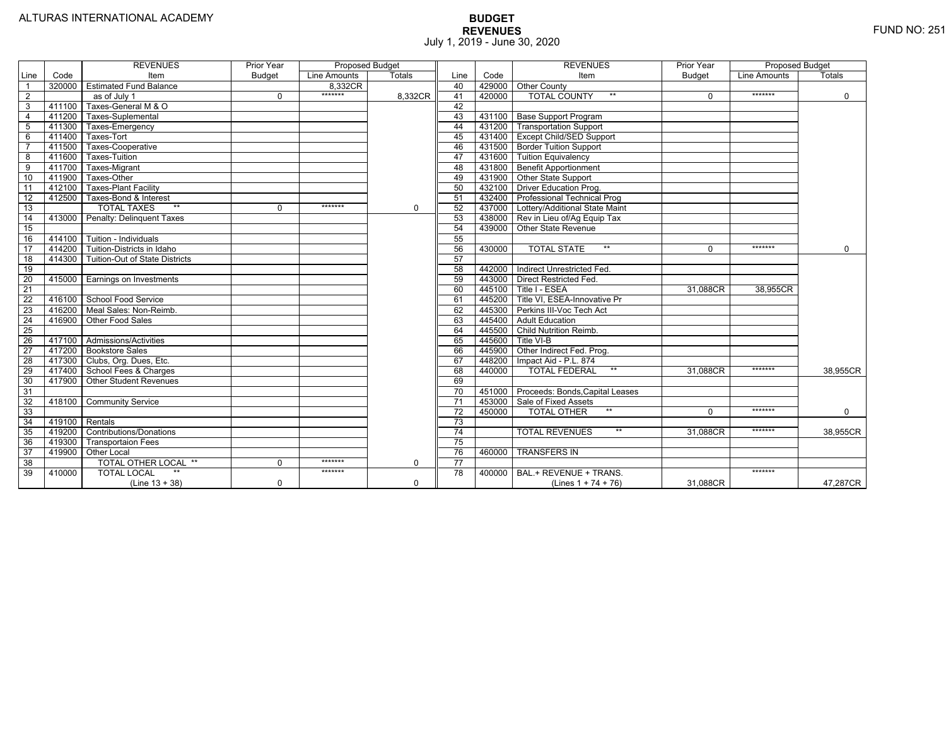|                 |        | <b>REVENUES</b>                  | Prior Year    | Proposed Budget |               |                 |        | <b>REVENUES</b>                       | Prior Year    | <b>Proposed Budget</b> |               |
|-----------------|--------|----------------------------------|---------------|-----------------|---------------|-----------------|--------|---------------------------------------|---------------|------------------------|---------------|
| Line            | Code   | Item                             | <b>Budget</b> | Line Amounts    | <b>Totals</b> | Line            | Code   | Item                                  | <b>Budget</b> | Line Amounts           | <b>Totals</b> |
|                 |        | 320000 Estimated Fund Balance    |               | 8.332CR         |               | 40              |        | 429000 Other County                   |               |                        |               |
| $\overline{2}$  |        | as of July 1                     | $\Omega$      | *******         | 8.332CR       | 41              | 420000 | <b>TOTAL COUNTY</b><br>$***$          | $\Omega$      | *******                | $\mathbf 0$   |
| 3               | 411100 | Taxes-General M & O              |               |                 |               | 42              |        |                                       |               |                        |               |
| 4               | 411200 | Taxes-Suplemental                |               |                 |               | 43              |        | 431100   Base Support Program         |               |                        |               |
| 5               | 411300 | Taxes-Emergency                  |               |                 |               | 44              |        | 431200   Transportation Support       |               |                        |               |
| 6               | 411400 | Taxes-Tort                       |               |                 |               | 45              |        | 431400 Except Child/SED Support       |               |                        |               |
|                 | 411500 | Taxes-Cooperative                |               |                 |               | 46              |        | 431500 Border Tuition Support         |               |                        |               |
| 8               | 411600 | <b>Taxes-Tuition</b>             |               |                 |               | 47              |        | 431600 Tuition Equivalency            |               |                        |               |
| 9               | 411700 | Taxes-Migrant                    |               |                 |               | 48              |        | 431800 Benefit Apportionment          |               |                        |               |
| 10              | 411900 | Taxes-Other                      |               |                 |               | 49              |        | 431900 Other State Support            |               |                        |               |
| 11              | 412100 | <b>Taxes-Plant Facility</b>      |               |                 |               | 50              |        | 432100 Driver Education Prog.         |               |                        |               |
| 12              | 412500 | Taxes-Bond & Interest            |               |                 |               | 51              |        | 432400 Professional Technical Prog    |               |                        |               |
| 13              |        | $**$<br><b>TOTAL TAXES</b>       | 0             | *******         | $\mathbf 0$   | 52              |        | 437000 Lottery/Additional State Maint |               |                        |               |
| 14              |        | 413000 Penalty: Delinguent Taxes |               |                 |               | 53              |        | 438000 Rev in Lieu of/Ag Equip Tax    |               |                        |               |
| 15              |        |                                  |               |                 |               | 54              | 439000 | Other State Revenue                   |               |                        |               |
| 16              | 414100 | Tuition - Individuals            |               |                 |               | 55              |        |                                       |               |                        |               |
| 17              | 414200 | Tuition-Districts in Idaho       |               |                 |               | 56              | 430000 | $**$<br><b>TOTAL STATE</b>            | $\Omega$      | *******                | $\mathbf 0$   |
| 18              | 414300 | Tuition-Out of State Districts   |               |                 |               | 57              |        |                                       |               |                        |               |
| 19              |        |                                  |               |                 |               | 58              |        | 442000   Indirect Unrestricted Fed.   |               |                        |               |
| $\overline{20}$ |        | 415000 Earnings on Investments   |               |                 |               | 59              | 443000 | <b>Direct Restricted Fed.</b>         |               |                        |               |
| $\overline{21}$ |        |                                  |               |                 |               | 60              | 445100 | Title I - ESEA                        | 31.088CR      | 38,955CR               |               |
| 22              |        | 416100 School Food Service       |               |                 |               | 61              |        | 445200   Title VI, ESEA-Innovative Pr |               |                        |               |
| 23              |        | 416200   Meal Sales: Non-Reimb.  |               |                 |               | 62              |        | 445300 Perkins III-Voc Tech Act       |               |                        |               |
| 24              |        | 416900 Other Food Sales          |               |                 |               | 63              |        | 445400 Adult Education                |               |                        |               |
| $\overline{25}$ |        |                                  |               |                 |               | 64              |        | 445500 Child Nutrition Reimb.         |               |                        |               |
| 26              |        | 417100 Admissions/Activities     |               |                 |               | 65              | 445600 | Title VI-B                            |               |                        |               |
| 27              |        | 417200 Bookstore Sales           |               |                 |               | 66              | 445900 | Other Indirect Fed. Prog.             |               |                        |               |
| 28              |        | 417300   Clubs, Org. Dues, Etc.  |               |                 |               | 67              | 448200 | Impact Aid - P.L. 874                 |               |                        |               |
| $\overline{29}$ |        | 417400 School Fees & Charges     |               |                 |               | 68              | 440000 | $***$<br><b>TOTAL FEDERAL</b>         | 31.088CR      | *******                | 38,955CR      |
| 30              |        | 417900 Other Student Revenues    |               |                 |               | 69              |        |                                       |               |                        |               |
| 31              |        |                                  |               |                 |               | $\overline{70}$ | 451000 | Proceeds: Bonds, Capital Leases       |               |                        |               |
| 32              |        | 418100 Community Service         |               |                 |               | 71              | 453000 | Sale of Fixed Assets                  |               |                        |               |
| 33              |        |                                  |               |                 |               | $\overline{72}$ | 450000 | <b>TOTAL OTHER</b><br>$***$           | $\Omega$      | *******                | $\Omega$      |
| $\overline{34}$ |        | 419100 Rentals                   |               |                 |               | 73              |        |                                       |               |                        |               |
| 35              | 419200 | Contributions/Donations          |               |                 |               | 74              |        | <b>TOTAL REVENUES</b><br>$***$        | 31.088CR      | *******                | 38.955CR      |
| 36              | 419300 | <b>Transportaion Fees</b>        |               |                 |               | 75              |        |                                       |               |                        |               |
| $\overline{37}$ | 419900 | <b>Other Local</b>               |               |                 |               | 76              | 460000 | <b>TRANSFERS IN</b>                   |               |                        |               |
| $\overline{38}$ |        | TOTAL OTHER LOCAL **             | $\Omega$      | *******         | $\Omega$      | 77              |        |                                       |               |                        |               |
| 39              | 410000 | <b>TOTAL LOCAL</b>               |               | *******         |               | 78              | 400000 | BAL.+ REVENUE + TRANS.                |               | *******                |               |
|                 |        | $(Line 13 + 38)$                 | 0             |                 | $\mathbf 0$   |                 |        | (Lines $1 + 74 + 76$ )                | 31,088CR      |                        | 47,287CR      |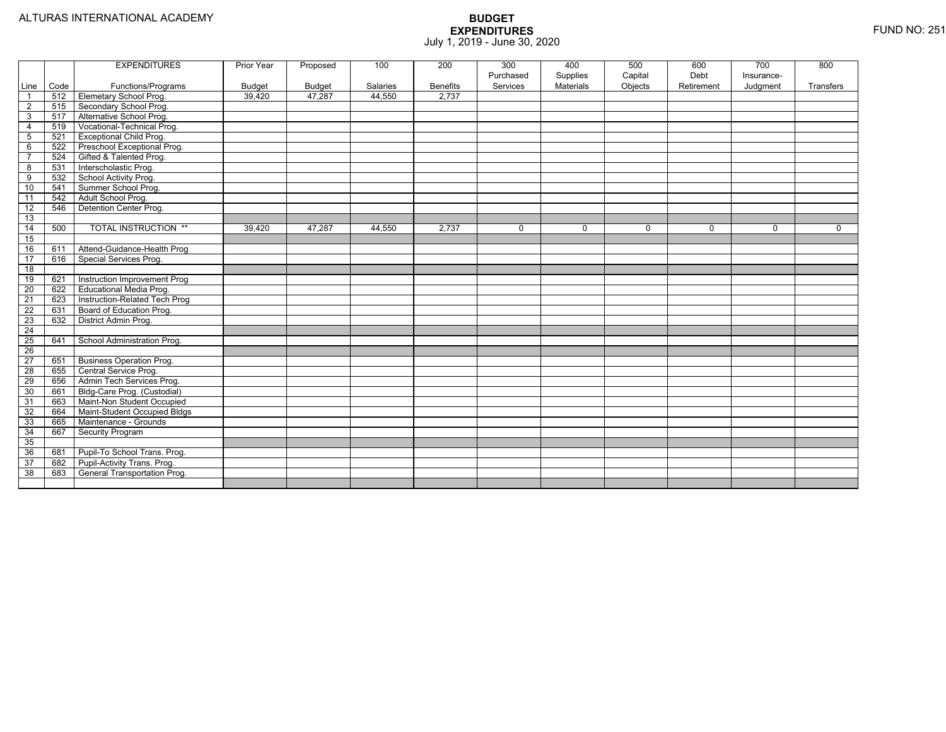|                 |      | <b>EXPENDITURES</b>             | Prior Year    | Proposed | 100      | 200             | 300       | 400       | 500         | 600        | 700         | 800       |
|-----------------|------|---------------------------------|---------------|----------|----------|-----------------|-----------|-----------|-------------|------------|-------------|-----------|
|                 |      |                                 |               |          |          |                 | Purchased | Supplies  | Capital     | Debt       | Insurance-  |           |
| Line            | Code | Functions/Programs              | <b>Budget</b> | Budget   | Salaries | <b>Benefits</b> | Services  | Materials | Objects     | Retirement | Judgment    | Transfers |
| $\overline{1}$  | 512  | <b>Elemetary School Prog.</b>   | 39,420        | 47,287   | 44.550   | 2.737           |           |           |             |            |             |           |
| $\overline{2}$  | 515  | Secondary School Prog.          |               |          |          |                 |           |           |             |            |             |           |
| 3               | 517  | Alternative School Prog.        |               |          |          |                 |           |           |             |            |             |           |
| $\overline{4}$  | 519  | Vocational-Technical Prog.      |               |          |          |                 |           |           |             |            |             |           |
| $5\phantom{.0}$ | 521  | <b>Exceptional Child Prog.</b>  |               |          |          |                 |           |           |             |            |             |           |
| 6               | 522  | Preschool Exceptional Prog.     |               |          |          |                 |           |           |             |            |             |           |
| $\overline{7}$  | 524  | Gifted & Talented Prog.         |               |          |          |                 |           |           |             |            |             |           |
| 8               | 531  | Interscholastic Prog.           |               |          |          |                 |           |           |             |            |             |           |
| $\overline{9}$  | 532  | School Activity Prog.           |               |          |          |                 |           |           |             |            |             |           |
| 10              | 541  | Summer School Prog.             |               |          |          |                 |           |           |             |            |             |           |
| 11              | 542  | Adult School Prog.              |               |          |          |                 |           |           |             |            |             |           |
| 12              | 546  | Detention Center Prog.          |               |          |          |                 |           |           |             |            |             |           |
| 13              |      |                                 |               |          |          |                 |           |           |             |            |             |           |
| 14              | 500  | <b>TOTAL INSTRUCTION **</b>     | 39,420        | 47,287   | 44,550   | 2,737           | $\Omega$  | 0         | $\mathbf 0$ | $\Omega$   | $\mathbf 0$ | $\Omega$  |
| 15              |      |                                 |               |          |          |                 |           |           |             |            |             |           |
| 16              | 611  | Attend-Guidance-Health Prog     |               |          |          |                 |           |           |             |            |             |           |
| $\overline{17}$ | 616  | Special Services Prog.          |               |          |          |                 |           |           |             |            |             |           |
| $\overline{18}$ |      |                                 |               |          |          |                 |           |           |             |            |             |           |
| 19              | 621  | Instruction Improvement Prog    |               |          |          |                 |           |           |             |            |             |           |
| $\overline{20}$ | 622  | Educational Media Prog.         |               |          |          |                 |           |           |             |            |             |           |
| 21              | 623  | Instruction-Related Tech Prog   |               |          |          |                 |           |           |             |            |             |           |
| $\overline{22}$ | 631  | Board of Education Prog.        |               |          |          |                 |           |           |             |            |             |           |
| $\overline{23}$ | 632  | District Admin Prog.            |               |          |          |                 |           |           |             |            |             |           |
| $\overline{24}$ |      |                                 |               |          |          |                 |           |           |             |            |             |           |
| $\overline{25}$ | 641  | School Administration Prog.     |               |          |          |                 |           |           |             |            |             |           |
| $\overline{26}$ |      |                                 |               |          |          |                 |           |           |             |            |             |           |
| $\overline{27}$ | 651  | <b>Business Operation Prog.</b> |               |          |          |                 |           |           |             |            |             |           |
| $\overline{28}$ | 655  | Central Service Prog.           |               |          |          |                 |           |           |             |            |             |           |
| 29              | 656  | Admin Tech Services Prog.       |               |          |          |                 |           |           |             |            |             |           |
| 30              | 661  | Bldg-Care Prog. (Custodial)     |               |          |          |                 |           |           |             |            |             |           |
| 31              | 663  | Maint-Non Student Occupied      |               |          |          |                 |           |           |             |            |             |           |
| 32              | 664  | Maint-Student Occupied Bldgs    |               |          |          |                 |           |           |             |            |             |           |
| 33              | 665  | Maintenance - Grounds           |               |          |          |                 |           |           |             |            |             |           |
| 34              | 667  | Security Program                |               |          |          |                 |           |           |             |            |             |           |
| 35              |      |                                 |               |          |          |                 |           |           |             |            |             |           |
| 36              | 681  | Pupil-To School Trans. Prog.    |               |          |          |                 |           |           |             |            |             |           |
| 37              | 682  | Pupil-Activity Trans. Prog.     |               |          |          |                 |           |           |             |            |             |           |
| 38              | 683  | General Transportation Prog.    |               |          |          |                 |           |           |             |            |             |           |
|                 |      |                                 |               |          |          |                 |           |           |             |            |             |           |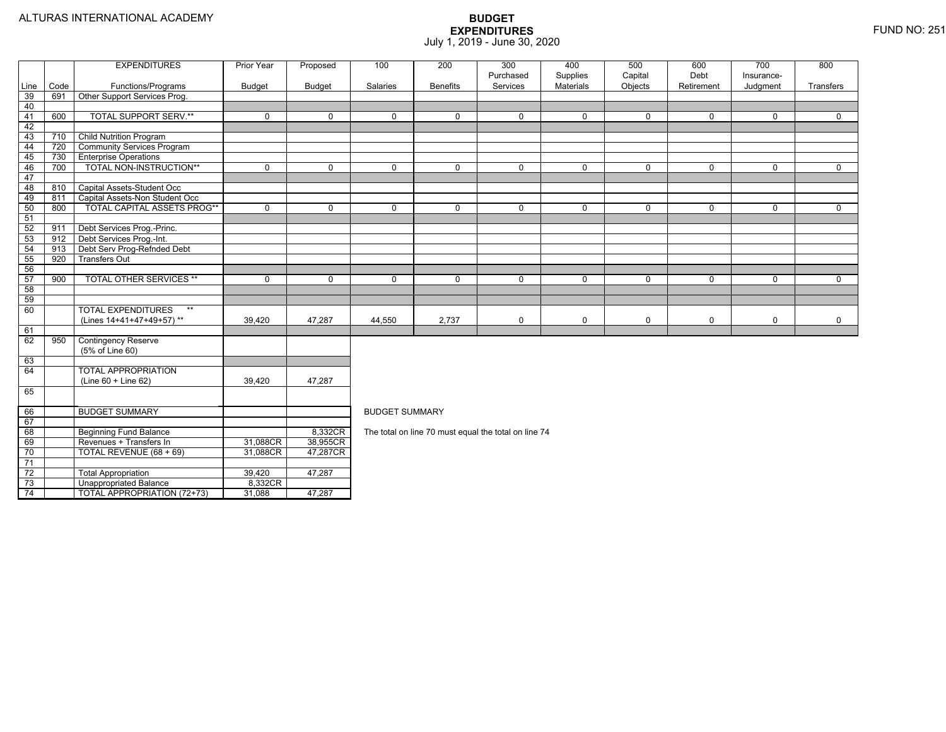|          |      | <b>EXPENDITURES</b>                               | <b>Prior Year</b> | Proposed      | 100                                                                                                   | 200             | 300                                                  | 400                   | 500                | 600                | 700                    | 800            |  |  |
|----------|------|---------------------------------------------------|-------------------|---------------|-------------------------------------------------------------------------------------------------------|-----------------|------------------------------------------------------|-----------------------|--------------------|--------------------|------------------------|----------------|--|--|
| Line     | Code | Functions/Programs                                | <b>Budget</b>     | <b>Budget</b> | Salaries                                                                                              | <b>Benefits</b> | Purchased<br>Services                                | Supplies<br>Materials | Capital<br>Objects | Debt<br>Retirement | Insurance-<br>Judgment | Transfers      |  |  |
| 39       | 691  | Other Support Services Prog.                      |                   |               |                                                                                                       |                 |                                                      |                       |                    |                    |                        |                |  |  |
| 40       |      |                                                   |                   |               |                                                                                                       |                 |                                                      |                       |                    |                    |                        |                |  |  |
| $-41$    | 600  | <b>TOTAL SUPPORT SERV.**</b>                      | $\mathbf 0$       | $\mathbf 0$   | $\Omega$                                                                                              | $\Omega$        | $\mathbf 0$                                          | $\mathbf 0$           | $\mathbf 0$        | 0                  | $\Omega$               | $\mathbf{0}$   |  |  |
| 42       |      |                                                   |                   |               |                                                                                                       |                 |                                                      |                       |                    |                    |                        |                |  |  |
| 43       | 710  | <b>Child Nutrition Program</b>                    |                   |               |                                                                                                       |                 |                                                      |                       |                    |                    |                        |                |  |  |
| 44       | 720  | <b>Community Services Program</b>                 |                   |               |                                                                                                       |                 |                                                      |                       |                    |                    |                        |                |  |  |
| 45       | 730  | <b>Enterprise Operations</b>                      |                   |               |                                                                                                       |                 |                                                      |                       |                    |                    |                        |                |  |  |
| 46       | 700  | <b>TOTAL NON-INSTRUCTION**</b>                    | $\overline{0}$    | $\mathbf 0$   | $\overline{0}$                                                                                        | $\overline{0}$  | $\overline{0}$                                       | $\overline{0}$        | $\overline{0}$     | $\overline{0}$     | $\overline{0}$         | $\overline{0}$ |  |  |
| 47       |      |                                                   |                   |               |                                                                                                       |                 |                                                      |                       |                    |                    |                        |                |  |  |
| 48       | 810  | Capital Assets-Student Occ                        |                   |               |                                                                                                       |                 |                                                      |                       |                    |                    |                        |                |  |  |
| 49       | 811  | Capital Assets-Non Student Occ                    |                   |               |                                                                                                       |                 |                                                      |                       |                    |                    |                        |                |  |  |
| 50       | 800  | TOTAL CAPITAL ASSETS PROG**                       | $\mathbf 0$       | $\mathbf 0$   | 0                                                                                                     | $\mathbf 0$     | $\mathbf 0$                                          | $\mathbf 0$           | $\mathbf 0$        | 0                  | $\mathbf 0$            | $\mathbf{0}$   |  |  |
| 51       |      |                                                   |                   |               |                                                                                                       |                 |                                                      |                       |                    |                    |                        |                |  |  |
| 52       | 911  | Debt Services Prog.-Princ.                        |                   |               |                                                                                                       |                 |                                                      |                       |                    |                    |                        |                |  |  |
| 53       | 912  | Debt Services Prog.-Int.                          |                   |               |                                                                                                       |                 |                                                      |                       |                    |                    |                        |                |  |  |
| 54       | 913  | Debt Serv Prog-Refnded Debt                       |                   |               |                                                                                                       |                 |                                                      |                       |                    |                    |                        |                |  |  |
| 55       | 920  | <b>Transfers Out</b>                              |                   |               |                                                                                                       |                 |                                                      |                       |                    |                    |                        |                |  |  |
| 56       |      |                                                   |                   |               |                                                                                                       |                 |                                                      |                       |                    |                    |                        |                |  |  |
| 57       | 900  | <b>TOTAL OTHER SERVICES **</b>                    | $\mathbf 0$       | $\mathbf 0$   | $\mathbf 0$<br>$\mathbf 0$<br>$\mathbf 0$<br>$\mathbf 0$<br>0<br>$\Omega$<br>$\mathbf{0}$<br>$\Omega$ |                 |                                                      |                       |                    |                    |                        |                |  |  |
| 58       |      |                                                   |                   |               |                                                                                                       |                 |                                                      |                       |                    |                    |                        |                |  |  |
| 59       |      |                                                   |                   |               |                                                                                                       |                 |                                                      |                       |                    |                    |                        |                |  |  |
| 60       |      | <b>TOTAL EXPENDITURES</b><br>$***$                |                   |               |                                                                                                       |                 |                                                      |                       |                    |                    |                        |                |  |  |
|          |      | (Lines 14+41+47+49+57)**                          | 39,420            | 47,287        | 44,550                                                                                                | 2,737           | 0                                                    | 0                     | $\mathbf 0$        | 0                  | $\mathbf 0$            | $\mathbf 0$    |  |  |
| 61       |      |                                                   |                   |               |                                                                                                       |                 |                                                      |                       |                    |                    |                        |                |  |  |
| 62       | 950  | <b>Contingency Reserve</b>                        |                   |               |                                                                                                       |                 |                                                      |                       |                    |                    |                        |                |  |  |
|          |      | (5% of Line 60)                                   |                   |               |                                                                                                       |                 |                                                      |                       |                    |                    |                        |                |  |  |
| 63<br>64 |      |                                                   |                   |               |                                                                                                       |                 |                                                      |                       |                    |                    |                        |                |  |  |
|          |      | <b>TOTAL APPROPRIATION</b><br>(Line 60 + Line 62) | 39,420            | 47.287        |                                                                                                       |                 |                                                      |                       |                    |                    |                        |                |  |  |
| 65       |      |                                                   |                   |               |                                                                                                       |                 |                                                      |                       |                    |                    |                        |                |  |  |
|          |      |                                                   |                   |               |                                                                                                       |                 |                                                      |                       |                    |                    |                        |                |  |  |
| 66       |      | <b>BUDGET SUMMARY</b>                             |                   |               | <b>BUDGET SUMMARY</b>                                                                                 |                 |                                                      |                       |                    |                    |                        |                |  |  |
| 67       |      |                                                   |                   |               |                                                                                                       |                 |                                                      |                       |                    |                    |                        |                |  |  |
| 68       |      | <b>Beginning Fund Balance</b>                     |                   | 8,332CR       |                                                                                                       |                 | The total on line 70 must equal the total on line 74 |                       |                    |                    |                        |                |  |  |
| 69       |      | Revenues + Transfers In                           | 31,088CR          | 38,955CR      |                                                                                                       |                 |                                                      |                       |                    |                    |                        |                |  |  |
| 70       |      | TOTAL REVENUE (68 + 69)                           | 31,088CR          | 47,287CR      |                                                                                                       |                 |                                                      |                       |                    |                    |                        |                |  |  |
| 71       |      |                                                   |                   |               |                                                                                                       |                 |                                                      |                       |                    |                    |                        |                |  |  |
| 72       |      | <b>Total Appropriation</b>                        | 39,420            | 47,287        |                                                                                                       |                 |                                                      |                       |                    |                    |                        |                |  |  |
| 73       |      | <b>Unappropriated Balance</b>                     | 8,332CR           |               |                                                                                                       |                 |                                                      |                       |                    |                    |                        |                |  |  |
| 74       |      | <b>TOTAL APPROPRIATION (72+73)</b>                | 31,088            | 47,287        |                                                                                                       |                 |                                                      |                       |                    |                    |                        |                |  |  |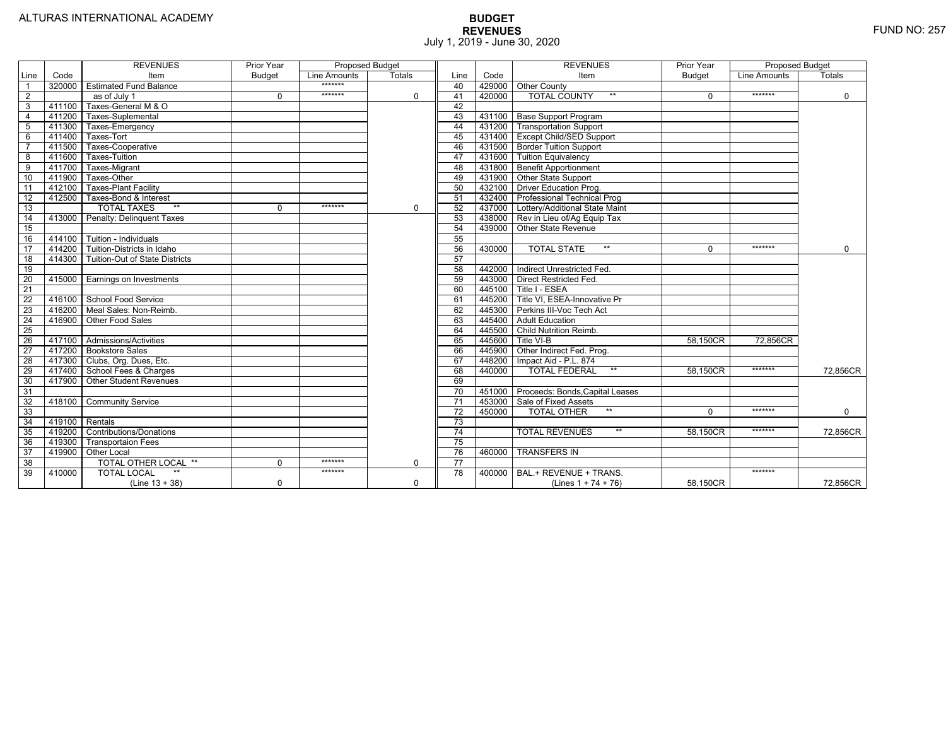|                 |                | <b>REVENUES</b>                       | Prior Year    | <b>Proposed Budget</b> |          |                 |        | <b>REVENUES</b>                       | Prior Year    | <b>Proposed Budget</b> |             |
|-----------------|----------------|---------------------------------------|---------------|------------------------|----------|-----------------|--------|---------------------------------------|---------------|------------------------|-------------|
| Line            | Code           | Item                                  | <b>Budget</b> | Line Amounts           | Totals   | Line            | Code   | Item                                  | <b>Budget</b> | Line Amounts           | Totals      |
|                 |                | 320000 Estimated Fund Balance         |               | *******                |          | 40              |        | 429000 Other County                   |               |                        |             |
| $\overline{2}$  |                | as of July 1                          | $\Omega$      | *******                | 0        | 41              | 420000 | <b>TOTAL COUNTY</b><br>$***$          | $\Omega$      | *******                | $\mathbf 0$ |
| 3               | 411100         | Taxes-General M & O                   |               |                        |          | 42              |        |                                       |               |                        |             |
| $\overline{4}$  | 411200         | Taxes-Suplemental                     |               |                        |          | 43              |        | 431100 Base Support Program           |               |                        |             |
| 5               | 411300         | Taxes-Emergency                       |               |                        |          | 44              |        | 431200 Transportation Support         |               |                        |             |
| 6               | 411400         | Taxes-Tort                            |               |                        |          | 45              |        | 431400 Except Child/SED Support       |               |                        |             |
|                 | 411500         | Taxes-Cooperative                     |               |                        |          | 46              |        | 431500   Border Tuition Support       |               |                        |             |
| 8               | 411600         | Taxes-Tuition                         |               |                        |          | 47              |        | 431600 Tuition Equivalency            |               |                        |             |
| $\overline{9}$  | 411700         | Taxes-Migrant                         |               |                        |          | 48              |        | 431800 Benefit Apportionment          |               |                        |             |
| 10              | 411900         | Taxes-Other                           |               |                        |          | 49              |        | 431900 Other State Support            |               |                        |             |
| 11              | 412100         | <b>Taxes-Plant Facility</b>           |               |                        |          | 50              |        | 432100 Driver Education Prog.         |               |                        |             |
| 12              | 412500         | Taxes-Bond & Interest                 |               |                        |          | 51              |        | 432400   Professional Technical Prog  |               |                        |             |
| 13              |                | $**$<br><b>TOTAL TAXES</b>            | $\Omega$      | *******                | 0        | 52              |        | 437000 Lottery/Additional State Maint |               |                        |             |
| 14              |                | 413000 Penalty: Delinguent Taxes      |               |                        |          | 53              |        | 438000 Rev in Lieu of/Ag Equip Tax    |               |                        |             |
| 15              |                |                                       |               |                        |          | 54              |        | 439000 Other State Revenue            |               |                        |             |
| 16              |                | 414100 Tuition - Individuals          |               |                        |          | 55              |        |                                       |               |                        |             |
| 17              |                | 414200 Tuition-Districts in Idaho     |               |                        |          | 56              | 430000 | $***$<br><b>TOTAL STATE</b>           | $\Omega$      | $*******$              | $\mathbf 0$ |
| 18              |                | 414300 Tuition-Out of State Districts |               |                        |          | 57              |        |                                       |               |                        |             |
| 19              |                |                                       |               |                        |          | 58              |        | 442000   Indirect Unrestricted Fed.   |               |                        |             |
| $\overline{20}$ |                | 415000 Earnings on Investments        |               |                        |          | 59              | 443000 | <b>Direct Restricted Fed.</b>         |               |                        |             |
| $\overline{21}$ |                |                                       |               |                        |          | 60              |        | 445100 Title I - ESEA                 |               |                        |             |
| 22              |                | 416100 School Food Service            |               |                        |          | 61              |        | 445200   Title VI, ESEA-Innovative Pr |               |                        |             |
| 23              |                | 416200   Meal Sales: Non-Reimb.       |               |                        |          | 62              |        | 445300 Perkins III-Voc Tech Act       |               |                        |             |
| 24              |                | 416900 Other Food Sales               |               |                        |          | 63              |        | 445400 Adult Education                |               |                        |             |
| 25              |                |                                       |               |                        |          | 64              |        | 445500 Child Nutrition Reimb.         |               |                        |             |
| 26              |                | 417100 Admissions/Activities          |               |                        |          | 65              | 445600 | Title VI-B                            | 58.150CR      | 72.856CR               |             |
| $\overline{27}$ |                | 417200 Bookstore Sales                |               |                        |          | 66              | 445900 | Other Indirect Fed. Prog.             |               |                        |             |
| $\overline{28}$ |                | 417300 Clubs, Org. Dues, Etc.         |               |                        |          | 67              | 448200 | Impact Aid - P.L. 874                 |               |                        |             |
| 29              |                | 417400 School Fees & Charges          |               |                        |          | 68              | 440000 | <b>TOTAL FEDERAL</b><br>$***$         | 58,150CR      | *******                | 72,856CR    |
| 30              |                | 417900   Other Student Revenues       |               |                        |          | 69              |        |                                       |               |                        |             |
| 31              |                |                                       |               |                        |          | $\overline{70}$ | 451000 | Proceeds: Bonds, Capital Leases       |               |                        |             |
| 32              |                | 418100 Community Service              |               |                        |          | $\overline{71}$ | 453000 | Sale of Fixed Assets                  |               |                        |             |
| 33              |                |                                       |               |                        |          | 72              | 450000 | $***$<br><b>TOTAL OTHER</b>           | $\Omega$      | *******                | $\mathbf 0$ |
| 34              | 419100 Rentals |                                       |               |                        |          | 73              |        |                                       |               |                        |             |
| 35              |                | 419200 Contributions/Donations        |               |                        |          | $\overline{74}$ |        | $***$<br><b>TOTAL REVENUES</b>        | 58.150CR      | *******                | 72,856CR    |
| 36              | 419300         | <b>Transportaion Fees</b>             |               |                        |          | 75              |        |                                       |               |                        |             |
| 37              | 419900         | Other Local                           |               |                        |          | 76              | 460000 | <b>TRANSFERS IN</b>                   |               |                        |             |
| 38              |                | TOTAL OTHER LOCAL **                  | $\Omega$      | *******                | $\Omega$ | 77              |        |                                       |               |                        |             |
| 39              | 410000         | <b>TOTAL LOCAL</b>                    |               | *******                |          | $\overline{78}$ | 400000 | BAL.+ REVENUE + TRANS.                |               | *******                |             |
|                 |                | $(Line 13 + 38)$                      | $\mathbf 0$   |                        | 0        |                 |        | (Lines $1 + 74 + 76$ )                | 58,150CR      |                        | 72,856CR    |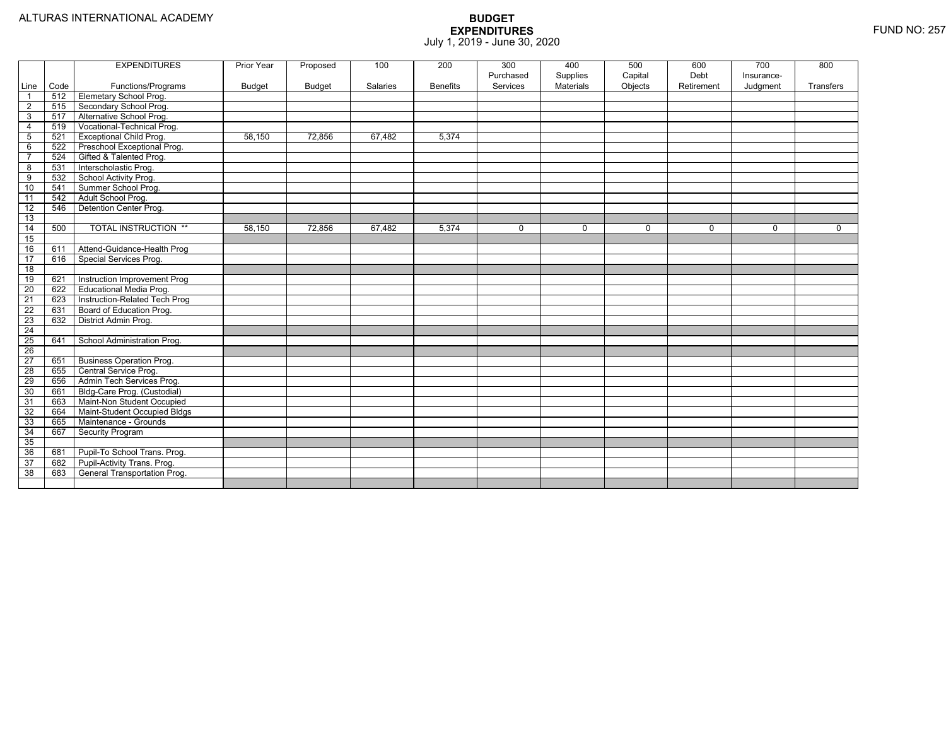|                 |      | <b>EXPENDITURES</b>             | Prior Year | Proposed | 100      | 200             | 300<br>Purchased | 400<br>Supplies | 500<br>Capital | 600<br>Debt | 700<br>Insurance- | 800         |
|-----------------|------|---------------------------------|------------|----------|----------|-----------------|------------------|-----------------|----------------|-------------|-------------------|-------------|
| Line            | Code | Functions/Programs              | Budget     | Budget   | Salaries | <b>Benefits</b> | Services         | Materials       | Objects        | Retirement  | Judgment          | Transfers   |
| $\overline{1}$  | 512  | <b>Elemetary School Prog.</b>   |            |          |          |                 |                  |                 |                |             |                   |             |
| $\overline{2}$  | 515  | Secondary School Prog.          |            |          |          |                 |                  |                 |                |             |                   |             |
| $\mathbf{3}$    | 517  | Alternative School Prog.        |            |          |          |                 |                  |                 |                |             |                   |             |
| $\overline{4}$  | 519  | Vocational-Technical Prog.      |            |          |          |                 |                  |                 |                |             |                   |             |
| $\sqrt{5}$      | 521  | <b>Exceptional Child Prog.</b>  | 58,150     | 72,856   | 67,482   | 5,374           |                  |                 |                |             |                   |             |
| 6               | 522  | Preschool Exceptional Prog.     |            |          |          |                 |                  |                 |                |             |                   |             |
| $\overline{7}$  | 524  | Gifted & Talented Prog.         |            |          |          |                 |                  |                 |                |             |                   |             |
| $\overline{8}$  | 531  | Interscholastic Prog.           |            |          |          |                 |                  |                 |                |             |                   |             |
| 9               | 532  | School Activity Prog.           |            |          |          |                 |                  |                 |                |             |                   |             |
| 10              | 541  | Summer School Prog.             |            |          |          |                 |                  |                 |                |             |                   |             |
| 11              | 542  | Adult School Prog.              |            |          |          |                 |                  |                 |                |             |                   |             |
| $\overline{12}$ | 546  | <b>Detention Center Prog.</b>   |            |          |          |                 |                  |                 |                |             |                   |             |
| 13              |      |                                 |            |          |          |                 |                  |                 |                |             |                   |             |
| $\overline{14}$ | 500  | <b>TOTAL INSTRUCTION **</b>     | 58,150     | 72,856   | 67,482   | 5,374           | $\mathbf 0$      | 0               | $\mathbf 0$    | $\Omega$    | $\mathbf{0}$      | $\mathbf 0$ |
| 15              |      |                                 |            |          |          |                 |                  |                 |                |             |                   |             |
| 16              | 611  | Attend-Guidance-Health Prog     |            |          |          |                 |                  |                 |                |             |                   |             |
| 17              | 616  | Special Services Prog.          |            |          |          |                 |                  |                 |                |             |                   |             |
| $\overline{18}$ |      |                                 |            |          |          |                 |                  |                 |                |             |                   |             |
| 19              | 621  | Instruction Improvement Prog    |            |          |          |                 |                  |                 |                |             |                   |             |
| $\overline{20}$ | 622  | Educational Media Prog.         |            |          |          |                 |                  |                 |                |             |                   |             |
| 21              | 623  | Instruction-Related Tech Prog   |            |          |          |                 |                  |                 |                |             |                   |             |
| 22              | 631  | Board of Education Prog.        |            |          |          |                 |                  |                 |                |             |                   |             |
| 23              | 632  | District Admin Prog.            |            |          |          |                 |                  |                 |                |             |                   |             |
| 24              |      |                                 |            |          |          |                 |                  |                 |                |             |                   |             |
| 25              | 641  | School Administration Prog.     |            |          |          |                 |                  |                 |                |             |                   |             |
| 26              |      |                                 |            |          |          |                 |                  |                 |                |             |                   |             |
| $\overline{27}$ | 651  | <b>Business Operation Prog.</b> |            |          |          |                 |                  |                 |                |             |                   |             |
| $\overline{28}$ | 655  | Central Service Prog.           |            |          |          |                 |                  |                 |                |             |                   |             |
| 29              | 656  | Admin Tech Services Prog.       |            |          |          |                 |                  |                 |                |             |                   |             |
| 30              | 661  | Bldg-Care Prog. (Custodial)     |            |          |          |                 |                  |                 |                |             |                   |             |
| 31              | 663  | Maint-Non Student Occupied      |            |          |          |                 |                  |                 |                |             |                   |             |
| 32              | 664  | Maint-Student Occupied Bldgs    |            |          |          |                 |                  |                 |                |             |                   |             |
| 33              | 665  | Maintenance - Grounds           |            |          |          |                 |                  |                 |                |             |                   |             |
| 34              | 667  | <b>Security Program</b>         |            |          |          |                 |                  |                 |                |             |                   |             |
| 35              |      |                                 |            |          |          |                 |                  |                 |                |             |                   |             |
| 36              | 681  | Pupil-To School Trans. Prog.    |            |          |          |                 |                  |                 |                |             |                   |             |
| 37              | 682  | Pupil-Activity Trans. Prog.     |            |          |          |                 |                  |                 |                |             |                   |             |
| 38              | 683  | General Transportation Prog.    |            |          |          |                 |                  |                 |                |             |                   |             |
|                 |      |                                 |            |          |          |                 |                  |                 |                |             |                   |             |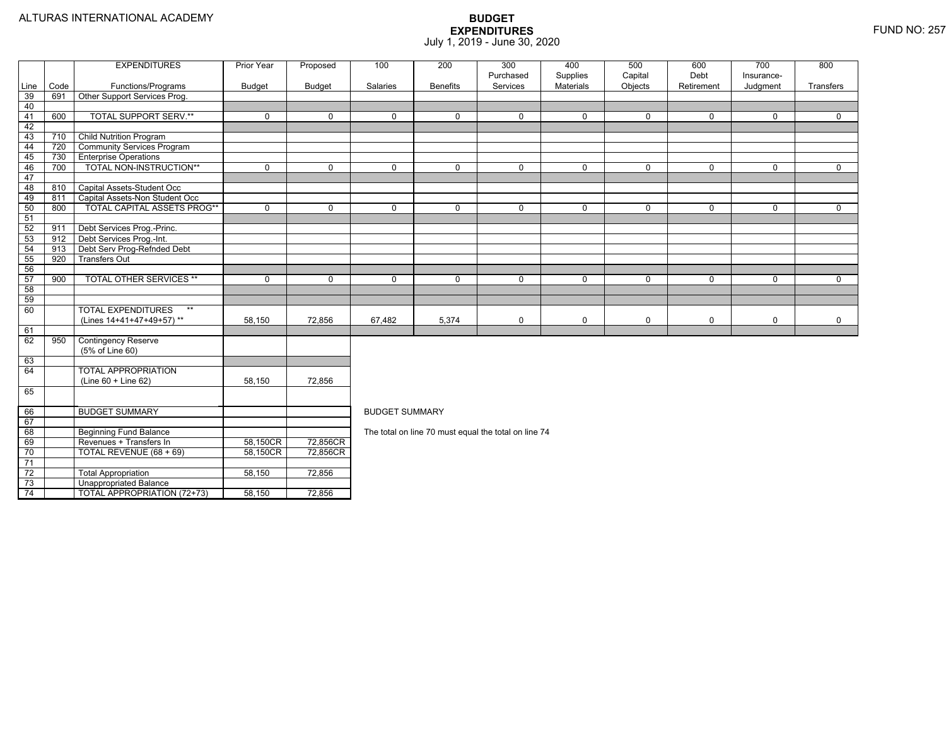74

TOTAL APPROPRIATION (72+73) 58,150 72,856

|                 |      | <b>EXPENDITURES</b>                | <b>Prior Year</b> | Proposed      | 100                   | 200             | 300                                                  | 400                          | 500                | 600                | 700                    | 800          |
|-----------------|------|------------------------------------|-------------------|---------------|-----------------------|-----------------|------------------------------------------------------|------------------------------|--------------------|--------------------|------------------------|--------------|
| Line            | Code | Functions/Programs                 | <b>Budget</b>     | <b>Budget</b> | Salaries              | <b>Benefits</b> | Purchased<br>Services                                | Supplies<br><b>Materials</b> | Capital<br>Objects | Debt<br>Retirement | Insurance-<br>Judgment | Transfers    |
| 39              | 691  | Other Support Services Prog.       |                   |               |                       |                 |                                                      |                              |                    |                    |                        |              |
| 40              |      |                                    |                   |               |                       |                 |                                                      |                              |                    |                    |                        |              |
| 41              | 600  | <b>TOTAL SUPPORT SERV.**</b>       | $\mathbf 0$       | $\Omega$      | $\Omega$              | $\Omega$        | 0                                                    | $\mathbf 0$                  | $\Omega$           | $\Omega$           | $\mathbf 0$            | $\Omega$     |
| 42              |      |                                    |                   |               |                       |                 |                                                      |                              |                    |                    |                        |              |
| 43              | 710  | <b>Child Nutrition Program</b>     |                   |               |                       |                 |                                                      |                              |                    |                    |                        |              |
| 44              | 720  | <b>Community Services Program</b>  |                   |               |                       |                 |                                                      |                              |                    |                    |                        |              |
| 45              | 730  | <b>Enterprise Operations</b>       |                   |               |                       |                 |                                                      |                              |                    |                    |                        |              |
| 46              | 700  | TOTAL NON-INSTRUCTION**            | $\Omega$          | $\mathbf{0}$  | $\Omega$              | $\Omega$        | $\Omega$                                             | $\overline{0}$               | $\Omega$           | $\Omega$           | $\Omega$               | $\Omega$     |
| 47              |      |                                    |                   |               |                       |                 |                                                      |                              |                    |                    |                        |              |
| 48              | 810  | Capital Assets-Student Occ         |                   |               |                       |                 |                                                      |                              |                    |                    |                        |              |
| 49              | 811  | Capital Assets-Non Student Occ     |                   |               |                       |                 |                                                      |                              |                    |                    |                        |              |
| 50              | 800  | <b>TOTAL CAPITAL ASSETS PROG**</b> | $\mathbf 0$       | $\Omega$      | $\Omega$              | $\Omega$        | 0                                                    | $\mathbf 0$                  | $\mathbf 0$        | $\mathbf 0$        | 0                      | $\mathbf 0$  |
| 51              |      |                                    |                   |               |                       |                 |                                                      |                              |                    |                    |                        |              |
| 52              | 911  | Debt Services Prog.-Princ.         |                   |               |                       |                 |                                                      |                              |                    |                    |                        |              |
| 53              | 912  | Debt Services Prog.-Int.           |                   |               |                       |                 |                                                      |                              |                    |                    |                        |              |
| 54              | 913  | Debt Serv Prog-Refnded Debt        |                   |               |                       |                 |                                                      |                              |                    |                    |                        |              |
| 55              | 920  | <b>Transfers Out</b>               |                   |               |                       |                 |                                                      |                              |                    |                    |                        |              |
| 56              |      |                                    |                   |               |                       |                 |                                                      |                              |                    |                    |                        |              |
| 57              | 900  | <b>TOTAL OTHER SERVICES **</b>     | $\mathbf 0$       | $\mathbf 0$   | $\mathbf 0$           | $\mathbf 0$     | 0                                                    | $\mathbf 0$                  | $\mathbf 0$        | $\mathbf 0$        | 0                      | $\mathbf 0$  |
| 58              |      |                                    |                   |               |                       |                 |                                                      |                              |                    |                    |                        |              |
| 59              |      |                                    |                   |               |                       |                 |                                                      |                              |                    |                    |                        |              |
| 60              |      | <b>TOTAL EXPENDITURES</b><br>$***$ |                   |               |                       |                 |                                                      |                              |                    |                    |                        |              |
|                 |      | (Lines 14+41+47+49+57)**           | 58,150            | 72,856        | 67,482                | 5,374           | 0                                                    | $\mathsf 0$                  | $\mathbf 0$        | $\mathbf 0$        | 0                      | $\mathsf{O}$ |
| 61              |      |                                    |                   |               |                       |                 |                                                      |                              |                    |                    |                        |              |
| 62              | 950  | <b>Contingency Reserve</b>         |                   |               |                       |                 |                                                      |                              |                    |                    |                        |              |
|                 |      | (5% of Line 60)                    |                   |               |                       |                 |                                                      |                              |                    |                    |                        |              |
| 63              |      |                                    |                   |               |                       |                 |                                                      |                              |                    |                    |                        |              |
| 64              |      | <b>TOTAL APPROPRIATION</b>         |                   |               |                       |                 |                                                      |                              |                    |                    |                        |              |
|                 |      | $(Line 60 + Line 62)$              | 58.150            | 72.856        |                       |                 |                                                      |                              |                    |                    |                        |              |
| 65              |      |                                    |                   |               |                       |                 |                                                      |                              |                    |                    |                        |              |
| 66              |      | <b>BUDGET SUMMARY</b>              |                   |               | <b>BUDGET SUMMARY</b> |                 |                                                      |                              |                    |                    |                        |              |
| 67              |      |                                    |                   |               |                       |                 |                                                      |                              |                    |                    |                        |              |
| 68              |      | <b>Beginning Fund Balance</b>      |                   |               |                       |                 | The total on line 70 must equal the total on line 74 |                              |                    |                    |                        |              |
| 69              |      | Revenues + Transfers In            | 58,150CR          | 72,856CR      |                       |                 |                                                      |                              |                    |                    |                        |              |
| 70              |      | TOTAL REVENUE (68 + 69)            | 58,150CR          | 72,856CR      |                       |                 |                                                      |                              |                    |                    |                        |              |
| 71              |      |                                    |                   |               |                       |                 |                                                      |                              |                    |                    |                        |              |
| $\overline{72}$ |      | <b>Total Appropriation</b>         | 58,150            | 72,856        |                       |                 |                                                      |                              |                    |                    |                        |              |
| 73              |      | <b>Unappropriated Balance</b>      |                   |               |                       |                 |                                                      |                              |                    |                    |                        |              |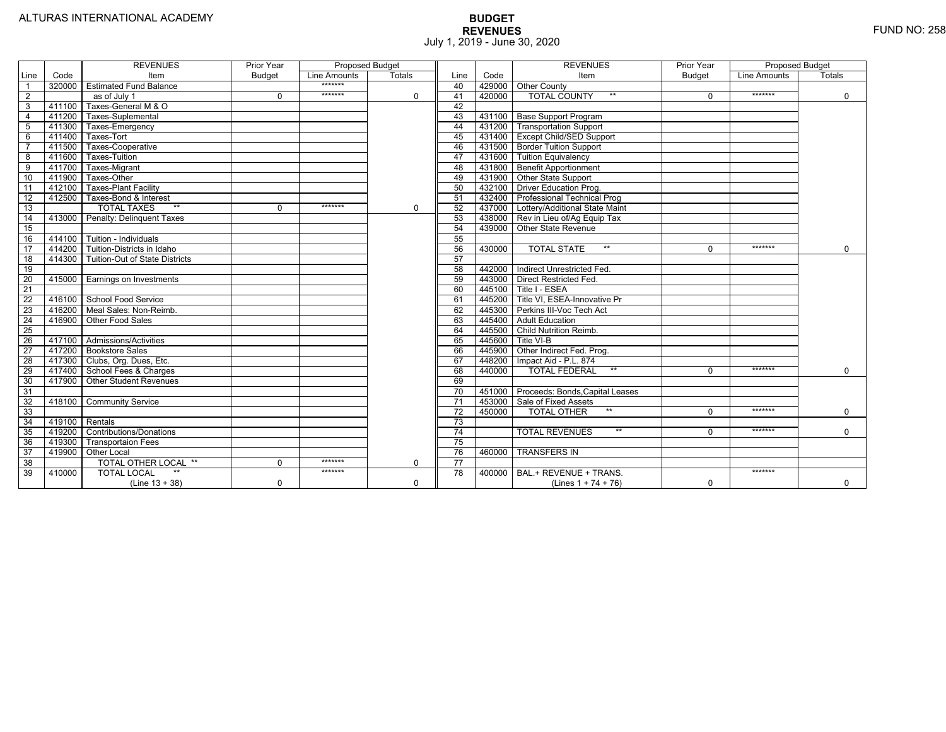|                 |                | <b>REVENUES</b>                   | Prior Year    | <b>Proposed Budget</b> |               |                 |        | <b>REVENUES</b>                        | Prior Year    | <b>Proposed Budget</b> |               |
|-----------------|----------------|-----------------------------------|---------------|------------------------|---------------|-----------------|--------|----------------------------------------|---------------|------------------------|---------------|
| Line            | Code           | Item                              | <b>Budget</b> | Line Amounts           | <b>Totals</b> | Line            | Code   | Item                                   | <b>Budget</b> | Line Amounts           | <b>Totals</b> |
|                 | 320000         | <b>Estimated Fund Balance</b>     |               | *******                |               | 40              |        | 429000 Other County                    |               |                        |               |
| 2               |                | as of July 1                      | $\Omega$      | *******                | $\mathbf 0$   | 41              | 420000 | <b>TOTAL COUNTY</b>                    | $\Omega$      | *******                | $\mathbf 0$   |
| 3               | 411100         | Taxes-General M & O               |               |                        |               | 42              |        |                                        |               |                        |               |
| $\overline{4}$  | 411200         | Taxes-Suplemental                 |               |                        |               | 43              |        | 431100   Base Support Program          |               |                        |               |
| $\overline{5}$  | 411300         | Taxes-Emergency                   |               |                        |               | 44              |        | 431200 Transportation Support          |               |                        |               |
| 6               | 411400         | Taxes-Tort                        |               |                        |               | 45              |        | 431400 Except Child/SED Support        |               |                        |               |
|                 | 411500         | Taxes-Cooperative                 |               |                        |               | 46              |        | 431500   Border Tuition Support        |               |                        |               |
| 8               | 411600         | Taxes-Tuition                     |               |                        |               | 47              |        | 431600 Tuition Equivalency             |               |                        |               |
| 9               | 411700         | Taxes-Migrant                     |               |                        |               | 48              |        | 431800 Benefit Apportionment           |               |                        |               |
| 10              | 411900         | Taxes-Other                       |               |                        |               | 49              |        | 431900 Other State Support             |               |                        |               |
| 11              | 412100         | <b>Taxes-Plant Facility</b>       |               |                        |               | 50              | 432100 | Driver Education Prog.                 |               |                        |               |
| 12              | 412500         | Taxes-Bond & Interest             |               |                        |               | 51              |        | 432400   Professional Technical Prog   |               |                        |               |
| 13              |                | $**$<br><b>TOTAL TAXES</b>        | $\Omega$      | *******                | $\mathbf 0$   | 52              |        | 437000 Lottery/Additional State Maint  |               |                        |               |
| 14              | 413000         | Penalty: Delinguent Taxes         |               |                        |               | 53              |        | 438000 Rev in Lieu of/Ag Equip Tax     |               |                        |               |
| 15              |                |                                   |               |                        |               | 54              | 439000 | Other State Revenue                    |               |                        |               |
| 16              | 414100         | Tuition - Individuals             |               |                        |               | 55              |        |                                        |               |                        |               |
| $\overline{17}$ |                | 414200 Tuition-Districts in Idaho |               |                        |               | 56              | 430000 | $**$<br><b>TOTAL STATE</b>             | 0             | *******                | $\Omega$      |
| $\overline{18}$ | 414300         | Tuition-Out of State Districts    |               |                        |               | 57              |        |                                        |               |                        |               |
| 19              |                |                                   |               |                        |               | 58              |        | 442000   Indirect Unrestricted Fed.    |               |                        |               |
| 20              |                | 415000 Earnings on Investments    |               |                        |               | 59              |        | 443000 Direct Restricted Fed.          |               |                        |               |
| 21              |                |                                   |               |                        |               | 60              |        | 445100 Title I - ESEA                  |               |                        |               |
| 22              | 416100         | School Food Service               |               |                        |               | 61              |        | 445200 Title VI. ESEA-Innovative Pr    |               |                        |               |
| 23              |                | 416200   Meal Sales: Non-Reimb.   |               |                        |               | 62              |        | 445300 Perkins III-Voc Tech Act        |               |                        |               |
| 24              | 416900         | Other Food Sales                  |               |                        |               | 63              |        | 445400 Adult Education                 |               |                        |               |
| 25              |                |                                   |               |                        |               | 64              |        | 445500 Child Nutrition Reimb.          |               |                        |               |
| 26              |                | 417100 Admissions/Activities      |               |                        |               | 65              | 445600 | Title VI-B                             |               |                        |               |
| $\overline{27}$ | 417200         | <b>Bookstore Sales</b>            |               |                        |               | 66              | 445900 | Other Indirect Fed. Prog.              |               |                        |               |
| $\overline{28}$ |                | 417300 Clubs, Org. Dues, Etc.     |               |                        |               | 67              | 448200 | Impact Aid - P.L. 874                  |               |                        |               |
| 29              | 417400         | School Fees & Charges             |               |                        |               | 68              | 440000 | $**$<br><b>TOTAL FEDERAL</b>           | $\Omega$      | *******                | $\mathbf 0$   |
| 30              | 417900         | <b>Other Student Revenues</b>     |               |                        |               | 69              |        |                                        |               |                        |               |
| 31              |                |                                   |               |                        |               | $\overline{70}$ |        | 451000 Proceeds: Bonds, Capital Leases |               |                        |               |
| $\overline{32}$ | 418100         | <b>Community Service</b>          |               |                        |               | $\overline{71}$ |        | 453000 Sale of Fixed Assets            |               |                        |               |
| 33              |                |                                   |               |                        |               | 72              | 450000 | <b>TOTAL OTHER</b><br>$**$             | $\Omega$      | *******                | $\mathbf 0$   |
| 34              | 419100 Rentals |                                   |               |                        |               | 73              |        |                                        |               |                        |               |
| 35              | 419200         | <b>Contributions/Donations</b>    |               |                        |               | $\overline{74}$ |        | $**$<br><b>TOTAL REVENUES</b>          | $\Omega$      | *******                | $\Omega$      |
| 36              | 419300         | <b>Transportaion Fees</b>         |               |                        |               | 75              |        |                                        |               |                        |               |
| 37              | 419900         | <b>Other Local</b>                |               |                        |               | 76              | 460000 | <b>TRANSFERS IN</b>                    |               |                        |               |
| 38              |                | TOTAL OTHER LOCAL **              | $\Omega$      | *******                | 0             | 77              |        |                                        |               |                        |               |
| 39              | 410000         | <b>TOTAL LOCAL</b>                |               | *******                |               | $\overline{78}$ | 400000 | BAL.+ REVENUE + TRANS.                 |               | *******                |               |
|                 |                | $(Line 13 + 38)$                  | $\Omega$      |                        | $\Omega$      |                 |        | (Lines $1 + 74 + 76$ )                 | $\Omega$      |                        | $\mathbf 0$   |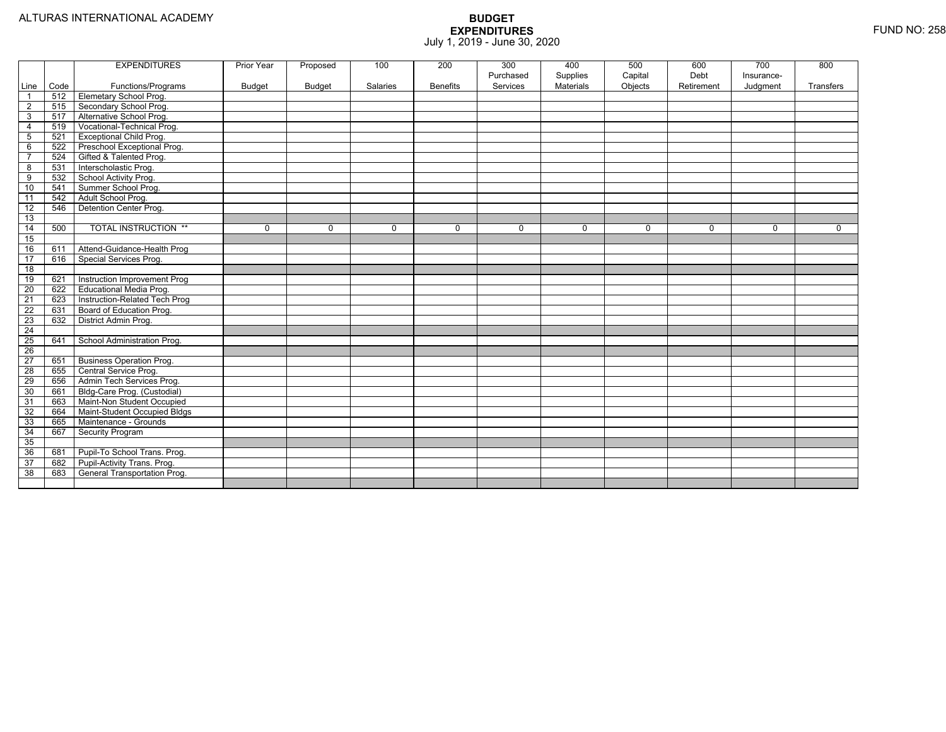|                         |      | <b>EXPENDITURES</b>             | Prior Year    | Proposed      | 100         | 200             | 300<br>Purchased | 400<br>Supplies | 500<br>Capital | 600<br>Debt | 700<br>Insurance- | 800         |
|-------------------------|------|---------------------------------|---------------|---------------|-------------|-----------------|------------------|-----------------|----------------|-------------|-------------------|-------------|
| Line                    | Code | Functions/Programs              | <b>Budget</b> | <b>Budget</b> | Salaries    | <b>Benefits</b> | Services         | Materials       | Objects        | Retirement  | Judgment          | Transfers   |
| $\overline{1}$          | 512  | Elemetary School Prog.          |               |               |             |                 |                  |                 |                |             |                   |             |
| $\overline{2}$          | 515  | Secondary School Prog.          |               |               |             |                 |                  |                 |                |             |                   |             |
| 3                       | 517  | Alternative School Prog.        |               |               |             |                 |                  |                 |                |             |                   |             |
| $\overline{4}$          | 519  | Vocational-Technical Prog.      |               |               |             |                 |                  |                 |                |             |                   |             |
| 5                       | 521  | <b>Exceptional Child Prog.</b>  |               |               |             |                 |                  |                 |                |             |                   |             |
| $\,6\,$                 | 522  | Preschool Exceptional Prog.     |               |               |             |                 |                  |                 |                |             |                   |             |
| $\overline{7}$          | 524  | Gifted & Talented Prog.         |               |               |             |                 |                  |                 |                |             |                   |             |
| $\overline{\mathbf{8}}$ | 531  | Interscholastic Prog.           |               |               |             |                 |                  |                 |                |             |                   |             |
| 9                       | 532  | School Activity Prog.           |               |               |             |                 |                  |                 |                |             |                   |             |
| 10                      | 541  | Summer School Prog.             |               |               |             |                 |                  |                 |                |             |                   |             |
| 11                      | 542  | Adult School Prog.              |               |               |             |                 |                  |                 |                |             |                   |             |
| $\overline{12}$         | 546  | Detention Center Prog.          |               |               |             |                 |                  |                 |                |             |                   |             |
| 13                      |      |                                 |               |               |             |                 |                  |                 |                |             |                   |             |
| 14                      | 500  | <b>TOTAL INSTRUCTION **</b>     | $\mathbf 0$   | $\Omega$      | $\mathbf 0$ | $\mathbf 0$     | $\Omega$         | $\mathbf 0$     | $\mathbf 0$    | 0           | $\mathbf 0$       | $\mathbf 0$ |
| 15                      |      |                                 |               |               |             |                 |                  |                 |                |             |                   |             |
| 16                      | 611  | Attend-Guidance-Health Prog     |               |               |             |                 |                  |                 |                |             |                   |             |
| $\overline{17}$         | 616  | Special Services Prog.          |               |               |             |                 |                  |                 |                |             |                   |             |
| 18                      |      |                                 |               |               |             |                 |                  |                 |                |             |                   |             |
| 19                      | 621  | Instruction Improvement Prog    |               |               |             |                 |                  |                 |                |             |                   |             |
| $\overline{20}$         | 622  | Educational Media Prog.         |               |               |             |                 |                  |                 |                |             |                   |             |
| 21                      | 623  | Instruction-Related Tech Prog   |               |               |             |                 |                  |                 |                |             |                   |             |
| 22                      | 631  | Board of Education Prog.        |               |               |             |                 |                  |                 |                |             |                   |             |
| 23                      | 632  | District Admin Prog.            |               |               |             |                 |                  |                 |                |             |                   |             |
| $\overline{24}$         |      |                                 |               |               |             |                 |                  |                 |                |             |                   |             |
| $\overline{25}$         | 641  | School Administration Prog.     |               |               |             |                 |                  |                 |                |             |                   |             |
| $\overline{26}$         |      |                                 |               |               |             |                 |                  |                 |                |             |                   |             |
| $\overline{27}$         | 651  | <b>Business Operation Prog.</b> |               |               |             |                 |                  |                 |                |             |                   |             |
| 28                      | 655  | Central Service Prog.           |               |               |             |                 |                  |                 |                |             |                   |             |
| 29                      | 656  | Admin Tech Services Prog.       |               |               |             |                 |                  |                 |                |             |                   |             |
| 30                      | 661  | Bldg-Care Prog. (Custodial)     |               |               |             |                 |                  |                 |                |             |                   |             |
| 31                      | 663  | Maint-Non Student Occupied      |               |               |             |                 |                  |                 |                |             |                   |             |
| 32                      | 664  | Maint-Student Occupied Bldgs    |               |               |             |                 |                  |                 |                |             |                   |             |
| 33                      | 665  | Maintenance - Grounds           |               |               |             |                 |                  |                 |                |             |                   |             |
| 34                      | 667  | <b>Security Program</b>         |               |               |             |                 |                  |                 |                |             |                   |             |
| 35                      |      |                                 |               |               |             |                 |                  |                 |                |             |                   |             |
| 36                      | 681  | Pupil-To School Trans. Prog.    |               |               |             |                 |                  |                 |                |             |                   |             |
| 37                      | 682  | Pupil-Activity Trans. Prog.     |               |               |             |                 |                  |                 |                |             |                   |             |
| 38                      | 683  | General Transportation Prog.    |               |               |             |                 |                  |                 |                |             |                   |             |
|                         |      |                                 |               |               |             |                 |                  |                 |                |             |                   |             |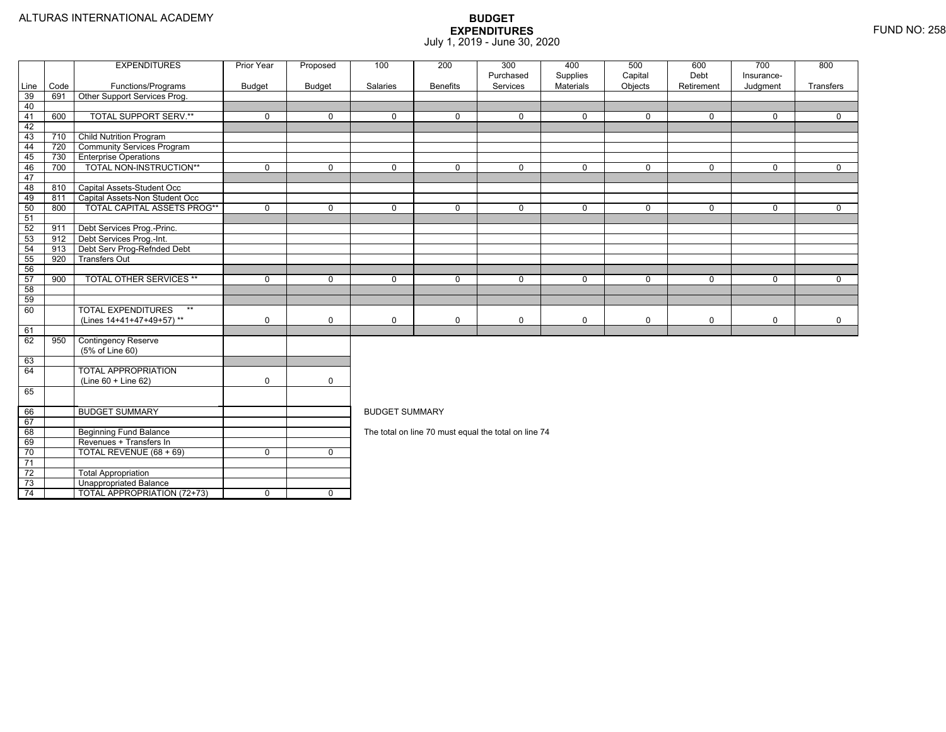|          |      | <b>EXPENDITURES</b>                | Prior Year    | Proposed      | 100                   | 200             | 300<br>Purchased                                     | 400<br>Supplies | 500<br>Capital | 600<br>Debt | 700<br>Insurance- | 800         |  |  |
|----------|------|------------------------------------|---------------|---------------|-----------------------|-----------------|------------------------------------------------------|-----------------|----------------|-------------|-------------------|-------------|--|--|
| Line     | Code | Functions/Programs                 | <b>Budget</b> | <b>Budget</b> | Salaries              | <b>Benefits</b> | Services                                             | Materials       | Objects        | Retirement  | Judgment          | Transfers   |  |  |
| 39       | 691  | Other Support Services Prog.       |               |               |                       |                 |                                                      |                 |                |             |                   |             |  |  |
| 40       |      |                                    |               |               |                       |                 |                                                      |                 |                |             |                   |             |  |  |
| 41       | 600  | <b>TOTAL SUPPORT SERV.**</b>       | $\mathbf 0$   | $\mathbf 0$   | $\Omega$              | $\Omega$        | $\mathbf 0$                                          | $\mathbf 0$     | $\mathbf 0$    | $\Omega$    | $\Omega$          | $\Omega$    |  |  |
| 42       |      |                                    |               |               |                       |                 |                                                      |                 |                |             |                   |             |  |  |
| 43       | 710  | <b>Child Nutrition Program</b>     |               |               |                       |                 |                                                      |                 |                |             |                   |             |  |  |
| 44       | 720  | <b>Community Services Program</b>  |               |               |                       |                 |                                                      |                 |                |             |                   |             |  |  |
| 45       | 730  | <b>Enterprise Operations</b>       |               |               |                       |                 |                                                      |                 |                |             |                   |             |  |  |
| 46       | 700  | TOTAL NON-INSTRUCTION**            | $\Omega$      | $\Omega$      | $\Omega$              | $\Omega$        | $\mathbf 0$                                          | $\Omega$        | $\Omega$       | $\Omega$    | $\Omega$          | $\Omega$    |  |  |
| 47       |      |                                    |               |               |                       |                 |                                                      |                 |                |             |                   |             |  |  |
| 48       | 810  | Capital Assets-Student Occ         |               |               |                       |                 |                                                      |                 |                |             |                   |             |  |  |
| 49       | 811  | Capital Assets-Non Student Occ     |               |               |                       |                 |                                                      |                 |                |             |                   |             |  |  |
| 50       | 800  | <b>TOTAL CAPITAL ASSETS PROG**</b> | $\mathbf 0$   | $\mathbf 0$   | 0                     | 0               | $\mathbf 0$                                          | $\mathbf 0$     | $\mathbf 0$    | 0           | $\mathbf 0$       | $\mathbf 0$ |  |  |
| 51       |      |                                    |               |               |                       |                 |                                                      |                 |                |             |                   |             |  |  |
| 52       | 911  | Debt Services Prog.-Princ.         |               |               |                       |                 |                                                      |                 |                |             |                   |             |  |  |
| 53       | 912  | Debt Services Prog.-Int.           |               |               |                       |                 |                                                      |                 |                |             |                   |             |  |  |
| 54       | 913  | Debt Serv Prog-Refnded Debt        |               |               |                       |                 |                                                      |                 |                |             |                   |             |  |  |
| 55       | 920  | <b>Transfers Out</b>               |               |               |                       |                 |                                                      |                 |                |             |                   |             |  |  |
| 56       |      |                                    |               |               |                       |                 |                                                      |                 |                |             |                   |             |  |  |
| 57       | 900  | <b>TOTAL OTHER SERVICES **</b>     | $\mathbf 0$   | $\Omega$      | $\Omega$              | $\Omega$        | $\mathbf 0$                                          | $\mathbf 0$     | $\mathbf 0$    | $\Omega$    | $\mathbf 0$       | $\mathbf 0$ |  |  |
| 58       |      |                                    |               |               |                       |                 |                                                      |                 |                |             |                   |             |  |  |
| 59       |      |                                    |               |               |                       |                 |                                                      |                 |                |             |                   |             |  |  |
| 60       |      | <b>TOTAL EXPENDITURES</b><br>$**$  |               |               |                       |                 |                                                      |                 |                |             |                   |             |  |  |
|          |      | (Lines 14+41+47+49+57)**           | $\mathbf 0$   | $\mathbf 0$   | $\Omega$              | $\mathbf 0$     | 0                                                    | 0               | $\mathbf 0$    | 0           | $\mathbf 0$       | $\mathbf 0$ |  |  |
| 61       |      |                                    |               |               |                       |                 |                                                      |                 |                |             |                   |             |  |  |
| 62       | 950  | <b>Contingency Reserve</b>         |               |               |                       |                 |                                                      |                 |                |             |                   |             |  |  |
|          |      | (5% of Line 60)                    |               |               |                       |                 |                                                      |                 |                |             |                   |             |  |  |
| 63<br>64 |      | <b>TOTAL APPROPRIATION</b>         |               |               |                       |                 |                                                      |                 |                |             |                   |             |  |  |
|          |      | (Line 60 + Line 62)                | $\mathbf 0$   | $\mathsf{O}$  |                       |                 |                                                      |                 |                |             |                   |             |  |  |
| 65       |      |                                    |               |               |                       |                 |                                                      |                 |                |             |                   |             |  |  |
|          |      |                                    |               |               |                       |                 |                                                      |                 |                |             |                   |             |  |  |
| 66       |      | <b>BUDGET SUMMARY</b>              |               |               | <b>BUDGET SUMMARY</b> |                 |                                                      |                 |                |             |                   |             |  |  |
| 67       |      |                                    |               |               |                       |                 |                                                      |                 |                |             |                   |             |  |  |
| 68       |      | <b>Beginning Fund Balance</b>      |               |               |                       |                 | The total on line 70 must equal the total on line 74 |                 |                |             |                   |             |  |  |
| 69       |      | Revenues + Transfers In            |               |               |                       |                 |                                                      |                 |                |             |                   |             |  |  |
| 70       |      | TOTAL REVENUE (68 + 69)            | $\mathbf 0$   | $\mathbf 0$   |                       |                 |                                                      |                 |                |             |                   |             |  |  |
| 71       |      |                                    |               |               |                       |                 |                                                      |                 |                |             |                   |             |  |  |
| 72       |      | <b>Total Appropriation</b>         |               |               |                       |                 |                                                      |                 |                |             |                   |             |  |  |
|          |      |                                    |               |               |                       |                 |                                                      |                 |                |             |                   |             |  |  |
| 73       |      | <b>Unappropriated Balance</b>      |               |               |                       |                 |                                                      |                 |                |             |                   |             |  |  |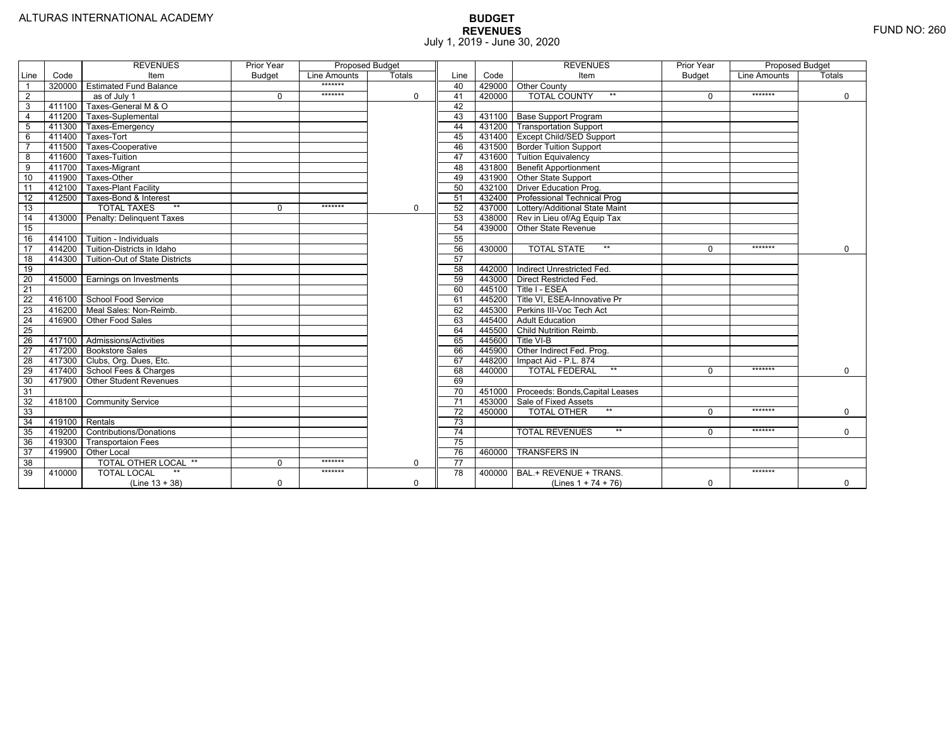|                 |                | <b>REVENUES</b>                   | Prior Year    | Proposed Budget |               |                 |        | <b>REVENUES</b>                        | Prior Year    | Proposed Budget |               |
|-----------------|----------------|-----------------------------------|---------------|-----------------|---------------|-----------------|--------|----------------------------------------|---------------|-----------------|---------------|
| Line            | Code           | Item                              | <b>Budget</b> | Line Amounts    | <b>Totals</b> | Line            | Code   | Item                                   | <b>Budget</b> | Line Amounts    | <b>Totals</b> |
|                 | 320000         | <b>Estimated Fund Balance</b>     |               | *******         |               | 40              |        | 429000 Other County                    |               |                 |               |
| $\overline{2}$  |                | $\overline{as}$ of July 1         | $\Omega$      | *******         | 0             | 41              | 420000 | <b>TOTAL COUNTY</b>                    |               | *******         | $\mathbf 0$   |
| 3               | 411100         | Taxes-General M & O               |               |                 |               | 42              |        |                                        |               |                 |               |
| $\overline{4}$  | 411200         | Taxes-Suplemental                 |               |                 |               | 43              |        | 431100   Base Support Program          |               |                 |               |
| 5               | 411300         | Taxes-Emergency                   |               |                 |               | 44              |        | 431200   Transportation Support        |               |                 |               |
| 6               | 411400         | Taxes-Tort                        |               |                 |               | 45              |        | 431400 Except Child/SED Support        |               |                 |               |
|                 | 411500         | Taxes-Cooperative                 |               |                 |               | 46              |        | 431500 Border Tuition Support          |               |                 |               |
| 8               | 411600         | Taxes-Tuition                     |               |                 |               | 47              |        | 431600 Tuition Equivalency             |               |                 |               |
| 9               | 411700         | Taxes-Migrant                     |               |                 |               | 48              |        | 431800 Benefit Apportionment           |               |                 |               |
| 10              | 411900         | Taxes-Other                       |               |                 |               | 49              |        | 431900 Other State Support             |               |                 |               |
| 11              | 412100         | <b>Taxes-Plant Facility</b>       |               |                 |               | 50              | 432100 | Driver Education Prog.                 |               |                 |               |
| 12              | 412500         | Taxes-Bond & Interest             |               |                 |               | 51              | 432400 | <b>Professional Technical Prog</b>     |               |                 |               |
| 13              |                | $**$<br><b>TOTAL TAXES</b>        | $\Omega$      | *******         | 0             | 52              |        | 437000 Lottery/Additional State Maint  |               |                 |               |
| 14              | 413000         | Penalty: Delinguent Taxes         |               |                 |               | 53              |        | 438000 Rev in Lieu of/Ag Equip Tax     |               |                 |               |
| 15              |                |                                   |               |                 |               | 54              |        | 439000 Other State Revenue             |               |                 |               |
| 16              |                | 414100 Tuition - Individuals      |               |                 |               | 55              |        |                                        |               |                 |               |
| $\overline{17}$ |                | 414200 Tuition-Districts in Idaho |               |                 |               | 56              | 430000 | $**$<br><b>TOTAL STATE</b>             |               | *******         | $\Omega$      |
| $\overline{18}$ | 414300         | Tuition-Out of State Districts    |               |                 |               | 57              |        |                                        |               |                 |               |
| 19              |                |                                   |               |                 |               | 58              |        | 442000   Indirect Unrestricted Fed.    |               |                 |               |
| 20              |                | 415000 Earnings on Investments    |               |                 |               | 59              |        | 443000 Direct Restricted Fed.          |               |                 |               |
| $\overline{21}$ |                |                                   |               |                 |               | 60              |        | 445100 Title I - ESEA                  |               |                 |               |
| 22              | 416100         | School Food Service               |               |                 |               | 61              |        | 445200 Title VI. ESEA-Innovative Pr    |               |                 |               |
| 23              |                | 416200   Meal Sales: Non-Reimb.   |               |                 |               | 62              |        | 445300 Perkins III-Voc Tech Act        |               |                 |               |
| 24              | 416900         | Other Food Sales                  |               |                 |               | 63              |        | 445400 Adult Education                 |               |                 |               |
| $\overline{25}$ |                |                                   |               |                 |               | 64              | 445500 | Child Nutrition Reimb.                 |               |                 |               |
| 26              |                | 417100 Admissions/Activities      |               |                 |               | 65              | 445600 | Title VI-B                             |               |                 |               |
| $\overline{27}$ | 417200         | <b>Bookstore Sales</b>            |               |                 |               | 66              | 445900 | Other Indirect Fed. Prog.              |               |                 |               |
| $\overline{28}$ |                | 417300   Clubs, Org. Dues, Etc.   |               |                 |               | 67              | 448200 | Impact Aid - P.L. 874                  |               |                 |               |
| 29              | 417400         | School Fees & Charges             |               |                 |               | 68              | 440000 | $**$<br><b>TOTAL FEDERAL</b>           | $\Omega$      | *******         | $\Omega$      |
| 30              | 417900         | <b>Other Student Revenues</b>     |               |                 |               | 69              |        |                                        |               |                 |               |
| 31              |                |                                   |               |                 |               | $\overline{70}$ |        | 451000 Proceeds: Bonds, Capital Leases |               |                 |               |
| $\overline{32}$ | 418100         | <b>Community Service</b>          |               |                 |               | $\overline{71}$ |        | 453000 Sale of Fixed Assets            |               |                 |               |
| 33              |                |                                   |               |                 |               | 72              | 450000 | $**$<br><b>TOTAL OTHER</b>             | $\Omega$      | *******         | $\mathbf 0$   |
| 34              | 419100 Rentals |                                   |               |                 |               | 73              |        |                                        |               |                 |               |
| 35              | 419200         | <b>Contributions/Donations</b>    |               |                 |               | 74              |        | $**$<br><b>TOTAL REVENUES</b>          |               | *******         | $\Omega$      |
| 36              | 419300         | Transportaion Fees                |               |                 |               | 75              |        |                                        |               |                 |               |
| 37              | 419900         | <b>Other Local</b>                |               |                 |               | 76              | 460000 | <b>TRANSFERS IN</b>                    |               |                 |               |
| 38              |                | TOTAL OTHER LOCAL **              | $\Omega$      | *******         | 0             | 77              |        |                                        |               |                 |               |
| 39              | 410000         | <b>TOTAL LOCAL</b>                |               | *******         |               | $\overline{78}$ | 400000 | BAL.+ REVENUE + TRANS.                 |               | *******         |               |
|                 |                | $(Line 13 + 38)$                  | $\Omega$      |                 | $\Omega$      |                 |        | (Lines $1 + 74 + 76$ )                 | $\Omega$      |                 | $\mathbf 0$   |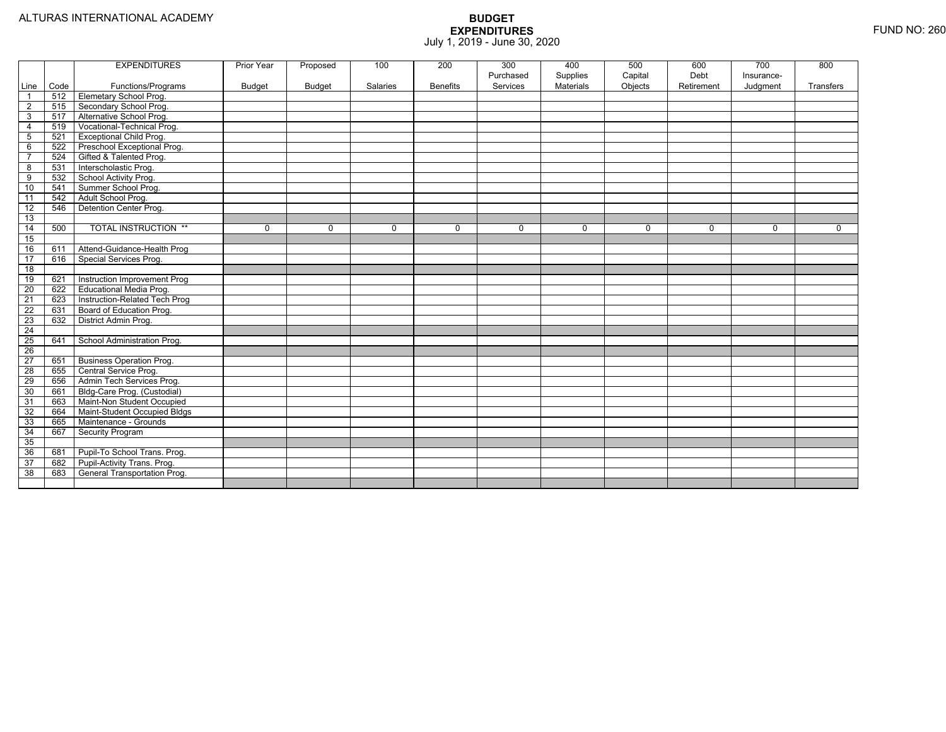|                 |      | <b>EXPENDITURES</b>                 | Prior Year    | Proposed      | 100             | 200             | 300<br>Purchased | 400<br>Supplies | 500<br>Capital | 600<br>Debt | 700<br>Insurance- | 800         |
|-----------------|------|-------------------------------------|---------------|---------------|-----------------|-----------------|------------------|-----------------|----------------|-------------|-------------------|-------------|
| Line            | Code | Functions/Programs                  | <b>Budget</b> | <b>Budget</b> | <b>Salaries</b> | <b>Benefits</b> | Services         | Materials       | Objects        | Retirement  | Judgment          | Transfers   |
| $\overline{1}$  | 512  | <b>Elemetary School Prog.</b>       |               |               |                 |                 |                  |                 |                |             |                   |             |
| $\overline{2}$  | 515  | Secondary School Prog.              |               |               |                 |                 |                  |                 |                |             |                   |             |
| 3               | 517  | Alternative School Prog.            |               |               |                 |                 |                  |                 |                |             |                   |             |
| 4               | 519  | Vocational-Technical Prog.          |               |               |                 |                 |                  |                 |                |             |                   |             |
| $\overline{5}$  | 521  | <b>Exceptional Child Prog.</b>      |               |               |                 |                 |                  |                 |                |             |                   |             |
| 6               | 522  | Preschool Exceptional Prog.         |               |               |                 |                 |                  |                 |                |             |                   |             |
| $\overline{7}$  | 524  | Gifted & Talented Prog.             |               |               |                 |                 |                  |                 |                |             |                   |             |
| 8               | 531  | Interscholastic Prog.               |               |               |                 |                 |                  |                 |                |             |                   |             |
| 9               | 532  | School Activity Prog.               |               |               |                 |                 |                  |                 |                |             |                   |             |
| 10              | 541  | Summer School Prog.                 |               |               |                 |                 |                  |                 |                |             |                   |             |
| $\overline{11}$ | 542  | Adult School Prog.                  |               |               |                 |                 |                  |                 |                |             |                   |             |
| $\overline{12}$ | 546  | Detention Center Prog.              |               |               |                 |                 |                  |                 |                |             |                   |             |
| 13              |      |                                     |               |               |                 |                 |                  |                 |                |             |                   |             |
| 14              | 500  | <b>TOTAL INSTRUCTION **</b>         | $\Omega$      | $\Omega$      | $\Omega$        | 0               | $\Omega$         | 0               | $\mathbf 0$    | $\Omega$    | 0                 | $\mathbf 0$ |
| 15              |      |                                     |               |               |                 |                 |                  |                 |                |             |                   |             |
| 16              | 611  | Attend-Guidance-Health Prog         |               |               |                 |                 |                  |                 |                |             |                   |             |
| $\overline{17}$ | 616  | Special Services Prog.              |               |               |                 |                 |                  |                 |                |             |                   |             |
| $\overline{18}$ |      |                                     |               |               |                 |                 |                  |                 |                |             |                   |             |
| 19              | 621  | Instruction Improvement Prog        |               |               |                 |                 |                  |                 |                |             |                   |             |
| 20              | 622  | <b>Educational Media Prog.</b>      |               |               |                 |                 |                  |                 |                |             |                   |             |
| $\overline{21}$ | 623  | Instruction-Related Tech Prog       |               |               |                 |                 |                  |                 |                |             |                   |             |
| 22              | 631  | Board of Education Prog.            |               |               |                 |                 |                  |                 |                |             |                   |             |
| 23              | 632  | District Admin Prog.                |               |               |                 |                 |                  |                 |                |             |                   |             |
| 24              |      |                                     |               |               |                 |                 |                  |                 |                |             |                   |             |
| 25              | 641  | School Administration Prog.         |               |               |                 |                 |                  |                 |                |             |                   |             |
| 26              |      |                                     |               |               |                 |                 |                  |                 |                |             |                   |             |
| 27              | 651  | <b>Business Operation Prog.</b>     |               |               |                 |                 |                  |                 |                |             |                   |             |
| 28              | 655  | Central Service Prog.               |               |               |                 |                 |                  |                 |                |             |                   |             |
| 29              | 656  | Admin Tech Services Prog.           |               |               |                 |                 |                  |                 |                |             |                   |             |
| 30              | 661  | Bldg-Care Prog. (Custodial)         |               |               |                 |                 |                  |                 |                |             |                   |             |
| 31              | 663  | Maint-Non Student Occupied          |               |               |                 |                 |                  |                 |                |             |                   |             |
| 32              | 664  | Maint-Student Occupied Bldgs        |               |               |                 |                 |                  |                 |                |             |                   |             |
| 33              | 665  | Maintenance - Grounds               |               |               |                 |                 |                  |                 |                |             |                   |             |
| 34              | 667  | <b>Security Program</b>             |               |               |                 |                 |                  |                 |                |             |                   |             |
| 35              |      |                                     |               |               |                 |                 |                  |                 |                |             |                   |             |
| 36              | 681  | Pupil-To School Trans. Prog.        |               |               |                 |                 |                  |                 |                |             |                   |             |
| 37              | 682  | Pupil-Activity Trans. Prog.         |               |               |                 |                 |                  |                 |                |             |                   |             |
| 38              | 683  | <b>General Transportation Prog.</b> |               |               |                 |                 |                  |                 |                |             |                   |             |
|                 |      |                                     |               |               |                 |                 |                  |                 |                |             |                   |             |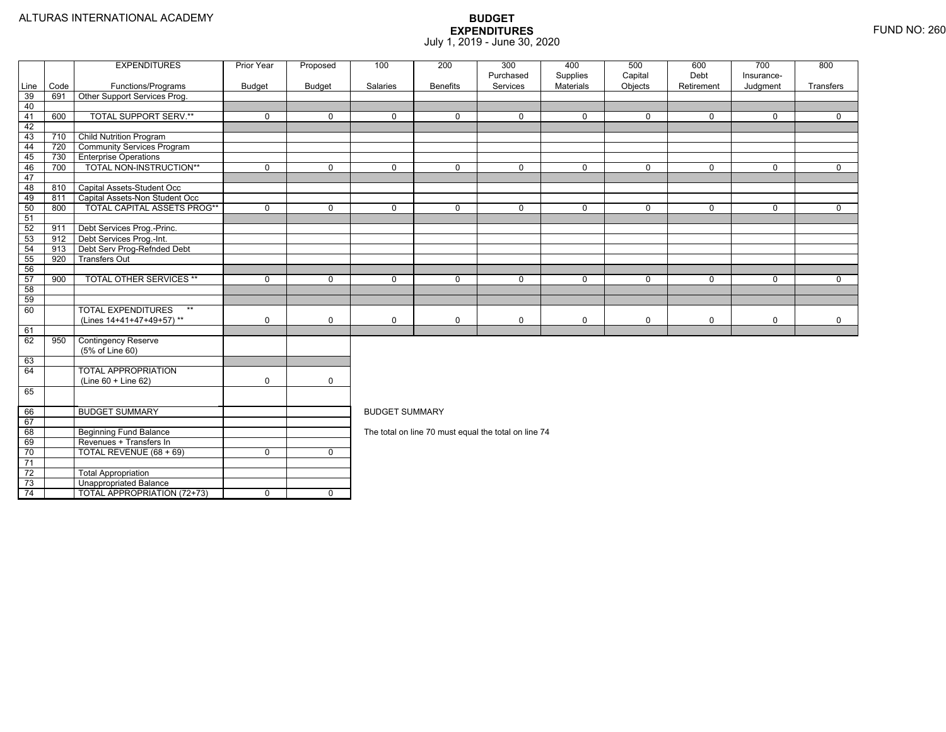|          |      | <b>EXPENDITURES</b>                | Prior Year    | Proposed      | 100                   | 200             | 300<br>Purchased                                     | 400<br>Supplies | 500<br>Capital | 600<br>Debt | 700<br>Insurance- | 800         |  |  |
|----------|------|------------------------------------|---------------|---------------|-----------------------|-----------------|------------------------------------------------------|-----------------|----------------|-------------|-------------------|-------------|--|--|
| Line     | Code | Functions/Programs                 | <b>Budget</b> | <b>Budget</b> | Salaries              | <b>Benefits</b> | Services                                             | Materials       | Objects        | Retirement  | Judgment          | Transfers   |  |  |
| 39       | 691  | Other Support Services Prog.       |               |               |                       |                 |                                                      |                 |                |             |                   |             |  |  |
| 40       |      |                                    |               |               |                       |                 |                                                      |                 |                |             |                   |             |  |  |
| 41       | 600  | <b>TOTAL SUPPORT SERV.**</b>       | $\mathbf 0$   | $\mathbf 0$   | $\Omega$              | $\Omega$        | $\mathbf 0$                                          | $\mathbf 0$     | $\mathbf 0$    | $\Omega$    | $\Omega$          | $\Omega$    |  |  |
| 42       |      |                                    |               |               |                       |                 |                                                      |                 |                |             |                   |             |  |  |
| 43       | 710  | <b>Child Nutrition Program</b>     |               |               |                       |                 |                                                      |                 |                |             |                   |             |  |  |
| 44       | 720  | <b>Community Services Program</b>  |               |               |                       |                 |                                                      |                 |                |             |                   |             |  |  |
| 45       | 730  | <b>Enterprise Operations</b>       |               |               |                       |                 |                                                      |                 |                |             |                   |             |  |  |
| 46       | 700  | TOTAL NON-INSTRUCTION**            | $\Omega$      | $\Omega$      | $\Omega$              | $\Omega$        | $\mathbf 0$                                          | $\Omega$        | $\Omega$       | $\Omega$    | $\Omega$          | $\Omega$    |  |  |
| 47       |      |                                    |               |               |                       |                 |                                                      |                 |                |             |                   |             |  |  |
| 48       | 810  | Capital Assets-Student Occ         |               |               |                       |                 |                                                      |                 |                |             |                   |             |  |  |
| 49       | 811  | Capital Assets-Non Student Occ     |               |               |                       |                 |                                                      |                 |                |             |                   |             |  |  |
| 50       | 800  | <b>TOTAL CAPITAL ASSETS PROG**</b> | $\mathbf 0$   | $\mathbf 0$   | 0                     | 0               | $\mathbf 0$                                          | $\mathbf 0$     | $\mathbf 0$    | 0           | $\mathbf 0$       | $\mathbf 0$ |  |  |
| 51       |      |                                    |               |               |                       |                 |                                                      |                 |                |             |                   |             |  |  |
| 52       | 911  | Debt Services Prog.-Princ.         |               |               |                       |                 |                                                      |                 |                |             |                   |             |  |  |
| 53       | 912  | Debt Services Prog.-Int.           |               |               |                       |                 |                                                      |                 |                |             |                   |             |  |  |
| 54       | 913  | Debt Serv Prog-Refnded Debt        |               |               |                       |                 |                                                      |                 |                |             |                   |             |  |  |
| 55       | 920  | <b>Transfers Out</b>               |               |               |                       |                 |                                                      |                 |                |             |                   |             |  |  |
| 56       |      |                                    |               |               |                       |                 |                                                      |                 |                |             |                   |             |  |  |
| 57       | 900  | <b>TOTAL OTHER SERVICES **</b>     | $\mathbf 0$   | $\Omega$      | $\Omega$              | $\Omega$        | $\mathbf 0$                                          | $\mathbf 0$     | $\mathbf 0$    | $\Omega$    | $\mathbf 0$       | $\mathbf 0$ |  |  |
| 58       |      |                                    |               |               |                       |                 |                                                      |                 |                |             |                   |             |  |  |
| 59       |      |                                    |               |               |                       |                 |                                                      |                 |                |             |                   |             |  |  |
| 60       |      | <b>TOTAL EXPENDITURES</b><br>$**$  |               |               |                       |                 |                                                      |                 |                |             |                   |             |  |  |
|          |      | (Lines 14+41+47+49+57)**           | $\mathbf 0$   | $\mathbf 0$   | $\Omega$              | $\mathbf 0$     | 0                                                    | 0               | $\mathbf 0$    | 0           | $\mathbf 0$       | $\mathbf 0$ |  |  |
| 61       |      |                                    |               |               |                       |                 |                                                      |                 |                |             |                   |             |  |  |
| 62       | 950  | <b>Contingency Reserve</b>         |               |               |                       |                 |                                                      |                 |                |             |                   |             |  |  |
|          |      | (5% of Line 60)                    |               |               |                       |                 |                                                      |                 |                |             |                   |             |  |  |
| 63<br>64 |      | <b>TOTAL APPROPRIATION</b>         |               |               |                       |                 |                                                      |                 |                |             |                   |             |  |  |
|          |      | (Line 60 + Line 62)                | $\mathbf 0$   | $\mathsf{O}$  |                       |                 |                                                      |                 |                |             |                   |             |  |  |
| 65       |      |                                    |               |               |                       |                 |                                                      |                 |                |             |                   |             |  |  |
|          |      |                                    |               |               |                       |                 |                                                      |                 |                |             |                   |             |  |  |
| 66       |      | <b>BUDGET SUMMARY</b>              |               |               | <b>BUDGET SUMMARY</b> |                 |                                                      |                 |                |             |                   |             |  |  |
| 67       |      |                                    |               |               |                       |                 |                                                      |                 |                |             |                   |             |  |  |
| 68       |      | <b>Beginning Fund Balance</b>      |               |               |                       |                 | The total on line 70 must equal the total on line 74 |                 |                |             |                   |             |  |  |
| 69       |      | Revenues + Transfers In            |               |               |                       |                 |                                                      |                 |                |             |                   |             |  |  |
| 70       |      | TOTAL REVENUE (68 + 69)            | $\mathbf 0$   | $\mathbf 0$   |                       |                 |                                                      |                 |                |             |                   |             |  |  |
| 71       |      |                                    |               |               |                       |                 |                                                      |                 |                |             |                   |             |  |  |
| 72       |      | <b>Total Appropriation</b>         |               |               |                       |                 |                                                      |                 |                |             |                   |             |  |  |
|          |      |                                    |               |               |                       |                 |                                                      |                 |                |             |                   |             |  |  |
| 73       |      | <b>Unappropriated Balance</b>      |               |               |                       |                 |                                                      |                 |                |             |                   |             |  |  |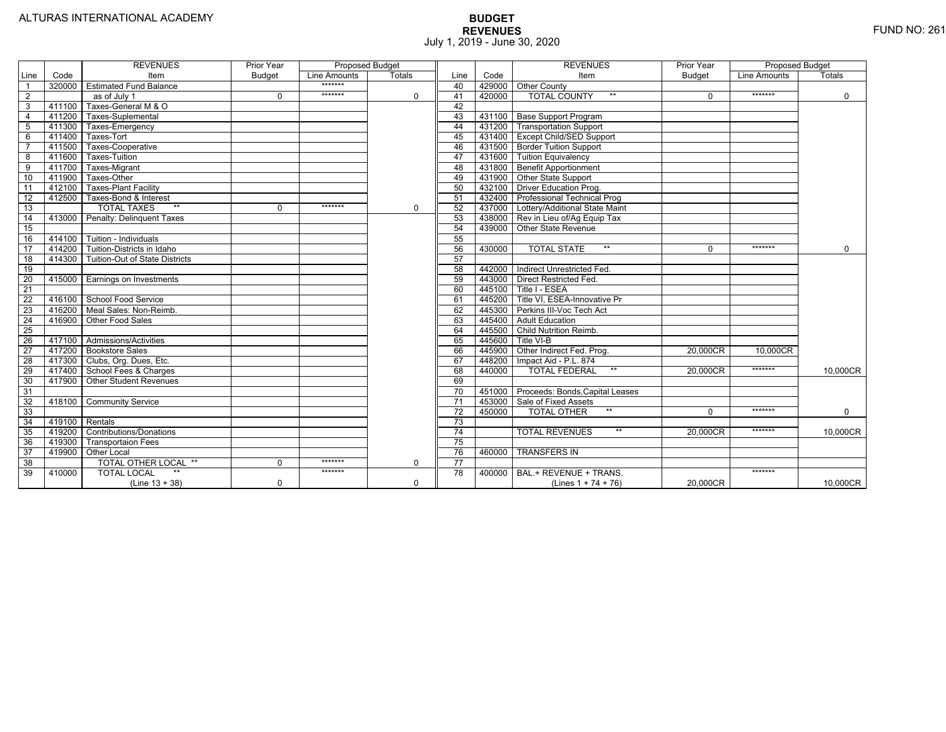|                 |                | <b>REVENUES</b>                       | Prior Year    | <b>Proposed Budget</b> |          |                 |        | <b>REVENUES</b>                       | Prior Year    | <b>Proposed Budget</b> |             |
|-----------------|----------------|---------------------------------------|---------------|------------------------|----------|-----------------|--------|---------------------------------------|---------------|------------------------|-------------|
| Line            | Code           | Item                                  | <b>Budget</b> | Line Amounts           | Totals   | Line            | Code   | Item                                  | <b>Budget</b> | Line Amounts           | Totals      |
|                 |                | 320000 Estimated Fund Balance         |               | *******                |          | 40              |        | 429000 Other County                   |               |                        |             |
| $\overline{2}$  |                | as of July 1                          | $\Omega$      | *******                | 0        | 41              | 420000 | <b>TOTAL COUNTY</b><br>$***$          | $\Omega$      | *******                | $\mathbf 0$ |
| 3               | 411100         | Taxes-General M & O                   |               |                        |          | 42              |        |                                       |               |                        |             |
| $\overline{4}$  | 411200         | Taxes-Suplemental                     |               |                        |          | 43              |        | 431100 Base Support Program           |               |                        |             |
| 5               | 411300         | Taxes-Emergency                       |               |                        |          | 44              |        | 431200 Transportation Support         |               |                        |             |
| 6               | 411400         | Taxes-Tort                            |               |                        |          | 45              |        | 431400 Except Child/SED Support       |               |                        |             |
| $\overline{7}$  | 411500         | Taxes-Cooperative                     |               |                        |          | 46              |        | 431500 Border Tuition Support         |               |                        |             |
| 8               | 411600         | Taxes-Tuition                         |               |                        |          | 47              |        | 431600 Tuition Equivalency            |               |                        |             |
| $\overline{9}$  | 411700         | Taxes-Migrant                         |               |                        |          | 48              |        | 431800 Benefit Apportionment          |               |                        |             |
| 10              | 411900         | Taxes-Other                           |               |                        |          | 49              |        | 431900 Other State Support            |               |                        |             |
| 11              | 412100         | <b>Taxes-Plant Facility</b>           |               |                        |          | 50              |        | 432100 Driver Education Prog.         |               |                        |             |
| 12              | 412500         | Taxes-Bond & Interest                 |               |                        |          | 51              |        | 432400   Professional Technical Prog  |               |                        |             |
| 13              |                | $**$<br><b>TOTAL TAXES</b>            | $\Omega$      | *******                | 0        | 52              |        | 437000 Lottery/Additional State Maint |               |                        |             |
| 14              |                | 413000 Penalty: Delinguent Taxes      |               |                        |          | 53              |        | 438000 Rev in Lieu of/Ag Equip Tax    |               |                        |             |
| 15              |                |                                       |               |                        |          | 54              |        | 439000 Other State Revenue            |               |                        |             |
| 16              |                | 414100 Tuition - Individuals          |               |                        |          | 55              |        |                                       |               |                        |             |
| 17              |                | 414200 Tuition-Districts in Idaho     |               |                        |          | 56              | 430000 | $***$<br><b>TOTAL STATE</b>           | $\Omega$      | $*******$              | $\mathbf 0$ |
| 18              |                | 414300 Tuition-Out of State Districts |               |                        |          | 57              |        |                                       |               |                        |             |
| 19              |                |                                       |               |                        |          | 58              |        | 442000   Indirect Unrestricted Fed.   |               |                        |             |
| $\overline{20}$ |                | 415000 Earnings on Investments        |               |                        |          | 59              | 443000 | <b>Direct Restricted Fed.</b>         |               |                        |             |
| $\overline{21}$ |                |                                       |               |                        |          | 60              |        | 445100 Title I - ESEA                 |               |                        |             |
| 22              |                | 416100 School Food Service            |               |                        |          | 61              |        | 445200   Title VI, ESEA-Innovative Pr |               |                        |             |
| 23              |                | 416200   Meal Sales: Non-Reimb.       |               |                        |          | 62              |        | 445300 Perkins III-Voc Tech Act       |               |                        |             |
| 24              |                | 416900 Other Food Sales               |               |                        |          | 63              |        | 445400 Adult Education                |               |                        |             |
| $\overline{25}$ |                |                                       |               |                        |          | 64              |        | 445500 Child Nutrition Reimb.         |               |                        |             |
| 26              |                | 417100 Admissions/Activities          |               |                        |          | 65              | 445600 | Title VI-B                            |               |                        |             |
| $\overline{27}$ |                | 417200 Bookstore Sales                |               |                        |          | 66              | 445900 | Other Indirect Fed. Prog.             | 20,000CR      | 10.000CR               |             |
| $\overline{28}$ |                | 417300 Clubs, Org. Dues, Etc.         |               |                        |          | 67              | 448200 | Impact Aid - P.L. 874                 |               |                        |             |
| 29              |                | 417400 School Fees & Charges          |               |                        |          | 68              | 440000 | <b>TOTAL FEDERAL</b><br>$***$         | 20,000CR      | *******                | 10,000CR    |
| 30              |                | 417900   Other Student Revenues       |               |                        |          | 69              |        |                                       |               |                        |             |
| 31              |                |                                       |               |                        |          | $\overline{70}$ | 451000 | Proceeds: Bonds, Capital Leases       |               |                        |             |
| 32              |                | 418100 Community Service              |               |                        |          | $\overline{71}$ | 453000 | Sale of Fixed Assets                  |               |                        |             |
| 33              |                |                                       |               |                        |          | 72              | 450000 | $***$<br><b>TOTAL OTHER</b>           | $\Omega$      | *******                | $\mathbf 0$ |
| 34              | 419100 Rentals |                                       |               |                        |          | 73              |        |                                       |               |                        |             |
| 35              |                | 419200 Contributions/Donations        |               |                        |          | $\overline{74}$ |        | <b>TOTAL REVENUES</b><br>$***$        | 20.000CR      | *******                | 10.000CR    |
| 36              | 419300         | <b>Transportaion Fees</b>             |               |                        |          | 75              |        |                                       |               |                        |             |
| 37              | 419900         | Other Local                           |               |                        |          | 76              | 460000 | <b>TRANSFERS IN</b>                   |               |                        |             |
| 38              |                | TOTAL OTHER LOCAL **                  | $\Omega$      | *******                | $\Omega$ | 77              |        |                                       |               |                        |             |
| 39              | 410000         | <b>TOTAL LOCAL</b>                    |               | *******                |          | $\overline{78}$ | 400000 | BAL.+ REVENUE + TRANS.                |               | *******                |             |
|                 |                | $(Line 13 + 38)$                      | $\mathbf 0$   |                        | 0        |                 |        | (Lines $1 + 74 + 76$ )                | 20,000CR      |                        | 10,000CR    |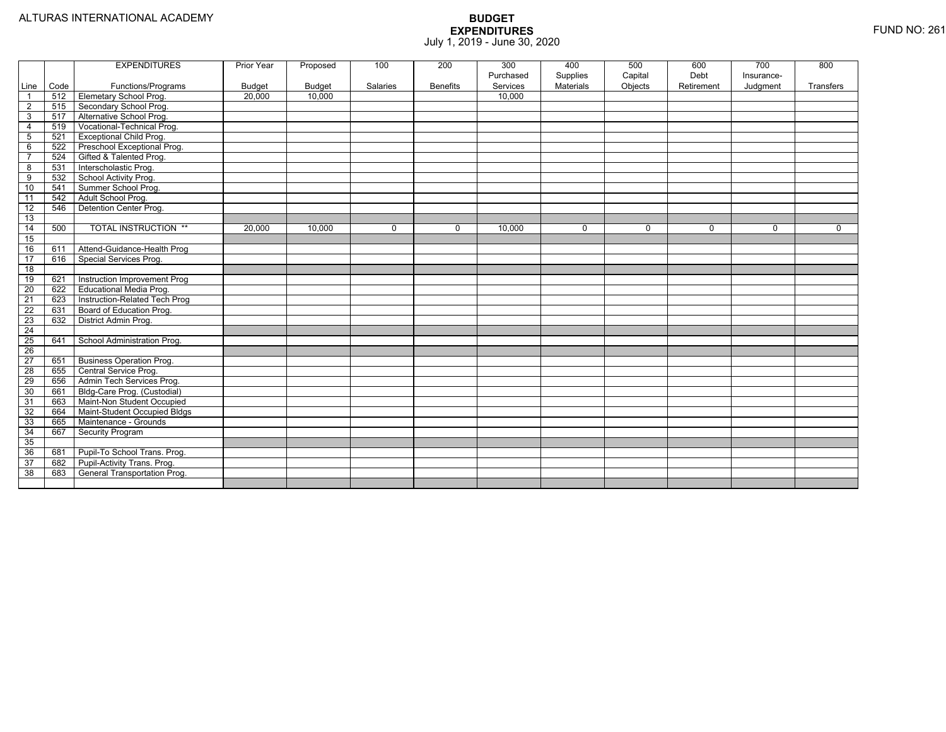|                         |      | <b>EXPENDITURES</b>             | Prior Year    | Proposed      | 100      | 200             | 300<br>Purchased | 400                   | 500                | 600<br>Debt | 700                    | 800       |
|-------------------------|------|---------------------------------|---------------|---------------|----------|-----------------|------------------|-----------------------|--------------------|-------------|------------------------|-----------|
| Line                    | Code | Functions/Programs              | <b>Budget</b> | <b>Budget</b> | Salaries | <b>Benefits</b> | Services         | Supplies<br>Materials | Capital<br>Objects | Retirement  | Insurance-<br>Judgment | Transfers |
| $\overline{1}$          | 512  | Elemetary School Prog.          | 20,000        | 10.000        |          |                 | 10.000           |                       |                    |             |                        |           |
| $\overline{2}$          | 515  | Secondary School Prog.          |               |               |          |                 |                  |                       |                    |             |                        |           |
| $\overline{3}$          | 517  | Alternative School Prog.        |               |               |          |                 |                  |                       |                    |             |                        |           |
| $\overline{4}$          | 519  | Vocational-Technical Prog.      |               |               |          |                 |                  |                       |                    |             |                        |           |
| $5\phantom{.0}$         | 521  | <b>Exceptional Child Prog.</b>  |               |               |          |                 |                  |                       |                    |             |                        |           |
| 6                       | 522  | Preschool Exceptional Prog.     |               |               |          |                 |                  |                       |                    |             |                        |           |
| $\overline{7}$          | 524  | Gifted & Talented Prog.         |               |               |          |                 |                  |                       |                    |             |                        |           |
| $\overline{\mathbf{8}}$ | 531  | Interscholastic Prog.           |               |               |          |                 |                  |                       |                    |             |                        |           |
| $\overline{9}$          | 532  | School Activity Prog.           |               |               |          |                 |                  |                       |                    |             |                        |           |
| 10                      | 541  | Summer School Prog.             |               |               |          |                 |                  |                       |                    |             |                        |           |
| 11                      | 542  | Adult School Prog.              |               |               |          |                 |                  |                       |                    |             |                        |           |
| 12                      | 546  | Detention Center Prog.          |               |               |          |                 |                  |                       |                    |             |                        |           |
| 13                      |      |                                 |               |               |          |                 |                  |                       |                    |             |                        |           |
| 14                      | 500  | <b>TOTAL INSTRUCTION **</b>     | 20,000        | 10,000        | $\Omega$ | $\Omega$        | 10,000           | $\mathbf 0$           | $\mathbf{0}$       | $\Omega$    | $\Omega$               | $\Omega$  |
| 15                      |      |                                 |               |               |          |                 |                  |                       |                    |             |                        |           |
| 16                      | 611  | Attend-Guidance-Health Prog     |               |               |          |                 |                  |                       |                    |             |                        |           |
| 17                      | 616  | Special Services Prog.          |               |               |          |                 |                  |                       |                    |             |                        |           |
| $\overline{18}$         |      |                                 |               |               |          |                 |                  |                       |                    |             |                        |           |
| 19                      | 621  | Instruction Improvement Prog    |               |               |          |                 |                  |                       |                    |             |                        |           |
| $\overline{20}$         | 622  | <b>Educational Media Prog.</b>  |               |               |          |                 |                  |                       |                    |             |                        |           |
| 21                      | 623  | Instruction-Related Tech Prog   |               |               |          |                 |                  |                       |                    |             |                        |           |
| $\overline{22}$         | 631  | Board of Education Prog.        |               |               |          |                 |                  |                       |                    |             |                        |           |
| 23                      | 632  | District Admin Prog.            |               |               |          |                 |                  |                       |                    |             |                        |           |
| $\overline{24}$         |      |                                 |               |               |          |                 |                  |                       |                    |             |                        |           |
| 25                      | 641  | School Administration Prog.     |               |               |          |                 |                  |                       |                    |             |                        |           |
| 26                      |      |                                 |               |               |          |                 |                  |                       |                    |             |                        |           |
| $\overline{27}$         | 651  | <b>Business Operation Prog.</b> |               |               |          |                 |                  |                       |                    |             |                        |           |
| 28                      | 655  | Central Service Prog.           |               |               |          |                 |                  |                       |                    |             |                        |           |
| 29                      | 656  | Admin Tech Services Prog.       |               |               |          |                 |                  |                       |                    |             |                        |           |
| 30                      | 661  | Bldg-Care Prog. (Custodial)     |               |               |          |                 |                  |                       |                    |             |                        |           |
| 31                      | 663  | Maint-Non Student Occupied      |               |               |          |                 |                  |                       |                    |             |                        |           |
| 32                      | 664  | Maint-Student Occupied Bldgs    |               |               |          |                 |                  |                       |                    |             |                        |           |
| 33                      | 665  | Maintenance - Grounds           |               |               |          |                 |                  |                       |                    |             |                        |           |
| 34                      | 667  | <b>Security Program</b>         |               |               |          |                 |                  |                       |                    |             |                        |           |
| 35                      |      |                                 |               |               |          |                 |                  |                       |                    |             |                        |           |
| 36                      | 681  | Pupil-To School Trans. Prog.    |               |               |          |                 |                  |                       |                    |             |                        |           |
| 37                      | 682  | Pupil-Activity Trans. Prog.     |               |               |          |                 |                  |                       |                    |             |                        |           |
| 38                      | 683  | General Transportation Prog.    |               |               |          |                 |                  |                       |                    |             |                        |           |
|                         |      |                                 |               |               |          |                 |                  |                       |                    |             |                        |           |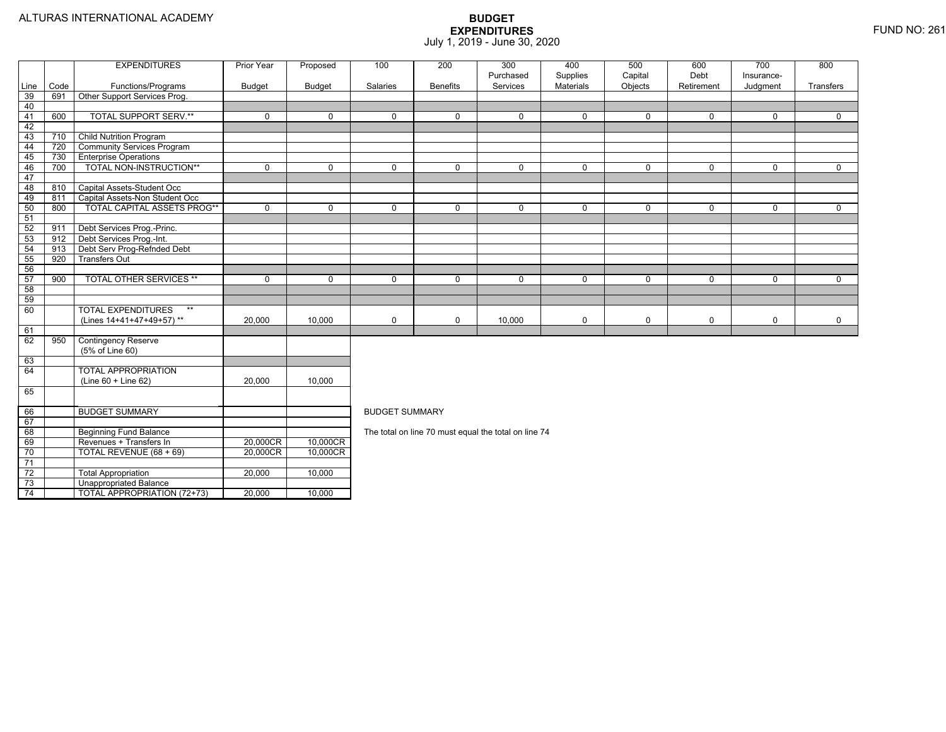74

4 | | TOTAL APPROPRIATION (72+73) | 20,000 | 10,000

|      |      | <b>EXPENDITURES</b>                | <b>Prior Year</b> | Proposed      | 100                   | 200             | 300                                                  | 400                          | 500                | 600                | 700                    | 800          |
|------|------|------------------------------------|-------------------|---------------|-----------------------|-----------------|------------------------------------------------------|------------------------------|--------------------|--------------------|------------------------|--------------|
| Line | Code | Functions/Programs                 | <b>Budget</b>     | <b>Budget</b> | Salaries              | <b>Benefits</b> | Purchased<br>Services                                | Supplies<br><b>Materials</b> | Capital<br>Objects | Debt<br>Retirement | Insurance-<br>Judgment | Transfers    |
| 39   | 691  | Other Support Services Prog.       |                   |               |                       |                 |                                                      |                              |                    |                    |                        |              |
| 40   |      |                                    |                   |               |                       |                 |                                                      |                              |                    |                    |                        |              |
| 41   | 600  | <b>TOTAL SUPPORT SERV.**</b>       | $\mathbf{0}$      | $\Omega$      | $\Omega$              | $\Omega$        | $\mathbf 0$                                          | $\mathbf 0$                  | $\mathbf{0}$       | $\Omega$           | $\mathbf 0$            | $\mathbf{0}$ |
| 42   |      |                                    |                   |               |                       |                 |                                                      |                              |                    |                    |                        |              |
| 43   | 710  | <b>Child Nutrition Program</b>     |                   |               |                       |                 |                                                      |                              |                    |                    |                        |              |
| 44   | 720  | <b>Community Services Program</b>  |                   |               |                       |                 |                                                      |                              |                    |                    |                        |              |
| 45   | 730  | <b>Enterprise Operations</b>       |                   |               |                       |                 |                                                      |                              |                    |                    |                        |              |
| 46   | 700  | TOTAL NON-INSTRUCTION**            | $\Omega$          | $\Omega$      | $\Omega$              | $\Omega$        | $\Omega$                                             | $\mathbf 0$                  | $\Omega$           | $\Omega$           | $\Omega$               | $\mathbf 0$  |
| 47   |      |                                    |                   |               |                       |                 |                                                      |                              |                    |                    |                        |              |
| 48   | 810  | Capital Assets-Student Occ         |                   |               |                       |                 |                                                      |                              |                    |                    |                        |              |
| 49   | 811  | Capital Assets-Non Student Occ     |                   |               |                       |                 |                                                      |                              |                    |                    |                        |              |
| 50   | 800  | <b>TOTAL CAPITAL ASSETS PROG**</b> | 0                 | $\Omega$      | $\Omega$              | $\Omega$        | $\mathbf 0$                                          | $\mathbf 0$                  | $\mathbf 0$        | $\mathbf 0$        | $\mathbf 0$            | $\mathbf 0$  |
| 51   |      |                                    |                   |               |                       |                 |                                                      |                              |                    |                    |                        |              |
| 52   | 911  | Debt Services Prog.-Princ.         |                   |               |                       |                 |                                                      |                              |                    |                    |                        |              |
| - 53 | 912  | Debt Services Prog.-Int.           |                   |               |                       |                 |                                                      |                              |                    |                    |                        |              |
| 54   | 913  | Debt Serv Prog-Refnded Debt        |                   |               |                       |                 |                                                      |                              |                    |                    |                        |              |
| 55   | 920  | <b>Transfers Out</b>               |                   |               |                       |                 |                                                      |                              |                    |                    |                        |              |
| 56   |      |                                    |                   |               |                       |                 |                                                      |                              |                    |                    |                        |              |
| 57   | 900  | <b>TOTAL OTHER SERVICES **</b>     | 0                 | $\mathbf 0$   | $\mathbf 0$           | $\Omega$        | $\mathbf 0$                                          | $\mathbf 0$                  | $\mathbf 0$        | $\mathbf 0$        | $\mathbf 0$            | $\mathbf 0$  |
| 58   |      |                                    |                   |               |                       |                 |                                                      |                              |                    |                    |                        |              |
| 59   |      |                                    |                   |               |                       |                 |                                                      |                              |                    |                    |                        |              |
| 60   |      | <b>TOTAL EXPENDITURES</b><br>$***$ |                   |               |                       |                 |                                                      |                              |                    |                    |                        |              |
|      |      | (Lines 14+41+47+49+57)**           | 20,000            | 10,000        | 0                     | $\mathbf 0$     | 10,000                                               | 0                            | 0                  | $\mathbf 0$        | 0                      | 0            |
| 61   |      |                                    |                   |               |                       |                 |                                                      |                              |                    |                    |                        |              |
| 62   | 950  | <b>Contingency Reserve</b>         |                   |               |                       |                 |                                                      |                              |                    |                    |                        |              |
|      |      | (5% of Line 60)                    |                   |               |                       |                 |                                                      |                              |                    |                    |                        |              |
| 63   |      |                                    |                   |               |                       |                 |                                                      |                              |                    |                    |                        |              |
| 64   |      | <b>TOTAL APPROPRIATION</b>         |                   |               |                       |                 |                                                      |                              |                    |                    |                        |              |
|      |      | $(Line 60 + Line 62)$              | 20,000            | 10.000        |                       |                 |                                                      |                              |                    |                    |                        |              |
| 65   |      |                                    |                   |               |                       |                 |                                                      |                              |                    |                    |                        |              |
| 66   |      | <b>BUDGET SUMMARY</b>              |                   |               | <b>BUDGET SUMMARY</b> |                 |                                                      |                              |                    |                    |                        |              |
| 67   |      |                                    |                   |               |                       |                 |                                                      |                              |                    |                    |                        |              |
| 68   |      | <b>Beginning Fund Balance</b>      |                   |               |                       |                 | The total on line 70 must equal the total on line 74 |                              |                    |                    |                        |              |
| 69   |      | Revenues + Transfers In            | 20,000CR          | 10,000CR      |                       |                 |                                                      |                              |                    |                    |                        |              |
| 70   |      | TOTAL REVENUE (68 + 69)            | 20.000CR          | 10,000CR      |                       |                 |                                                      |                              |                    |                    |                        |              |
| 71   |      |                                    |                   |               |                       |                 |                                                      |                              |                    |                    |                        |              |
| 72   |      | <b>Total Appropriation</b>         | 20,000            | 10,000        |                       |                 |                                                      |                              |                    |                    |                        |              |
| 73   |      | <b>Unappropriated Balance</b>      |                   |               |                       |                 |                                                      |                              |                    |                    |                        |              |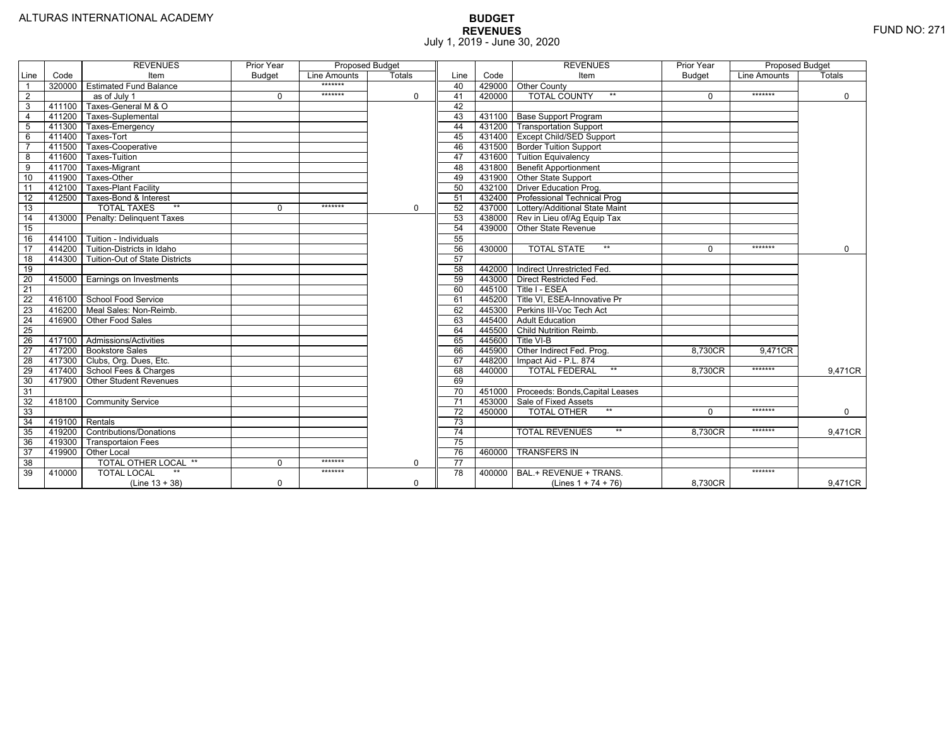|                 |                | <b>REVENUES</b>                         | Prior Year    | <b>Proposed Budget</b> |          |                 |        | <b>REVENUES</b>                        | Prior Year    | <b>Proposed Budget</b> |             |
|-----------------|----------------|-----------------------------------------|---------------|------------------------|----------|-----------------|--------|----------------------------------------|---------------|------------------------|-------------|
| Line            | Code           | Item                                    | <b>Budget</b> | Line Amounts           | Totals   | Line            | Code   | Item                                   | <b>Budget</b> | Line Amounts           | Totals      |
|                 |                | 320000 Estimated Fund Balance           |               | *******                |          | 40              |        | 429000 Other County                    |               |                        |             |
| $\overline{2}$  |                | as of July 1                            | $\Omega$      | *******                | $\Omega$ | 41              | 420000 | <b>TOTAL COUNTY</b><br>$***$           | $\Omega$      | *******                | $\mathbf 0$ |
| 3               | 411100         | Taxes-General M & O                     |               |                        |          | 42              |        |                                        |               |                        |             |
| 4               | 411200         | Taxes-Suplemental                       |               |                        |          | 43              |        | 431100   Base Support Program          |               |                        |             |
| 5               |                | 411300 Taxes-Emergency                  |               |                        |          | 44              |        | 431200 Transportation Support          |               |                        |             |
| 6               | 411400         | Taxes-Tort                              |               |                        |          | 45              |        | 431400 Except Child/SED Support        |               |                        |             |
|                 | 411500         | Taxes-Cooperative                       |               |                        |          | 46              |        | 431500 Border Tuition Support          |               |                        |             |
| 8               | 411600         | Taxes-Tuition                           |               |                        |          | 47              |        | 431600 Tuition Equivalency             |               |                        |             |
| 9               |                | 411700 Taxes-Migrant                    |               |                        |          | 48              |        | 431800 Benefit Apportionment           |               |                        |             |
| 10              | 411900         | Taxes-Other                             |               |                        |          | 49              |        | 431900 Other State Support             |               |                        |             |
| 11              | 412100         | <b>Taxes-Plant Facility</b>             |               |                        |          | 50              |        | 432100   Driver Education Prog.        |               |                        |             |
| 12              | 412500         | Taxes-Bond & Interest                   |               |                        |          | 51              |        | 432400 Professional Technical Prog     |               |                        |             |
| 13              |                | <b>TOTAL TAXES</b><br>$**$              | $\Omega$      | *******                | 0        | 52              |        | 437000 Lottery/Additional State Maint  |               |                        |             |
| 14              |                | 413000 Penalty: Delinquent Taxes        |               |                        |          | 53              |        | 438000 Rev in Lieu of/Ag Equip Tax     |               |                        |             |
| 15              |                |                                         |               |                        |          | 54              |        | 439000 Other State Revenue             |               |                        |             |
| 16              |                | 414100 Tuition - Individuals            |               |                        |          | 55              |        |                                        |               |                        |             |
| 17              |                | 414200 Tuition-Districts in Idaho       |               |                        |          | 56              | 430000 | $**$<br><b>TOTAL STATE</b>             | $\Omega$      | *******                | $\Omega$    |
| $\overline{18}$ |                | 414300   Tuition-Out of State Districts |               |                        |          | 57              |        |                                        |               |                        |             |
| 19              |                |                                         |               |                        |          | 58              |        | 442000   Indirect Unrestricted Fed.    |               |                        |             |
| 20              |                | 415000 Earnings on Investments          |               |                        |          | 59              |        | 443000 Direct Restricted Fed.          |               |                        |             |
| 21              |                |                                         |               |                        |          | 60              |        | 445100 Title I - ESEA                  |               |                        |             |
| 22              |                | 416100 School Food Service              |               |                        |          | 61              | 445200 | Title VI, ESEA-Innovative Pr           |               |                        |             |
| 23              |                | 416200   Meal Sales: Non-Reimb.         |               |                        |          | 62              |        | 445300 Perkins III-Voc Tech Act        |               |                        |             |
| 24              |                | 416900 Other Food Sales                 |               |                        |          | 63              |        | 445400 Adult Education                 |               |                        |             |
| $\overline{25}$ |                |                                         |               |                        |          | 64              | 445500 | Child Nutrition Reimb.                 |               |                        |             |
| 26              |                | 417100 Admissions/Activities            |               |                        |          | 65              | 445600 | Title VI-B                             |               |                        |             |
| $\overline{27}$ |                | 417200 Bookstore Sales                  |               |                        |          | 66              | 445900 | Other Indirect Fed. Prog.              | 8,730CR       | 9.471CR                |             |
| $\overline{28}$ |                | 417300   Clubs, Org. Dues, Etc.         |               |                        |          | 67              | 448200 | Impact Aid - P.L. 874                  |               |                        |             |
| $\overline{29}$ |                | 417400 School Fees & Charges            |               |                        |          | 68              | 440000 | $**$<br><b>TOTAL FEDERAL</b>           | 8.730CR       | *******                | 9,471CR     |
| 30              |                | 417900 Other Student Revenues           |               |                        |          | 69              |        |                                        |               |                        |             |
| 31              |                |                                         |               |                        |          | $\overline{70}$ |        | 451000 Proceeds: Bonds, Capital Leases |               |                        |             |
| $\overline{32}$ | 418100         | <b>Community Service</b>                |               |                        |          | $\overline{71}$ | 453000 | Sale of Fixed Assets                   |               |                        |             |
| 33              |                |                                         |               |                        |          | $\overline{72}$ | 450000 | $**$<br><b>TOTAL OTHER</b>             | $\Omega$      | *******                | $\mathbf 0$ |
| $\overline{34}$ | 419100 Rentals |                                         |               |                        |          | $\overline{73}$ |        |                                        |               |                        |             |
| 35              |                | 419200 Contributions/Donations          |               |                        |          | 74              |        | <b>TOTAL REVENUES</b><br>$\star\star$  | 8.730CR       | *******                | 9,471CR     |
| 36              | 419300         | <b>Transportaion Fees</b>               |               |                        |          | 75              |        |                                        |               |                        |             |
| 37              | 419900         | <b>Other Local</b>                      |               |                        |          | 76              | 460000 | <b>TRANSFERS IN</b>                    |               |                        |             |
| 38              |                | TOTAL OTHER LOCAL **                    | $\Omega$      | *******                | $\Omega$ | 77              |        |                                        |               |                        |             |
| 39              | 410000         | <b>TOTAL LOCAL</b>                      |               | *******                |          | $\overline{78}$ | 400000 | BAL.+ REVENUE + TRANS.                 |               | *******                |             |
|                 |                | $(Line 13 + 38)$                        | $\mathbf 0$   |                        | 0        |                 |        | (Lines $1 + 74 + 76$ )                 | 8.730CR       |                        | 9,471CR     |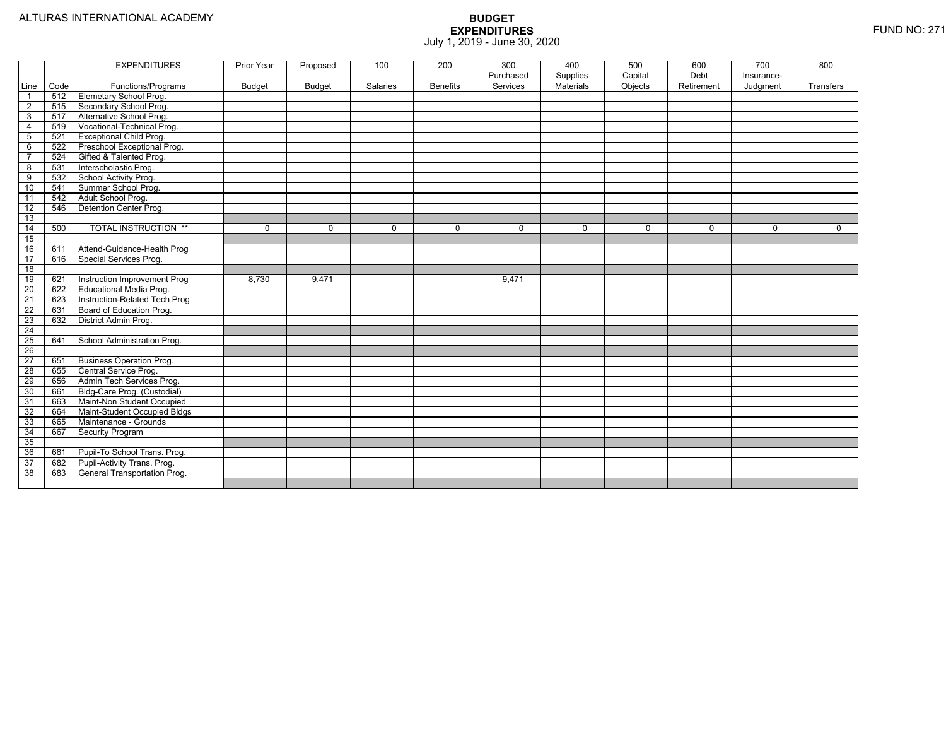|                 |      | <b>EXPENDITURES</b>             | Prior Year    | Proposed      | 100             | 200             | 300<br>Purchased | 400<br>Supplies | 500<br>Capital | 600<br>Debt | 700<br>Insurance- | 800          |
|-----------------|------|---------------------------------|---------------|---------------|-----------------|-----------------|------------------|-----------------|----------------|-------------|-------------------|--------------|
| Line            | Code | Functions/Programs              | <b>Budget</b> | <b>Budget</b> | <b>Salaries</b> | <b>Benefits</b> | Services         | Materials       | Objects        | Retirement  | Judgment          | Transfers    |
| $\overline{1}$  | 512  | Elemetary School Prog.          |               |               |                 |                 |                  |                 |                |             |                   |              |
| $\overline{2}$  | 515  | Secondary School Prog.          |               |               |                 |                 |                  |                 |                |             |                   |              |
| 3               | 517  | Alternative School Prog.        |               |               |                 |                 |                  |                 |                |             |                   |              |
| 4               | 519  | Vocational-Technical Prog.      |               |               |                 |                 |                  |                 |                |             |                   |              |
| 5               | 521  | <b>Exceptional Child Prog.</b>  |               |               |                 |                 |                  |                 |                |             |                   |              |
| 6               | 522  | Preschool Exceptional Prog.     |               |               |                 |                 |                  |                 |                |             |                   |              |
| $\overline{7}$  | 524  | Gifted & Talented Prog.         |               |               |                 |                 |                  |                 |                |             |                   |              |
| 8               | 531  | Interscholastic Prog.           |               |               |                 |                 |                  |                 |                |             |                   |              |
| 9               | 532  | School Activity Prog.           |               |               |                 |                 |                  |                 |                |             |                   |              |
| 10              | 541  | Summer School Prog.             |               |               |                 |                 |                  |                 |                |             |                   |              |
| 11              | 542  | Adult School Prog.              |               |               |                 |                 |                  |                 |                |             |                   |              |
| $\overline{12}$ | 546  | Detention Center Prog.          |               |               |                 |                 |                  |                 |                |             |                   |              |
| 13              |      |                                 |               |               |                 |                 |                  |                 |                |             |                   |              |
| $\overline{14}$ | 500  | <b>TOTAL INSTRUCTION **</b>     | 0             | $\mathbf 0$   | $\mathbf 0$     | 0               | 0                | 0               | $\mathbf 0$    | $\mathbf 0$ | $\mathbf{0}$      | $\mathbf{0}$ |
| 15              |      |                                 |               |               |                 |                 |                  |                 |                |             |                   |              |
| 16              | 611  | Attend-Guidance-Health Prog     |               |               |                 |                 |                  |                 |                |             |                   |              |
| $\overline{17}$ | 616  | Special Services Prog.          |               |               |                 |                 |                  |                 |                |             |                   |              |
| 18              |      |                                 |               |               |                 |                 |                  |                 |                |             |                   |              |
| 19              | 621  | Instruction Improvement Prog    | 8,730         | 9,471         |                 |                 | 9,471            |                 |                |             |                   |              |
| 20              | 622  | <b>Educational Media Prog.</b>  |               |               |                 |                 |                  |                 |                |             |                   |              |
| 21              | 623  | Instruction-Related Tech Prog   |               |               |                 |                 |                  |                 |                |             |                   |              |
| 22              | 631  | Board of Education Prog.        |               |               |                 |                 |                  |                 |                |             |                   |              |
| 23              | 632  | District Admin Prog.            |               |               |                 |                 |                  |                 |                |             |                   |              |
| 24              |      |                                 |               |               |                 |                 |                  |                 |                |             |                   |              |
| 25              | 641  | School Administration Prog.     |               |               |                 |                 |                  |                 |                |             |                   |              |
| 26              |      |                                 |               |               |                 |                 |                  |                 |                |             |                   |              |
| 27              | 651  | <b>Business Operation Prog.</b> |               |               |                 |                 |                  |                 |                |             |                   |              |
| 28              | 655  | Central Service Prog.           |               |               |                 |                 |                  |                 |                |             |                   |              |
| 29              | 656  | Admin Tech Services Prog.       |               |               |                 |                 |                  |                 |                |             |                   |              |
| 30              | 661  | Bldg-Care Prog. (Custodial)     |               |               |                 |                 |                  |                 |                |             |                   |              |
| 31              | 663  | Maint-Non Student Occupied      |               |               |                 |                 |                  |                 |                |             |                   |              |
| 32              | 664  | Maint-Student Occupied Bldgs    |               |               |                 |                 |                  |                 |                |             |                   |              |
| 33              | 665  | Maintenance - Grounds           |               |               |                 |                 |                  |                 |                |             |                   |              |
| 34              | 667  | <b>Security Program</b>         |               |               |                 |                 |                  |                 |                |             |                   |              |
| 35              |      |                                 |               |               |                 |                 |                  |                 |                |             |                   |              |
| 36              | 681  | Pupil-To School Trans. Prog.    |               |               |                 |                 |                  |                 |                |             |                   |              |
| $\overline{37}$ | 682  | Pupil-Activity Trans. Prog.     |               |               |                 |                 |                  |                 |                |             |                   |              |
| 38              | 683  | General Transportation Prog.    |               |               |                 |                 |                  |                 |                |             |                   |              |
|                 |      |                                 |               |               |                 |                 |                  |                 |                |             |                   |              |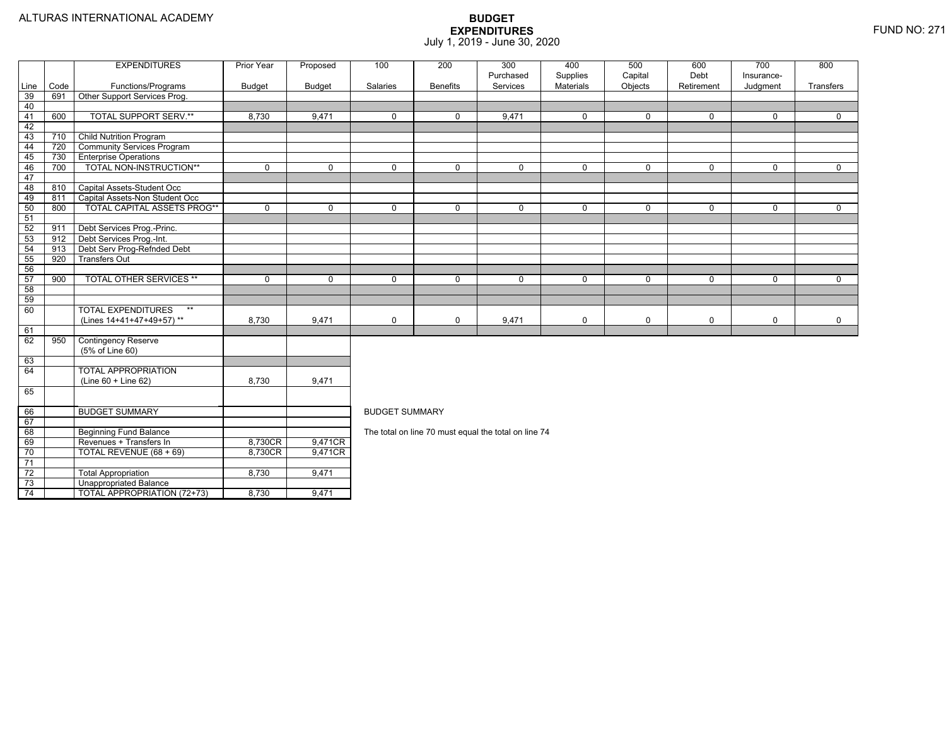73

74

Unappropriated Balance

4 | | TOTAL APPROPRIATION (72+73) | 8,730 | 9,471

|                 |      | <b>EXPENDITURES</b>                | Prior Year    | Proposed      | 100                   | 200             | 300                                                  | 400                          | 500                | 600                | 700                    | 800         |  |
|-----------------|------|------------------------------------|---------------|---------------|-----------------------|-----------------|------------------------------------------------------|------------------------------|--------------------|--------------------|------------------------|-------------|--|
| Line            | Code | Functions/Programs                 | <b>Budget</b> | <b>Budget</b> | Salaries              | <b>Benefits</b> | Purchased<br>Services                                | Supplies<br><b>Materials</b> | Capital<br>Objects | Debt<br>Retirement | Insurance-<br>Judgment | Transfers   |  |
| 39              | 691  | Other Support Services Prog.       |               |               |                       |                 |                                                      |                              |                    |                    |                        |             |  |
| 40              |      |                                    |               |               |                       |                 |                                                      |                              |                    |                    |                        |             |  |
| 41              | 600  | <b>TOTAL SUPPORT SERV.**</b>       | 8,730         | 9,471         | $\Omega$              | $\Omega$        | 9,471                                                | $\mathbf{0}$                 | $\Omega$           | $\Omega$           | 0                      | $\Omega$    |  |
| 42              |      |                                    |               |               |                       |                 |                                                      |                              |                    |                    |                        |             |  |
| 43              | 710  | <b>Child Nutrition Program</b>     |               |               |                       |                 |                                                      |                              |                    |                    |                        |             |  |
| 44              | 720  | <b>Community Services Program</b>  |               |               |                       |                 |                                                      |                              |                    |                    |                        |             |  |
| 45              | 730  | <b>Enterprise Operations</b>       |               |               |                       |                 |                                                      |                              |                    |                    |                        |             |  |
| 46              | 700  | TOTAL NON-INSTRUCTION**            | $\Omega$      | $\Omega$      | $\Omega$              | $\Omega$        | $\Omega$                                             | $\mathbf 0$                  | $\Omega$           | $\Omega$           | $\Omega$               | 0           |  |
| 47              |      |                                    |               |               |                       |                 |                                                      |                              |                    |                    |                        |             |  |
| 48              | 810  | Capital Assets-Student Occ         |               |               |                       |                 |                                                      |                              |                    |                    |                        |             |  |
| 49              | 811  | Capital Assets-Non Student Occ     |               |               |                       |                 |                                                      |                              |                    |                    |                        |             |  |
| 50              | 800  | <b>TOTAL CAPITAL ASSETS PROG**</b> | $\Omega$      | $\Omega$      | $\mathbf 0$           | $\Omega$        | $\Omega$                                             | $\mathbf 0$                  | $\mathbf 0$        | $\Omega$           | $\Omega$               | $\mathbf 0$ |  |
| 51              |      |                                    |               |               |                       |                 |                                                      |                              |                    |                    |                        |             |  |
| 52              | 911  | Debt Services Prog.-Princ.         |               |               |                       |                 |                                                      |                              |                    |                    |                        |             |  |
| 53              | 912  | Debt Services Prog.-Int.           |               |               |                       |                 |                                                      |                              |                    |                    |                        |             |  |
| 54              | 913  | Debt Serv Prog-Refnded Debt        |               |               |                       |                 |                                                      |                              |                    |                    |                        |             |  |
| 55              | 920  | <b>Transfers Out</b>               |               |               |                       |                 |                                                      |                              |                    |                    |                        |             |  |
| 56              |      |                                    |               |               |                       |                 |                                                      |                              |                    |                    |                        |             |  |
| 57              | 900  | <b>TOTAL OTHER SERVICES **</b>     | $\Omega$      | $\Omega$      | 0                     | $\Omega$        | 0                                                    | $\mathbf 0$                  | $\Omega$           | $\Omega$           | 0                      | $\mathbf 0$ |  |
| 58              |      |                                    |               |               |                       |                 |                                                      |                              |                    |                    |                        |             |  |
| 59              |      |                                    |               |               |                       |                 |                                                      |                              |                    |                    |                        |             |  |
| 60              |      | <b>TOTAL EXPENDITURES</b><br>$***$ |               |               |                       |                 |                                                      |                              |                    |                    |                        |             |  |
|                 |      | (Lines 14+41+47+49+57)**           | 8,730         | 9,471         | 0                     | $\mathbf 0$     | 9,471                                                | $\pmb{0}$                    | 0                  | $\mathbf 0$        | 0                      | 0           |  |
| 61              |      |                                    |               |               |                       |                 |                                                      |                              |                    |                    |                        |             |  |
| 62              | 950  | <b>Contingency Reserve</b>         |               |               |                       |                 |                                                      |                              |                    |                    |                        |             |  |
|                 |      | (5% of Line 60)                    |               |               |                       |                 |                                                      |                              |                    |                    |                        |             |  |
| 63              |      |                                    |               |               |                       |                 |                                                      |                              |                    |                    |                        |             |  |
| 64              |      | <b>TOTAL APPROPRIATION</b>         |               |               |                       |                 |                                                      |                              |                    |                    |                        |             |  |
|                 |      | (Line 60 + Line 62)                | 8,730         | 9,471         |                       |                 |                                                      |                              |                    |                    |                        |             |  |
| 65              |      |                                    |               |               |                       |                 |                                                      |                              |                    |                    |                        |             |  |
| 66              |      | <b>BUDGET SUMMARY</b>              |               |               | <b>BUDGET SUMMARY</b> |                 |                                                      |                              |                    |                    |                        |             |  |
| 67              |      |                                    |               |               |                       |                 |                                                      |                              |                    |                    |                        |             |  |
| 68              |      | <b>Beginning Fund Balance</b>      |               |               |                       |                 | The total on line 70 must equal the total on line 74 |                              |                    |                    |                        |             |  |
| 69              |      | Revenues + Transfers In            | 8,730CR       | 9,471CR       |                       |                 |                                                      |                              |                    |                    |                        |             |  |
| 70              |      | TOTAL REVENUE (68 + 69)            | 8,730CR       | 9,471CR       |                       |                 |                                                      |                              |                    |                    |                        |             |  |
| $\overline{71}$ |      |                                    |               |               |                       |                 |                                                      |                              |                    |                    |                        |             |  |
| $\overline{72}$ |      | <b>Total Appropriation</b>         | 8,730         | 9,471         |                       |                 |                                                      |                              |                    |                    |                        |             |  |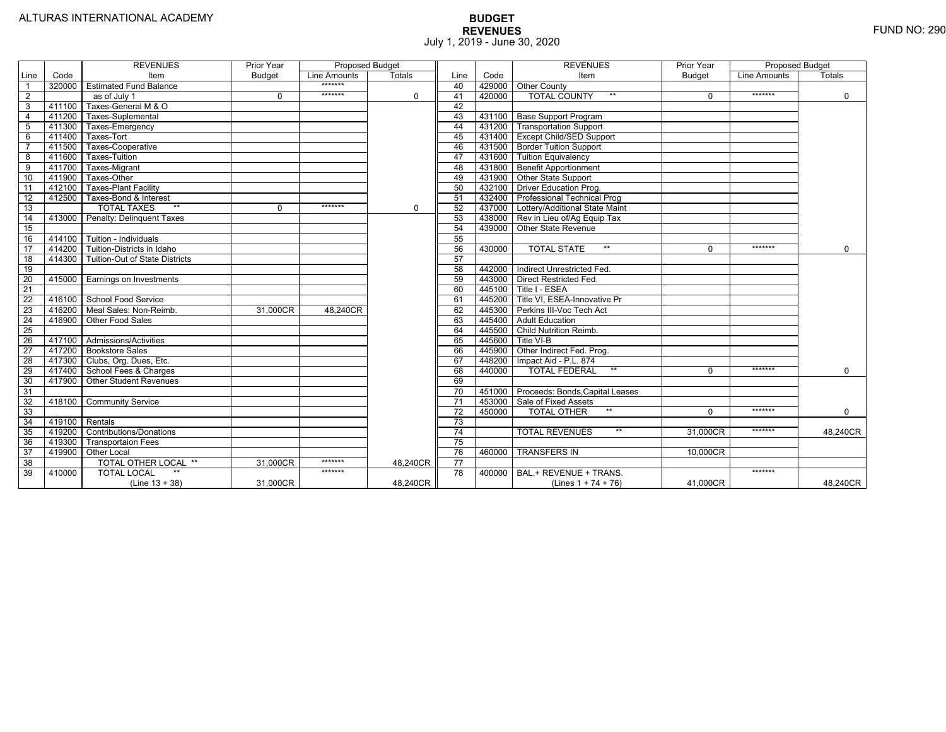|                 |                | <b>REVENUES</b>                   | Prior Year    | <b>Proposed Budget</b> |               |                 |        | <b>REVENUES</b>                        | Prior Year    | <b>Proposed Budget</b> |             |
|-----------------|----------------|-----------------------------------|---------------|------------------------|---------------|-----------------|--------|----------------------------------------|---------------|------------------------|-------------|
| Line            | Code           | Item                              | <b>Budget</b> | Line Amounts           | <b>Totals</b> | Line            | Code   | Item                                   | <b>Budget</b> | Line Amounts           | Totals      |
|                 | 320000         | <b>Estimated Fund Balance</b>     |               | *******                |               | 40              |        | 429000 Other County                    |               |                        |             |
| $\overline{2}$  |                | as of July 1                      | 0             | *******                | $\Omega$      | 41              | 420000 | <b>TOTAL COUNTY</b><br>$***$           | $\Omega$      | *******                | $\mathbf 0$ |
| 3               | 411100         | Taxes-General M & O               |               |                        |               | 42              |        |                                        |               |                        |             |
| $\overline{4}$  | 411200         | Taxes-Suplemental                 |               |                        |               | 43              |        | 431100   Base Support Program          |               |                        |             |
| 5               | 411300         | Taxes-Emergency                   |               |                        |               | 44              |        | 431200   Transportation Support        |               |                        |             |
| 6               | 411400         | Taxes-Tort                        |               |                        |               | 45              |        | 431400   Except Child/SED Support      |               |                        |             |
|                 | 411500         | Taxes-Cooperative                 |               |                        |               | 46              |        | 431500 Border Tuition Support          |               |                        |             |
| 8               | 411600         | Taxes-Tuition                     |               |                        |               | 47              |        | 431600 Tuition Equivalency             |               |                        |             |
| 9               | 411700         | Taxes-Migrant                     |               |                        |               | 48              |        | 431800 Benefit Apportionment           |               |                        |             |
| 10              | 411900         | Taxes-Other                       |               |                        |               | 49              |        | 431900 Other State Support             |               |                        |             |
| 11              | 412100         | <b>Taxes-Plant Facility</b>       |               |                        |               | 50              |        | 432100 Driver Education Prog.          |               |                        |             |
| 12              | 412500         | Taxes-Bond & Interest             |               |                        |               | 51              |        | 432400 Professional Technical Prog     |               |                        |             |
| 13              |                | $*$<br><b>TOTAL TAXES</b>         | 0             | *******                | $\mathbf 0$   | 52              |        | 437000 Lottery/Additional State Maint  |               |                        |             |
| 14              | 413000         | Penalty: Delinguent Taxes         |               |                        |               | 53              |        | 438000 Rev in Lieu of/Ag Equip Tax     |               |                        |             |
| 15              |                |                                   |               |                        |               | 54              |        | 439000 Other State Revenue             |               |                        |             |
| 16              |                | 414100 Tuition - Individuals      |               |                        |               | 55              |        |                                        |               |                        |             |
| $\overline{17}$ |                | 414200 Tuition-Districts in Idaho |               |                        |               | 56              | 430000 | $**$<br><b>TOTAL STATE</b>             | $\Omega$      | *******                | $\mathbf 0$ |
| $\overline{18}$ | 414300         | Tuition-Out of State Districts    |               |                        |               | 57              |        |                                        |               |                        |             |
| 19              |                |                                   |               |                        |               | 58              |        | 442000   Indirect Unrestricted Fed.    |               |                        |             |
| 20              |                | 415000 Earnings on Investments    |               |                        |               | 59              |        | 443000 Direct Restricted Fed.          |               |                        |             |
| $\overline{21}$ |                |                                   |               |                        |               | 60              |        | 445100 Title I - ESEA                  |               |                        |             |
| 22              | 416100         | School Food Service               |               |                        |               | 61              | 445200 | Title VI. ESEA-Innovative Pr           |               |                        |             |
| 23              | 416200         | Meal Sales: Non-Reimb.            | 31,000CR      | 48.240CR               |               | 62              |        | 445300 Perkins III-Voc Tech Act        |               |                        |             |
| 24              | 416900         | Other Food Sales                  |               |                        |               | 63              | 445400 | <b>Adult Education</b>                 |               |                        |             |
| $\overline{25}$ |                |                                   |               |                        |               | 64              | 445500 | <b>Child Nutrition Reimb.</b>          |               |                        |             |
| 26              | 417100         | Admissions/Activities             |               |                        |               | 65              | 445600 | Title VI-B                             |               |                        |             |
| $\overline{27}$ | 417200         | <b>Bookstore Sales</b>            |               |                        |               | 66              | 445900 | Other Indirect Fed. Prog.              |               |                        |             |
| $\overline{28}$ |                | 417300   Clubs, Org. Dues, Etc.   |               |                        |               | 67              | 448200 | Impact Aid - P.L. 874                  |               |                        |             |
| 29              | 417400         | School Fees & Charges             |               |                        |               | 68              | 440000 | $**$<br><b>TOTAL FEDERAL</b>           | $\Omega$      | *******                | $\Omega$    |
| 30              | 417900         | <b>Other Student Revenues</b>     |               |                        |               | 69              |        |                                        |               |                        |             |
| $\overline{31}$ |                |                                   |               |                        |               | $\overline{70}$ |        | 451000 Proceeds: Bonds, Capital Leases |               |                        |             |
| $\overline{32}$ | 418100         | <b>Community Service</b>          |               |                        |               | $\overline{71}$ |        | 453000 Sale of Fixed Assets            |               |                        |             |
| 33              |                |                                   |               |                        |               | $\overline{72}$ | 450000 | $**$<br><b>TOTAL OTHER</b>             | $\Omega$      | *******                | $\mathbf 0$ |
| 34              | 419100 Rentals |                                   |               |                        |               | 73              |        |                                        |               |                        |             |
| 35              | 419200         | <b>Contributions/Donations</b>    |               |                        |               | 74              |        | <b>TOTAL REVENUES</b><br>$***$         | 31.000CR      | *******                | 48,240CR    |
| 36              | 419300         | <b>Transportaion Fees</b>         |               |                        |               | 75              |        |                                        |               |                        |             |
| 37              | 419900         | <b>Other Local</b>                |               |                        |               | 76              | 460000 | <b>TRANSFERS IN</b>                    | 10,000CR      |                        |             |
| 38              |                | TOTAL OTHER LOCAL **              | 31,000CR      | *******                | 48,240CR      | $\overline{77}$ |        |                                        |               |                        |             |
| 39              | 410000         | <b>TOTAL LOCAL</b>                |               | *******                |               | $\overline{78}$ | 400000 | BAL.+ REVENUE + TRANS.                 |               | *******                |             |
|                 |                | $(Line 13 + 38)$                  | 31.000CR      |                        | 48.240CR      |                 |        | (Lines $1 + 74 + 76$ )                 | 41.000CR      |                        | 48,240CR    |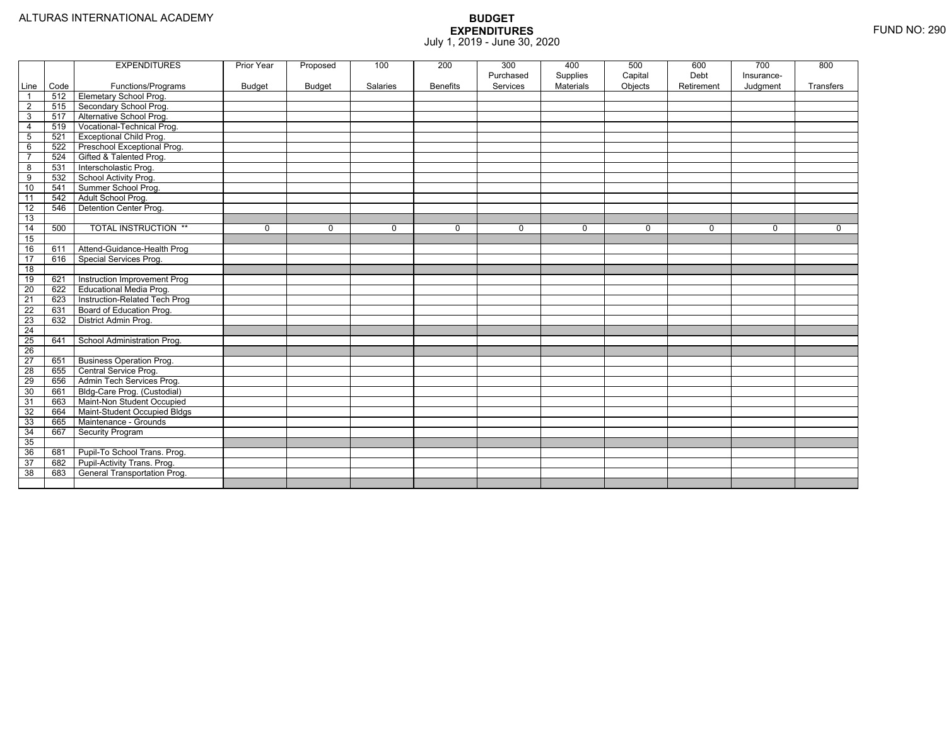|                 |      | <b>EXPENDITURES</b>             | Prior Year   | Proposed      | 100      | 200             | 300<br>Purchased | 400<br>Supplies | 500<br>Capital | 600<br>Debt | 700<br>Insurance- | 800         |
|-----------------|------|---------------------------------|--------------|---------------|----------|-----------------|------------------|-----------------|----------------|-------------|-------------------|-------------|
| Line            | Code | Functions/Programs              | Budget       | <b>Budget</b> | Salaries | <b>Benefits</b> | Services         | Materials       | Objects        | Retirement  | Judgment          | Transfers   |
| $\overline{1}$  | 512  | <b>Elemetary School Prog.</b>   |              |               |          |                 |                  |                 |                |             |                   |             |
| $\overline{c}$  | 515  | Secondary School Prog.          |              |               |          |                 |                  |                 |                |             |                   |             |
| 3               | 517  | Alternative School Prog.        |              |               |          |                 |                  |                 |                |             |                   |             |
| $\overline{4}$  | 519  | Vocational-Technical Prog.      |              |               |          |                 |                  |                 |                |             |                   |             |
| 5               | 521  | <b>Exceptional Child Prog.</b>  |              |               |          |                 |                  |                 |                |             |                   |             |
| 6               | 522  | Preschool Exceptional Prog.     |              |               |          |                 |                  |                 |                |             |                   |             |
| $\overline{7}$  | 524  | Gifted & Talented Prog.         |              |               |          |                 |                  |                 |                |             |                   |             |
| 8               | 531  | Interscholastic Prog.           |              |               |          |                 |                  |                 |                |             |                   |             |
| 9               | 532  | School Activity Prog.           |              |               |          |                 |                  |                 |                |             |                   |             |
| 10              | 541  | Summer School Prog.             |              |               |          |                 |                  |                 |                |             |                   |             |
| 11              | 542  | Adult School Prog.              |              |               |          |                 |                  |                 |                |             |                   |             |
| 12              | 546  | Detention Center Prog.          |              |               |          |                 |                  |                 |                |             |                   |             |
| 13              |      |                                 |              |               |          |                 |                  |                 |                |             |                   |             |
| 14              | 500  | <b>TOTAL INSTRUCTION **</b>     | $\mathbf{0}$ | $\Omega$      | 0        | $\mathbf 0$     | $\Omega$         | $\mathbf 0$     | $\mathbf 0$    | $\mathbf 0$ | $\mathbf 0$       | $\mathbf 0$ |
| 15              |      |                                 |              |               |          |                 |                  |                 |                |             |                   |             |
| 16              | 611  | Attend-Guidance-Health Prog     |              |               |          |                 |                  |                 |                |             |                   |             |
| 17              | 616  | Special Services Prog.          |              |               |          |                 |                  |                 |                |             |                   |             |
| $\overline{18}$ |      |                                 |              |               |          |                 |                  |                 |                |             |                   |             |
| 19              | 621  | Instruction Improvement Prog    |              |               |          |                 |                  |                 |                |             |                   |             |
| $\overline{20}$ | 622  | Educational Media Prog.         |              |               |          |                 |                  |                 |                |             |                   |             |
| $\overline{21}$ | 623  | Instruction-Related Tech Prog   |              |               |          |                 |                  |                 |                |             |                   |             |
| 22              | 631  | Board of Education Prog.        |              |               |          |                 |                  |                 |                |             |                   |             |
| $\overline{23}$ | 632  | District Admin Prog.            |              |               |          |                 |                  |                 |                |             |                   |             |
| 24              |      |                                 |              |               |          |                 |                  |                 |                |             |                   |             |
| $\overline{25}$ | 641  | School Administration Prog.     |              |               |          |                 |                  |                 |                |             |                   |             |
| $\overline{26}$ |      |                                 |              |               |          |                 |                  |                 |                |             |                   |             |
| $\overline{27}$ | 651  | <b>Business Operation Prog.</b> |              |               |          |                 |                  |                 |                |             |                   |             |
| 28              | 655  | Central Service Prog.           |              |               |          |                 |                  |                 |                |             |                   |             |
| 29              | 656  | Admin Tech Services Prog.       |              |               |          |                 |                  |                 |                |             |                   |             |
| 30              | 661  | Bldg-Care Prog. (Custodial)     |              |               |          |                 |                  |                 |                |             |                   |             |
| 31              | 663  | Maint-Non Student Occupied      |              |               |          |                 |                  |                 |                |             |                   |             |
| 32              | 664  | Maint-Student Occupied Bldgs    |              |               |          |                 |                  |                 |                |             |                   |             |
| 33              | 665  | Maintenance - Grounds           |              |               |          |                 |                  |                 |                |             |                   |             |
| 34              | 667  | <b>Security Program</b>         |              |               |          |                 |                  |                 |                |             |                   |             |
| 35              |      |                                 |              |               |          |                 |                  |                 |                |             |                   |             |
| 36              | 681  | Pupil-To School Trans. Prog.    |              |               |          |                 |                  |                 |                |             |                   |             |
| $\overline{37}$ | 682  | Pupil-Activity Trans. Prog.     |              |               |          |                 |                  |                 |                |             |                   |             |
| 38              | 683  | General Transportation Prog.    |              |               |          |                 |                  |                 |                |             |                   |             |
|                 |      |                                 |              |               |          |                 |                  |                 |                |             |                   |             |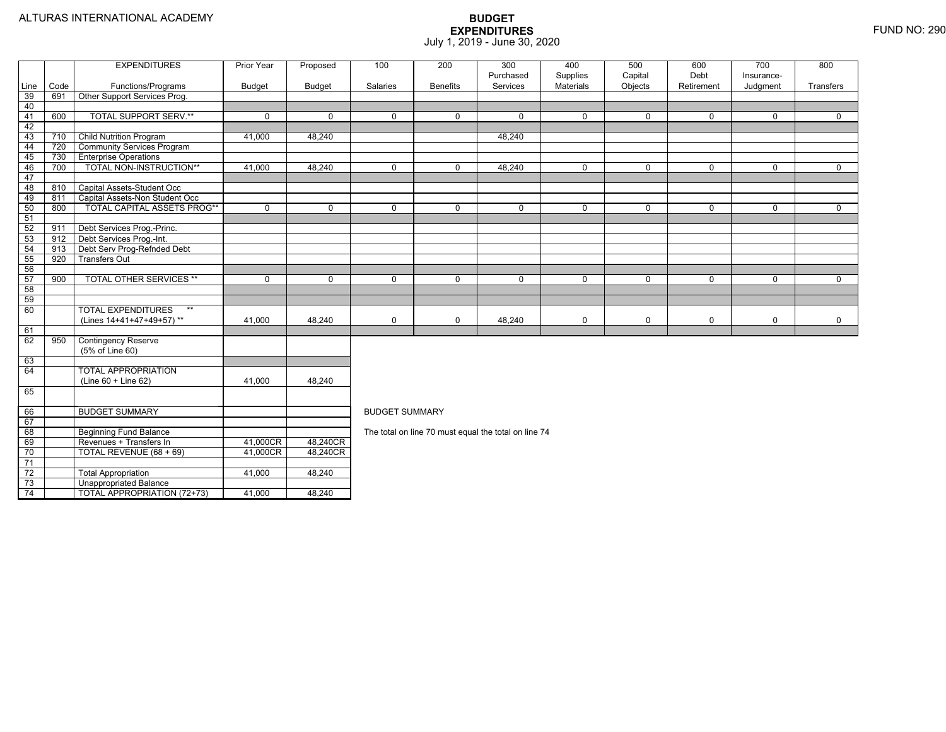73

74

Unappropriated Balance

TOTAL APPROPRIATION (72+73) 41,000 48,240

|                 |      | <b>EXPENDITURES</b>                | Prior Year    | Proposed      | 100                   | 200             | 300                                                  | 400         | 500          | 600         | 700          | 800         |
|-----------------|------|------------------------------------|---------------|---------------|-----------------------|-----------------|------------------------------------------------------|-------------|--------------|-------------|--------------|-------------|
|                 |      |                                    |               |               |                       |                 | Purchased                                            | Supplies    | Capital      | Debt        | Insurance-   |             |
| Line            | Code | Functions/Programs                 | <b>Budget</b> | <b>Budget</b> | Salaries              | <b>Benefits</b> | Services                                             | Materials   | Objects      | Retirement  | Judgment     | Transfers   |
| 39              | 691  | Other Support Services Prog.       |               |               |                       |                 |                                                      |             |              |             |              |             |
| 40              |      |                                    |               |               |                       |                 |                                                      |             |              |             |              |             |
| 41              | 600  | <b>TOTAL SUPPORT SERV.**</b>       | $\Omega$      | $\Omega$      | $\Omega$              | $\Omega$        | $\Omega$                                             | $\mathbf 0$ | $\mathbf{0}$ | $\mathbf 0$ | $\mathbf{0}$ | $\Omega$    |
| 42              |      |                                    |               |               |                       |                 |                                                      |             |              |             |              |             |
| 43              | 710  | <b>Child Nutrition Program</b>     | 41,000        | 48,240        |                       |                 | 48,240                                               |             |              |             |              |             |
| 44              | 720  | <b>Community Services Program</b>  |               |               |                       |                 |                                                      |             |              |             |              |             |
| 45              | 730  | <b>Enterprise Operations</b>       |               |               |                       |                 |                                                      |             |              |             |              |             |
| 46              | 700  | TOTAL NON-INSTRUCTION**            | 41,000        | 48,240        | $\mathbf 0$           | $\mathbf 0$     | 48,240                                               | $\mathbf 0$ | $\mathbf 0$  | $\mathbf 0$ | $\mathbf 0$  | $\mathbf 0$ |
| 47              |      |                                    |               |               |                       |                 |                                                      |             |              |             |              |             |
| 48              | 810  | Capital Assets-Student Occ         |               |               |                       |                 |                                                      |             |              |             |              |             |
| 49              | 811  | Capital Assets-Non Student Occ     |               |               |                       |                 |                                                      |             |              |             |              |             |
| 50              | 800  | <b>TOTAL CAPITAL ASSETS PROG**</b> | $\Omega$      | $\Omega$      | $\Omega$              | $\Omega$        | $\Omega$                                             | $\mathbf 0$ | $\Omega$     | $\Omega$    | $\Omega$     | $\Omega$    |
| 51              |      |                                    |               |               |                       |                 |                                                      |             |              |             |              |             |
| 52              | 911  | Debt Services Prog.-Princ.         |               |               |                       |                 |                                                      |             |              |             |              |             |
| 53              | 912  | Debt Services Prog.-Int.           |               |               |                       |                 |                                                      |             |              |             |              |             |
| 54              | 913  | Debt Serv Prog-Refnded Debt        |               |               |                       |                 |                                                      |             |              |             |              |             |
| $\frac{55}{56}$ | 920  | <b>Transfers Out</b>               |               |               |                       |                 |                                                      |             |              |             |              |             |
|                 |      |                                    |               |               |                       |                 |                                                      |             |              |             |              |             |
| 57              | 900  | <b>TOTAL OTHER SERVICES **</b>     | $\mathbf{0}$  | $\mathbf 0$   | $\Omega$              | $\Omega$        | $\mathbf 0$                                          | $\mathbf 0$ | $\mathbf 0$  | $\Omega$    | $\mathbf 0$  | $\mathbf 0$ |
| 58              |      |                                    |               |               |                       |                 |                                                      |             |              |             |              |             |
| 59              |      |                                    |               |               |                       |                 |                                                      |             |              |             |              |             |
| 60              |      | <b>TOTAL EXPENDITURES</b><br>$***$ |               |               |                       |                 |                                                      |             |              |             |              |             |
|                 |      | (Lines 14+41+47+49+57)**           | 41,000        | 48,240        | 0                     | $\mathbf 0$     | 48,240                                               | $\mathbf 0$ | $\mathbf 0$  | 0           | 0            | $\mathbf 0$ |
| 61              |      |                                    |               |               |                       |                 |                                                      |             |              |             |              |             |
| 62              | 950  | <b>Contingency Reserve</b>         |               |               |                       |                 |                                                      |             |              |             |              |             |
|                 |      | (5% of Line 60)                    |               |               |                       |                 |                                                      |             |              |             |              |             |
| 63              |      |                                    |               |               |                       |                 |                                                      |             |              |             |              |             |
| 64              |      | <b>TOTAL APPROPRIATION</b>         |               |               |                       |                 |                                                      |             |              |             |              |             |
|                 |      | (Line 60 + Line 62)                | 41.000        | 48,240        |                       |                 |                                                      |             |              |             |              |             |
| 65              |      |                                    |               |               |                       |                 |                                                      |             |              |             |              |             |
| 66              |      | <b>BUDGET SUMMARY</b>              |               |               | <b>BUDGET SUMMARY</b> |                 |                                                      |             |              |             |              |             |
| 67              |      |                                    |               |               |                       |                 |                                                      |             |              |             |              |             |
| 68              |      | <b>Beginning Fund Balance</b>      |               |               |                       |                 | The total on line 70 must equal the total on line 74 |             |              |             |              |             |
| 69              |      | Revenues + Transfers In            | 41,000CR      | 48,240CR      |                       |                 |                                                      |             |              |             |              |             |
| 70              |      | TOTAL REVENUE (68 + 69)            | 41,000CR      | 48,240CR      |                       |                 |                                                      |             |              |             |              |             |
| 71              |      |                                    |               |               |                       |                 |                                                      |             |              |             |              |             |
| $\overline{72}$ |      | <b>Total Appropriation</b>         | 41,000        | 48,240        |                       |                 |                                                      |             |              |             |              |             |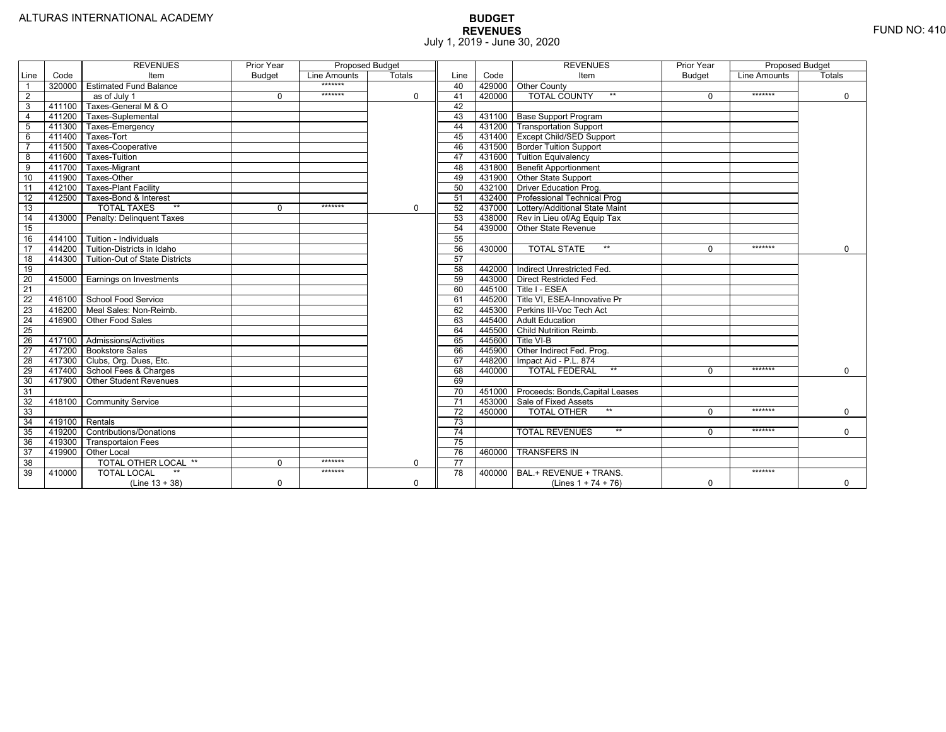|                 |                | <b>REVENUES</b>                   | Prior Year    | Proposed Budget |               |                 |        | <b>REVENUES</b>                        | Prior Year    | Proposed Budget |               |
|-----------------|----------------|-----------------------------------|---------------|-----------------|---------------|-----------------|--------|----------------------------------------|---------------|-----------------|---------------|
| Line            | Code           | Item                              | <b>Budget</b> | Line Amounts    | <b>Totals</b> | Line            | Code   | Item                                   | <b>Budget</b> | Line Amounts    | <b>Totals</b> |
|                 | 320000         | <b>Estimated Fund Balance</b>     |               | *******         |               | 40              |        | 429000 Other County                    |               |                 |               |
| $\overline{2}$  |                | $\overline{as}$ of July 1         | $\Omega$      | *******         | 0             | 41              | 420000 | <b>TOTAL COUNTY</b>                    |               | *******         | $\mathbf 0$   |
| 3               | 411100         | Taxes-General M & O               |               |                 |               | 42              |        |                                        |               |                 |               |
| $\overline{4}$  | 411200         | Taxes-Suplemental                 |               |                 |               | 43              |        | 431100   Base Support Program          |               |                 |               |
| 5               | 411300         | Taxes-Emergency                   |               |                 |               | 44              |        | 431200   Transportation Support        |               |                 |               |
| 6               | 411400         | Taxes-Tort                        |               |                 |               | 45              |        | 431400 Except Child/SED Support        |               |                 |               |
|                 | 411500         | Taxes-Cooperative                 |               |                 |               | 46              |        | 431500 Border Tuition Support          |               |                 |               |
| 8               | 411600         | Taxes-Tuition                     |               |                 |               | 47              |        | 431600 Tuition Equivalency             |               |                 |               |
| 9               | 411700         | Taxes-Migrant                     |               |                 |               | 48              |        | 431800 Benefit Apportionment           |               |                 |               |
| 10              | 411900         | Taxes-Other                       |               |                 |               | 49              |        | 431900 Other State Support             |               |                 |               |
| 11              | 412100         | <b>Taxes-Plant Facility</b>       |               |                 |               | 50              | 432100 | Driver Education Prog.                 |               |                 |               |
| 12              | 412500         | Taxes-Bond & Interest             |               |                 |               | 51              | 432400 | <b>Professional Technical Prog</b>     |               |                 |               |
| 13              |                | $**$<br><b>TOTAL TAXES</b>        | $\Omega$      | *******         | 0             | 52              |        | 437000 Lottery/Additional State Maint  |               |                 |               |
| 14              | 413000         | Penalty: Delinguent Taxes         |               |                 |               | 53              |        | 438000 Rev in Lieu of/Ag Equip Tax     |               |                 |               |
| 15              |                |                                   |               |                 |               | 54              |        | 439000 Other State Revenue             |               |                 |               |
| 16              |                | 414100 Tuition - Individuals      |               |                 |               | 55              |        |                                        |               |                 |               |
| $\overline{17}$ |                | 414200 Tuition-Districts in Idaho |               |                 |               | 56              | 430000 | $**$<br><b>TOTAL STATE</b>             |               | *******         | $\Omega$      |
| $\overline{18}$ | 414300         | Tuition-Out of State Districts    |               |                 |               | 57              |        |                                        |               |                 |               |
| 19              |                |                                   |               |                 |               | 58              |        | 442000   Indirect Unrestricted Fed.    |               |                 |               |
| 20              |                | 415000 Earnings on Investments    |               |                 |               | 59              |        | 443000 Direct Restricted Fed.          |               |                 |               |
| $\overline{21}$ |                |                                   |               |                 |               | 60              |        | 445100 Title I - ESEA                  |               |                 |               |
| 22              | 416100         | School Food Service               |               |                 |               | 61              |        | 445200 Title VI. ESEA-Innovative Pr    |               |                 |               |
| 23              |                | 416200   Meal Sales: Non-Reimb.   |               |                 |               | 62              |        | 445300 Perkins III-Voc Tech Act        |               |                 |               |
| 24              | 416900         | Other Food Sales                  |               |                 |               | 63              |        | 445400 Adult Education                 |               |                 |               |
| $\overline{25}$ |                |                                   |               |                 |               | 64              | 445500 | Child Nutrition Reimb.                 |               |                 |               |
| 26              |                | 417100 Admissions/Activities      |               |                 |               | 65              | 445600 | Title VI-B                             |               |                 |               |
| $\overline{27}$ | 417200         | <b>Bookstore Sales</b>            |               |                 |               | 66              | 445900 | Other Indirect Fed. Prog.              |               |                 |               |
| $\overline{28}$ |                | 417300   Clubs, Org. Dues, Etc.   |               |                 |               | 67              | 448200 | Impact Aid - P.L. 874                  |               |                 |               |
| 29              | 417400         | School Fees & Charges             |               |                 |               | 68              | 440000 | $**$<br><b>TOTAL FEDERAL</b>           | $\Omega$      | *******         | $\Omega$      |
| 30              | 417900         | <b>Other Student Revenues</b>     |               |                 |               | 69              |        |                                        |               |                 |               |
| 31              |                |                                   |               |                 |               | $\overline{70}$ |        | 451000 Proceeds: Bonds, Capital Leases |               |                 |               |
| $\overline{32}$ | 418100         | <b>Community Service</b>          |               |                 |               | $\overline{71}$ |        | 453000 Sale of Fixed Assets            |               |                 |               |
| 33              |                |                                   |               |                 |               | 72              | 450000 | $**$<br><b>TOTAL OTHER</b>             | $\Omega$      | *******         | $\mathbf 0$   |
| 34              | 419100 Rentals |                                   |               |                 |               | 73              |        |                                        |               |                 |               |
| 35              | 419200         | <b>Contributions/Donations</b>    |               |                 |               | 74              |        | $**$<br><b>TOTAL REVENUES</b>          |               | *******         | $\Omega$      |
| 36              | 419300         | Transportaion Fees                |               |                 |               | 75              |        |                                        |               |                 |               |
| 37              | 419900         | <b>Other Local</b>                |               |                 |               | 76              | 460000 | <b>TRANSFERS IN</b>                    |               |                 |               |
| 38              |                | TOTAL OTHER LOCAL **              | $\Omega$      | *******         | 0             | 77              |        |                                        |               |                 |               |
| 39              | 410000         | <b>TOTAL LOCAL</b>                |               | *******         |               | $\overline{78}$ | 400000 | BAL.+ REVENUE + TRANS.                 |               | *******         |               |
|                 |                | $(Line 13 + 38)$                  | $\Omega$      |                 | $\Omega$      |                 |        | (Lines $1 + 74 + 76$ )                 | $\Omega$      |                 | $\mathbf 0$   |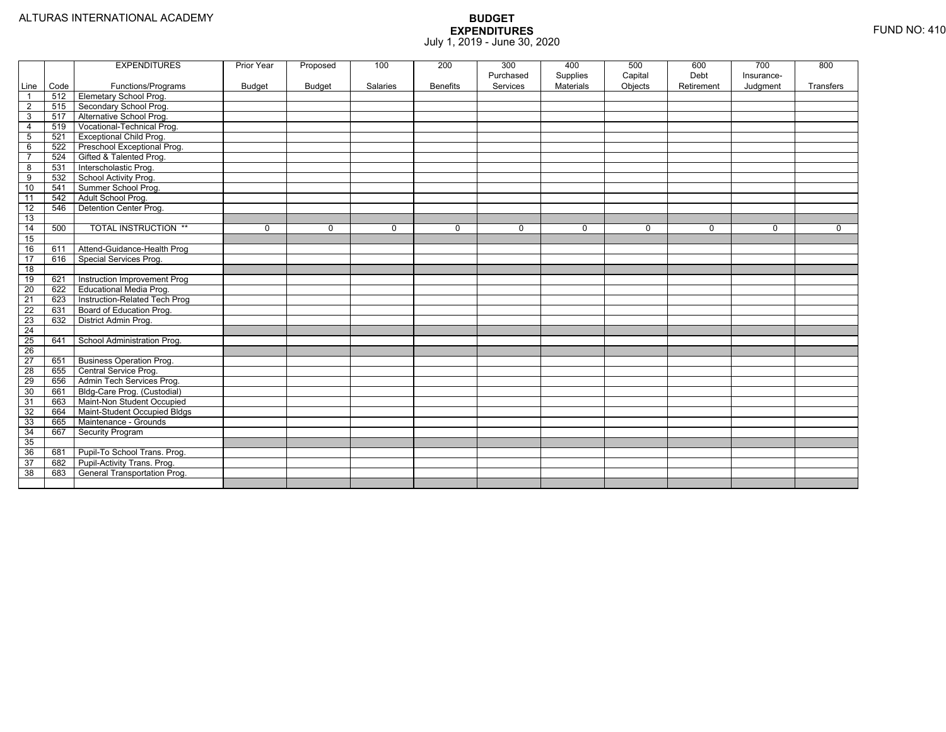|                 |      | <b>EXPENDITURES</b>             | Prior Year    | Proposed    | 100      | 200             | 300<br>Purchased | 400<br>Supplies | 500<br>Capital | 600<br>Debt | 700<br>Insurance- | 800       |
|-----------------|------|---------------------------------|---------------|-------------|----------|-----------------|------------------|-----------------|----------------|-------------|-------------------|-----------|
| Line            | Code | Functions/Programs              | <b>Budget</b> | Budget      | Salaries | <b>Benefits</b> | Services         | Materials       | Objects        | Retirement  | Judgment          | Transfers |
| $\overline{1}$  | 512  | <b>Elemetary School Prog.</b>   |               |             |          |                 |                  |                 |                |             |                   |           |
| $\overline{2}$  | 515  | Secondary School Prog.          |               |             |          |                 |                  |                 |                |             |                   |           |
| 3               | 517  | Alternative School Prog.        |               |             |          |                 |                  |                 |                |             |                   |           |
| $\overline{4}$  | 519  | Vocational-Technical Prog.      |               |             |          |                 |                  |                 |                |             |                   |           |
| $5\phantom{.0}$ | 521  | <b>Exceptional Child Prog.</b>  |               |             |          |                 |                  |                 |                |             |                   |           |
| 6               | 522  | Preschool Exceptional Prog.     |               |             |          |                 |                  |                 |                |             |                   |           |
| $\overline{7}$  | 524  | Gifted & Talented Prog.         |               |             |          |                 |                  |                 |                |             |                   |           |
| 8               | 531  | Interscholastic Prog.           |               |             |          |                 |                  |                 |                |             |                   |           |
| 9               | 532  | School Activity Prog.           |               |             |          |                 |                  |                 |                |             |                   |           |
| 10              | 541  | Summer School Prog.             |               |             |          |                 |                  |                 |                |             |                   |           |
| 11              | 542  | Adult School Prog.              |               |             |          |                 |                  |                 |                |             |                   |           |
| $\overline{12}$ | 546  | Detention Center Prog.          |               |             |          |                 |                  |                 |                |             |                   |           |
| 13              |      |                                 |               |             |          |                 |                  |                 |                |             |                   |           |
| 14              | 500  | <b>TOTAL INSTRUCTION **</b>     | 0             | $\mathbf 0$ | 0        | $\mathbf 0$     | $\mathbf 0$      | $\mathbf 0$     | $\mathbf 0$    | 0           | 0                 | 0         |
| 15              |      |                                 |               |             |          |                 |                  |                 |                |             |                   |           |
| 16              | 611  | Attend-Guidance-Health Prog     |               |             |          |                 |                  |                 |                |             |                   |           |
| 17              | 616  | Special Services Prog.          |               |             |          |                 |                  |                 |                |             |                   |           |
| $\overline{18}$ |      |                                 |               |             |          |                 |                  |                 |                |             |                   |           |
| 19              | 621  | Instruction Improvement Prog    |               |             |          |                 |                  |                 |                |             |                   |           |
| 20              | 622  | Educational Media Prog.         |               |             |          |                 |                  |                 |                |             |                   |           |
| $\overline{21}$ | 623  | Instruction-Related Tech Prog   |               |             |          |                 |                  |                 |                |             |                   |           |
| 22              | 631  | Board of Education Prog.        |               |             |          |                 |                  |                 |                |             |                   |           |
| 23              | 632  | District Admin Prog.            |               |             |          |                 |                  |                 |                |             |                   |           |
| $\overline{24}$ |      |                                 |               |             |          |                 |                  |                 |                |             |                   |           |
| 25              | 641  | School Administration Prog.     |               |             |          |                 |                  |                 |                |             |                   |           |
| $\overline{26}$ |      |                                 |               |             |          |                 |                  |                 |                |             |                   |           |
| 27              | 651  | <b>Business Operation Prog.</b> |               |             |          |                 |                  |                 |                |             |                   |           |
| $\overline{28}$ | 655  | Central Service Prog.           |               |             |          |                 |                  |                 |                |             |                   |           |
| 29              | 656  | Admin Tech Services Prog.       |               |             |          |                 |                  |                 |                |             |                   |           |
| 30              | 661  | Bldg-Care Prog. (Custodial)     |               |             |          |                 |                  |                 |                |             |                   |           |
| 31              | 663  | Maint-Non Student Occupied      |               |             |          |                 |                  |                 |                |             |                   |           |
| 32              | 664  | Maint-Student Occupied Bldgs    |               |             |          |                 |                  |                 |                |             |                   |           |
| 33              | 665  | Maintenance - Grounds           |               |             |          |                 |                  |                 |                |             |                   |           |
| 34              | 667  | Security Program                |               |             |          |                 |                  |                 |                |             |                   |           |
| 35              |      |                                 |               |             |          |                 |                  |                 |                |             |                   |           |
| 36              | 681  | Pupil-To School Trans. Prog.    |               |             |          |                 |                  |                 |                |             |                   |           |
| 37              | 682  | Pupil-Activity Trans. Prog.     |               |             |          |                 |                  |                 |                |             |                   |           |
| 38              | 683  | General Transportation Prog.    |               |             |          |                 |                  |                 |                |             |                   |           |
|                 |      |                                 |               |             |          |                 |                  |                 |                |             |                   |           |